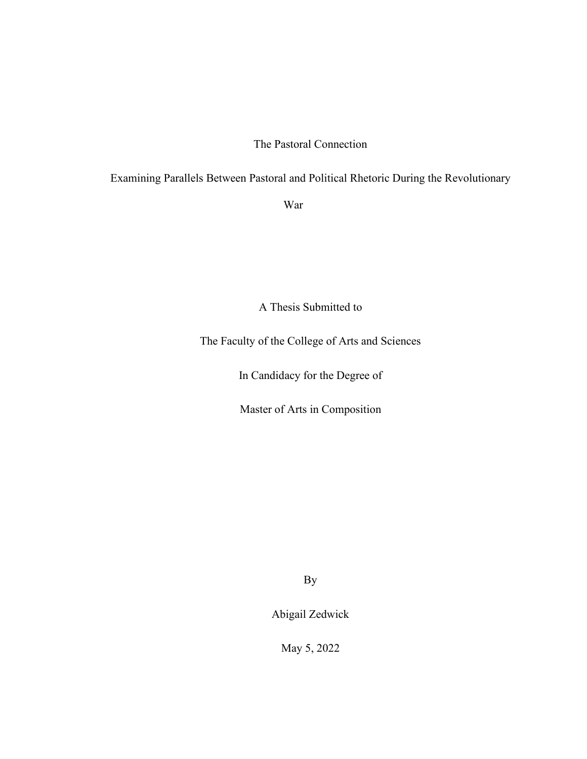# The Pastoral Connection

# Examining Parallels Between Pastoral and Political Rhetoric During the Revolutionary

War

A Thesis Submitted to

The Faculty of the College of Arts and Sciences

In Candidacy for the Degree of

Master of Arts in Composition

By

Abigail Zedwick

May 5, 2022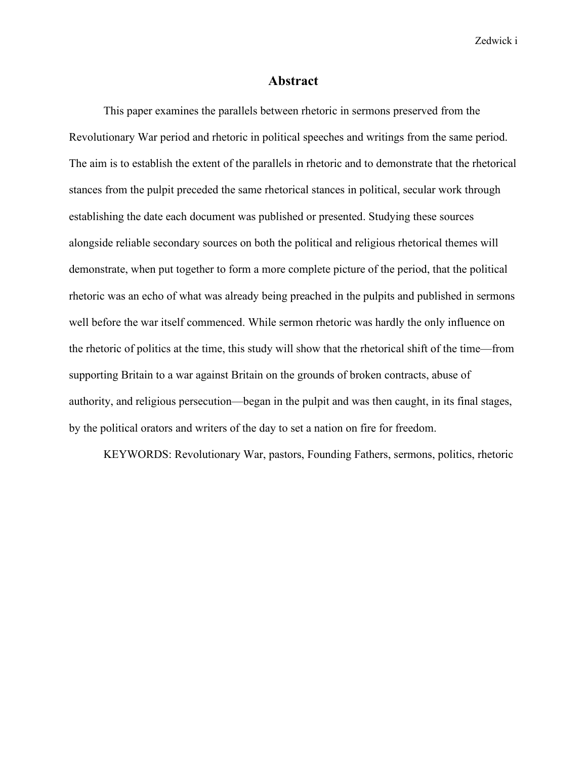Zedwick i

## **Abstract**

<span id="page-1-0"></span>This paper examines the parallels between rhetoric in sermons preserved from the Revolutionary War period and rhetoric in political speeches and writings from the same period. The aim is to establish the extent of the parallels in rhetoric and to demonstrate that the rhetorical stances from the pulpit preceded the same rhetorical stances in political, secular work through establishing the date each document was published or presented. Studying these sources alongside reliable secondary sources on both the political and religious rhetorical themes will demonstrate, when put together to form a more complete picture of the period, that the political rhetoric was an echo of what was already being preached in the pulpits and published in sermons well before the war itself commenced. While sermon rhetoric was hardly the only influence on the rhetoric of politics at the time, this study will show that the rhetorical shift of the time—from supporting Britain to a war against Britain on the grounds of broken contracts, abuse of authority, and religious persecution—began in the pulpit and was then caught, in its final stages, by the political orators and writers of the day to set a nation on fire for freedom.

KEYWORDS: Revolutionary War, pastors, Founding Fathers, sermons, politics, rhetoric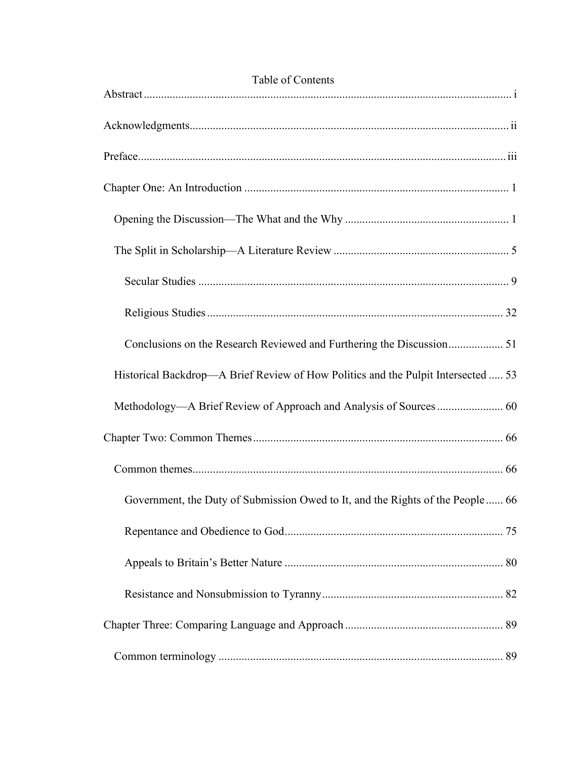| Table of Contents                                                                 |
|-----------------------------------------------------------------------------------|
|                                                                                   |
|                                                                                   |
|                                                                                   |
|                                                                                   |
|                                                                                   |
|                                                                                   |
|                                                                                   |
| Conclusions on the Research Reviewed and Furthering the Discussion 51             |
| Historical Backdrop—A Brief Review of How Politics and the Pulpit Intersected  53 |
|                                                                                   |
|                                                                                   |
|                                                                                   |
| Government, the Duty of Submission Owed to It, and the Rights of the People 66    |
|                                                                                   |
|                                                                                   |
|                                                                                   |
|                                                                                   |
|                                                                                   |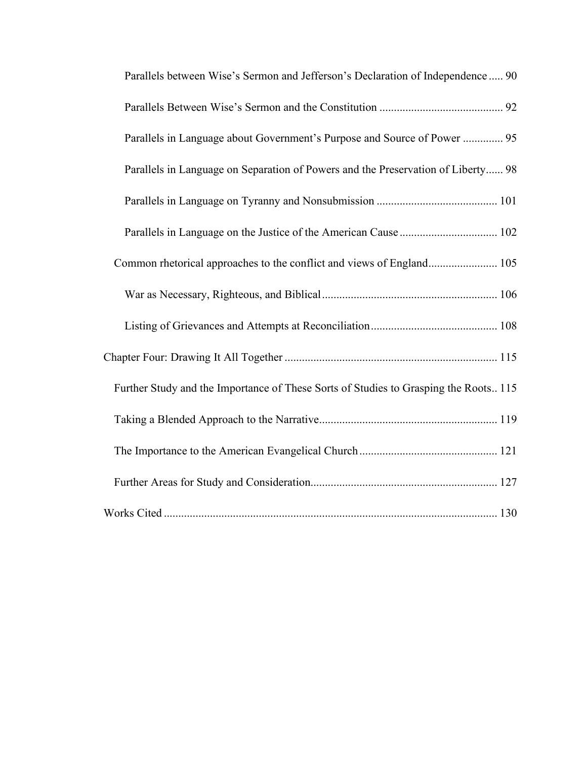| Parallels between Wise's Sermon and Jefferson's Declaration of Independence 90       |
|--------------------------------------------------------------------------------------|
|                                                                                      |
| Parallels in Language about Government's Purpose and Source of Power  95             |
| Parallels in Language on Separation of Powers and the Preservation of Liberty 98     |
|                                                                                      |
|                                                                                      |
| Common rhetorical approaches to the conflict and views of England 105                |
|                                                                                      |
|                                                                                      |
|                                                                                      |
| Further Study and the Importance of These Sorts of Studies to Grasping the Roots 115 |
|                                                                                      |
|                                                                                      |
|                                                                                      |
|                                                                                      |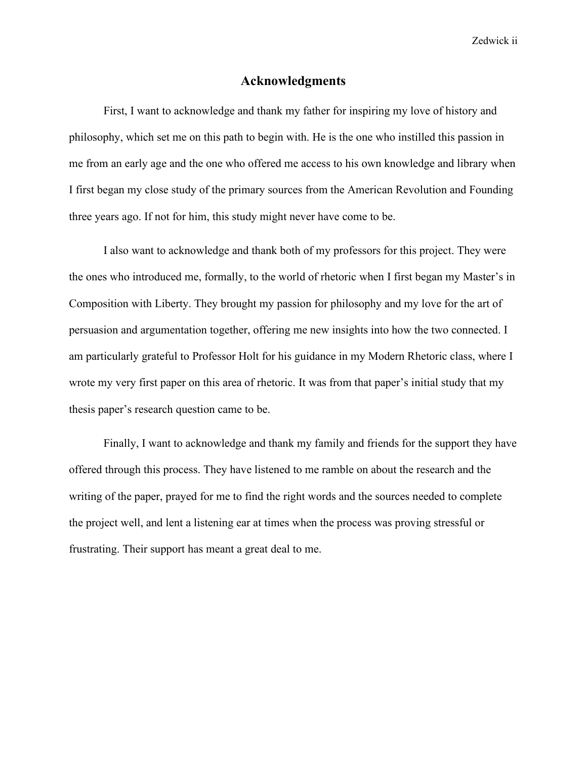Zedwick ii

## **Acknowledgments**

<span id="page-4-0"></span>First, I want to acknowledge and thank my father for inspiring my love of history and philosophy, which set me on this path to begin with. He is the one who instilled this passion in me from an early age and the one who offered me access to his own knowledge and library when I first began my close study of the primary sources from the American Revolution and Founding three years ago. If not for him, this study might never have come to be.

I also want to acknowledge and thank both of my professors for this project. They were the ones who introduced me, formally, to the world of rhetoric when I first began my Master's in Composition with Liberty. They brought my passion for philosophy and my love for the art of persuasion and argumentation together, offering me new insights into how the two connected. I am particularly grateful to Professor Holt for his guidance in my Modern Rhetoric class, where I wrote my very first paper on this area of rhetoric. It was from that paper's initial study that my thesis paper's research question came to be.

Finally, I want to acknowledge and thank my family and friends for the support they have offered through this process. They have listened to me ramble on about the research and the writing of the paper, prayed for me to find the right words and the sources needed to complete the project well, and lent a listening ear at times when the process was proving stressful or frustrating. Their support has meant a great deal to me.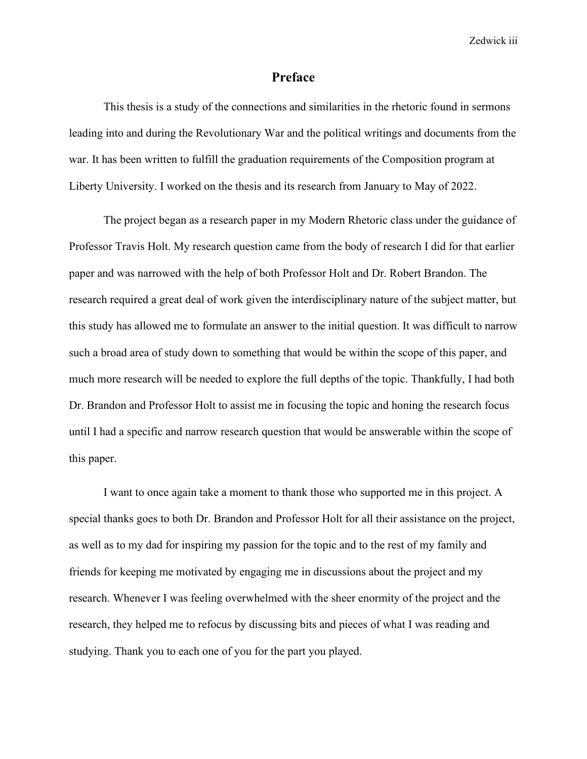Zedwick iii

## **Preface**

<span id="page-5-0"></span>This thesis is a study of the connections and similarities in the rhetoric found in sermons leading into and during the Revolutionary War and the political writings and documents from the war. It has been written to fulfill the graduation requirements of the Composition program at Liberty University. I worked on the thesis and its research from January to May of 2022.

The project began as a research paper in my Modern Rhetoric class under the guidance of Professor Travis Holt. My research question came from the body of research I did for that earlier paper and was narrowed with the help of both Professor Holt and Dr. Robert Brandon. The research required a great deal of work given the interdisciplinary nature of the subject matter, but this study has allowed me to formulate an answer to the initial question. It was difficult to narrow such a broad area of study down to something that would be within the scope of this paper, and much more research will be needed to explore the full depths of the topic. Thankfully, I had both Dr. Brandon and Professor Holt to assist me in focusing the topic and honing the research focus until I had a specific and narrow research question that would be answerable within the scope of this paper.

I want to once again take a moment to thank those who supported me in this project. A special thanks goes to both Dr. Brandon and Professor Holt for all their assistance on the project, as well as to my dad for inspiring my passion for the topic and to the rest of my family and friends for keeping me motivated by engaging me in discussions about the project and my research. Whenever I was feeling overwhelmed with the sheer enormity of the project and the research, they helped me to refocus by discussing bits and pieces of what I was reading and studying. Thank you to each one of you for the part you played.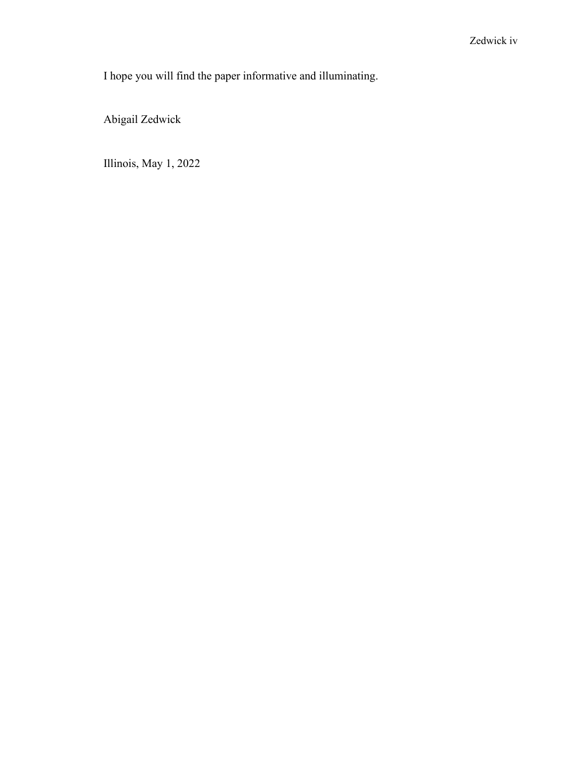I hope you will find the paper informative and illuminating.

Abigail Zedwick

Illinois, May 1, 2022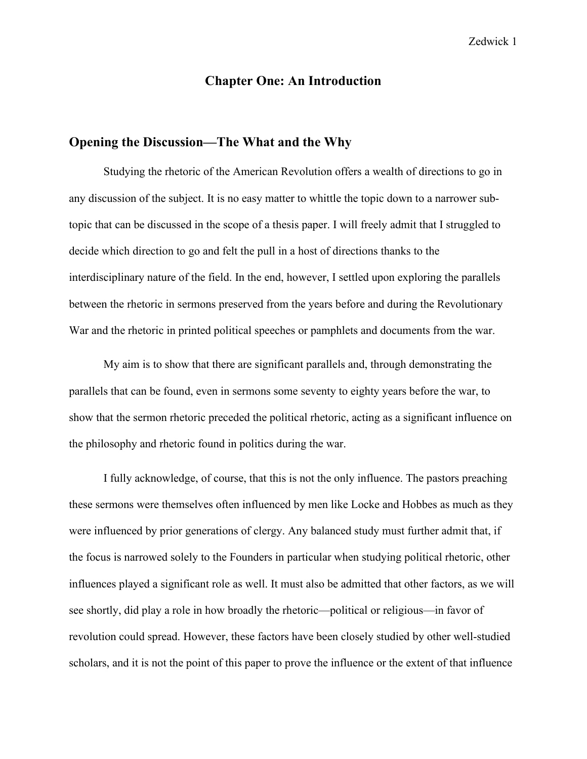# **Chapter One: An Introduction**

## <span id="page-7-1"></span><span id="page-7-0"></span>**Opening the Discussion—The What and the Why**

Studying the rhetoric of the American Revolution offers a wealth of directions to go in any discussion of the subject. It is no easy matter to whittle the topic down to a narrower subtopic that can be discussed in the scope of a thesis paper. I will freely admit that I struggled to decide which direction to go and felt the pull in a host of directions thanks to the interdisciplinary nature of the field. In the end, however, I settled upon exploring the parallels between the rhetoric in sermons preserved from the years before and during the Revolutionary War and the rhetoric in printed political speeches or pamphlets and documents from the war.

My aim is to show that there are significant parallels and, through demonstrating the parallels that can be found, even in sermons some seventy to eighty years before the war, to show that the sermon rhetoric preceded the political rhetoric, acting as a significant influence on the philosophy and rhetoric found in politics during the war.

I fully acknowledge, of course, that this is not the only influence. The pastors preaching these sermons were themselves often influenced by men like Locke and Hobbes as much as they were influenced by prior generations of clergy. Any balanced study must further admit that, if the focus is narrowed solely to the Founders in particular when studying political rhetoric, other influences played a significant role as well. It must also be admitted that other factors, as we will see shortly, did play a role in how broadly the rhetoric—political or religious—in favor of revolution could spread. However, these factors have been closely studied by other well-studied scholars, and it is not the point of this paper to prove the influence or the extent of that influence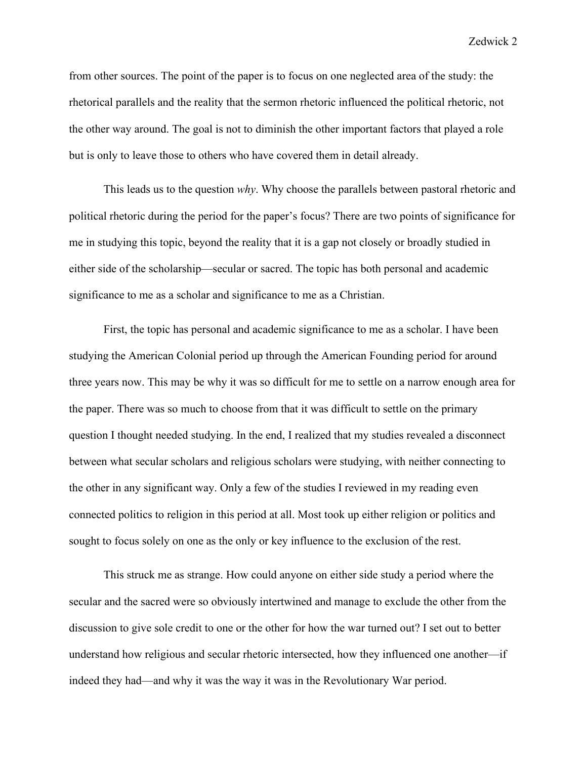from other sources. The point of the paper is to focus on one neglected area of the study: the rhetorical parallels and the reality that the sermon rhetoric influenced the political rhetoric, not the other way around. The goal is not to diminish the other important factors that played a role but is only to leave those to others who have covered them in detail already.

This leads us to the question *why*. Why choose the parallels between pastoral rhetoric and political rhetoric during the period for the paper's focus? There are two points of significance for me in studying this topic, beyond the reality that it is a gap not closely or broadly studied in either side of the scholarship—secular or sacred. The topic has both personal and academic significance to me as a scholar and significance to me as a Christian.

First, the topic has personal and academic significance to me as a scholar. I have been studying the American Colonial period up through the American Founding period for around three years now. This may be why it was so difficult for me to settle on a narrow enough area for the paper. There was so much to choose from that it was difficult to settle on the primary question I thought needed studying. In the end, I realized that my studies revealed a disconnect between what secular scholars and religious scholars were studying, with neither connecting to the other in any significant way. Only a few of the studies I reviewed in my reading even connected politics to religion in this period at all. Most took up either religion or politics and sought to focus solely on one as the only or key influence to the exclusion of the rest.

This struck me as strange. How could anyone on either side study a period where the secular and the sacred were so obviously intertwined and manage to exclude the other from the discussion to give sole credit to one or the other for how the war turned out? I set out to better understand how religious and secular rhetoric intersected, how they influenced one another—if indeed they had—and why it was the way it was in the Revolutionary War period.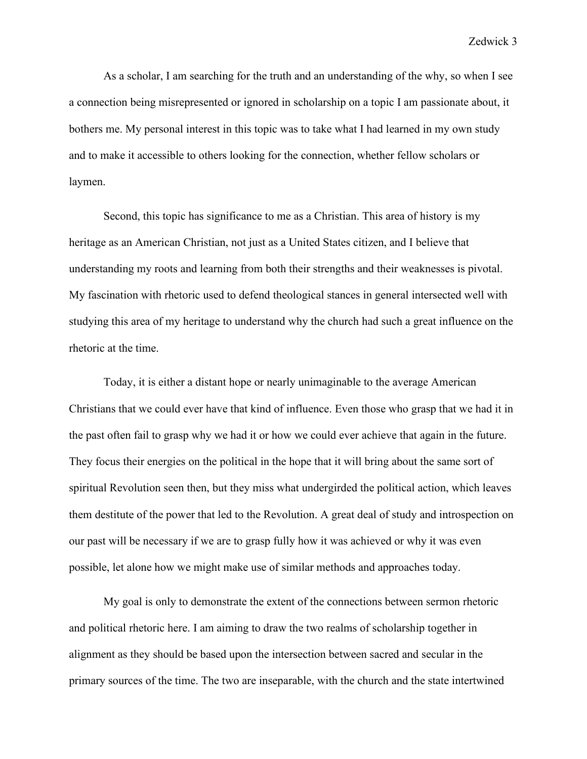As a scholar, I am searching for the truth and an understanding of the why, so when I see a connection being misrepresented or ignored in scholarship on a topic I am passionate about, it bothers me. My personal interest in this topic was to take what I had learned in my own study and to make it accessible to others looking for the connection, whether fellow scholars or laymen.

Second, this topic has significance to me as a Christian. This area of history is my heritage as an American Christian, not just as a United States citizen, and I believe that understanding my roots and learning from both their strengths and their weaknesses is pivotal. My fascination with rhetoric used to defend theological stances in general intersected well with studying this area of my heritage to understand why the church had such a great influence on the rhetoric at the time.

Today, it is either a distant hope or nearly unimaginable to the average American Christians that we could ever have that kind of influence. Even those who grasp that we had it in the past often fail to grasp why we had it or how we could ever achieve that again in the future. They focus their energies on the political in the hope that it will bring about the same sort of spiritual Revolution seen then, but they miss what undergirded the political action, which leaves them destitute of the power that led to the Revolution. A great deal of study and introspection on our past will be necessary if we are to grasp fully how it was achieved or why it was even possible, let alone how we might make use of similar methods and approaches today.

My goal is only to demonstrate the extent of the connections between sermon rhetoric and political rhetoric here. I am aiming to draw the two realms of scholarship together in alignment as they should be based upon the intersection between sacred and secular in the primary sources of the time. The two are inseparable, with the church and the state intertwined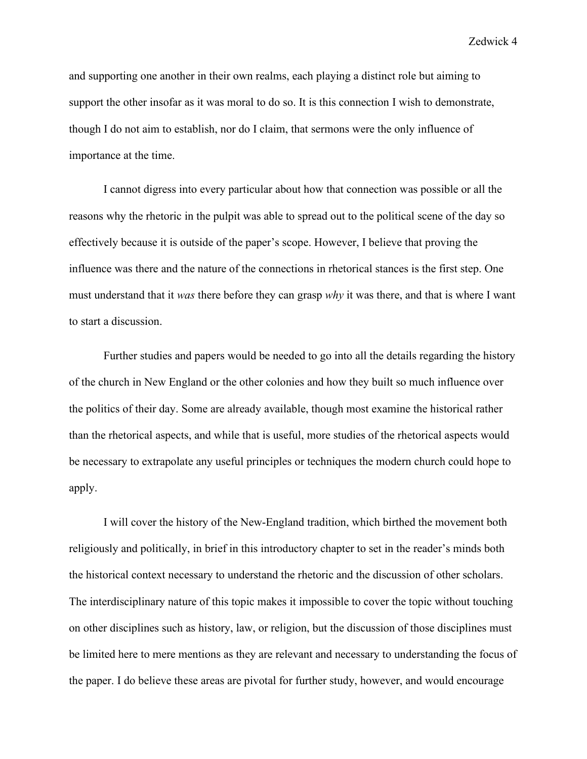and supporting one another in their own realms, each playing a distinct role but aiming to support the other insofar as it was moral to do so. It is this connection I wish to demonstrate, though I do not aim to establish, nor do I claim, that sermons were the only influence of importance at the time.

I cannot digress into every particular about how that connection was possible or all the reasons why the rhetoric in the pulpit was able to spread out to the political scene of the day so effectively because it is outside of the paper's scope. However, I believe that proving the influence was there and the nature of the connections in rhetorical stances is the first step. One must understand that it *was* there before they can grasp *why* it was there, and that is where I want to start a discussion.

Further studies and papers would be needed to go into all the details regarding the history of the church in New England or the other colonies and how they built so much influence over the politics of their day. Some are already available, though most examine the historical rather than the rhetorical aspects, and while that is useful, more studies of the rhetorical aspects would be necessary to extrapolate any useful principles or techniques the modern church could hope to apply.

I will cover the history of the New-England tradition, which birthed the movement both religiously and politically, in brief in this introductory chapter to set in the reader's minds both the historical context necessary to understand the rhetoric and the discussion of other scholars. The interdisciplinary nature of this topic makes it impossible to cover the topic without touching on other disciplines such as history, law, or religion, but the discussion of those disciplines must be limited here to mere mentions as they are relevant and necessary to understanding the focus of the paper. I do believe these areas are pivotal for further study, however, and would encourage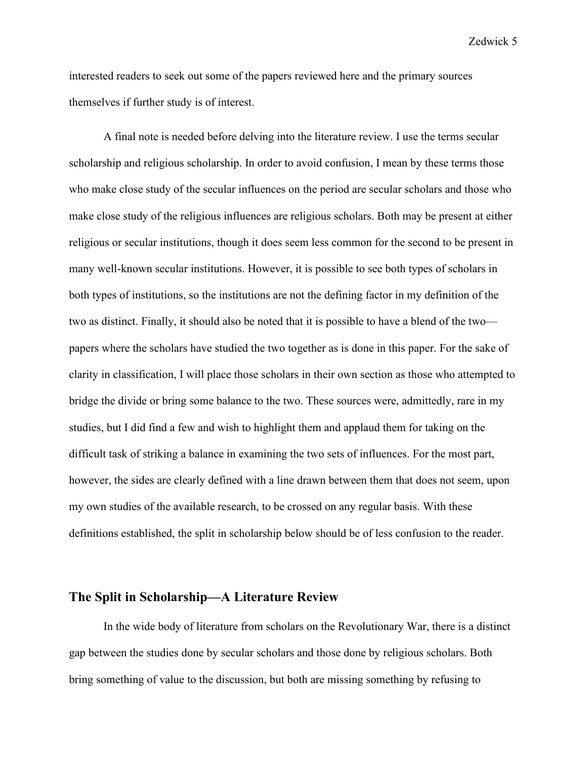interested readers to seek out some of the papers reviewed here and the primary sources themselves if further study is of interest.

A final note is needed before delving into the literature review. I use the terms secular scholarship and religious scholarship. In order to avoid confusion, I mean by these terms those who make close study of the secular influences on the period are secular scholars and those who make close study of the religious influences are religious scholars. Both may be present at either religious or secular institutions, though it does seem less common for the second to be present in many well-known secular institutions. However, it is possible to see both types of scholars in both types of institutions, so the institutions are not the defining factor in my definition of the two as distinct. Finally, it should also be noted that it is possible to have a blend of the two papers where the scholars have studied the two together as is done in this paper. For the sake of clarity in classification, I will place those scholars in their own section as those who attempted to bridge the divide or bring some balance to the two. These sources were, admittedly, rare in my studies, but I did find a few and wish to highlight them and applaud them for taking on the difficult task of striking a balance in examining the two sets of influences. For the most part, however, the sides are clearly defined with a line drawn between them that does not seem, upon my own studies of the available research, to be crossed on any regular basis. With these definitions established, the split in scholarship below should be of less confusion to the reader.

# <span id="page-11-0"></span>**The Split in Scholarship—A Literature Review**

In the wide body of literature from scholars on the Revolutionary War, there is a distinct gap between the studies done by secular scholars and those done by religious scholars. Both bring something of value to the discussion, but both are missing something by refusing to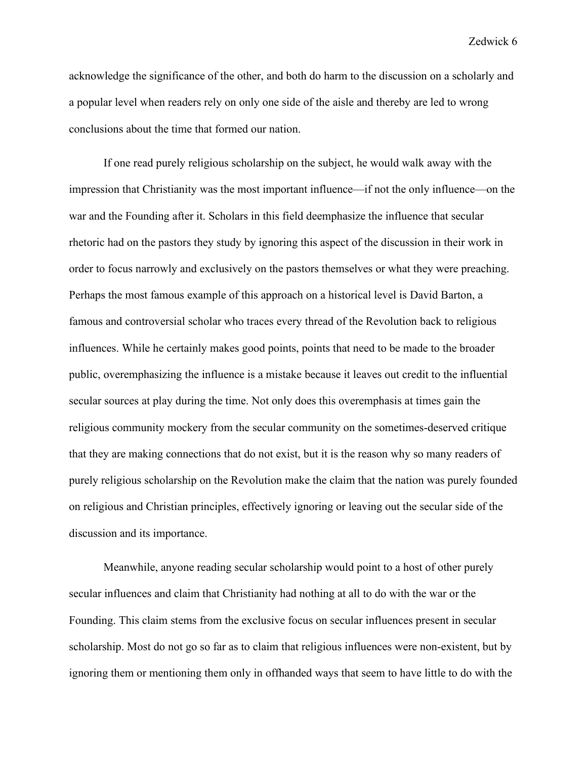acknowledge the significance of the other, and both do harm to the discussion on a scholarly and a popular level when readers rely on only one side of the aisle and thereby are led to wrong conclusions about the time that formed our nation.

If one read purely religious scholarship on the subject, he would walk away with the impression that Christianity was the most important influence—if not the only influence—on the war and the Founding after it. Scholars in this field deemphasize the influence that secular rhetoric had on the pastors they study by ignoring this aspect of the discussion in their work in order to focus narrowly and exclusively on the pastors themselves or what they were preaching. Perhaps the most famous example of this approach on a historical level is David Barton, a famous and controversial scholar who traces every thread of the Revolution back to religious influences. While he certainly makes good points, points that need to be made to the broader public, overemphasizing the influence is a mistake because it leaves out credit to the influential secular sources at play during the time. Not only does this overemphasis at times gain the religious community mockery from the secular community on the sometimes-deserved critique that they are making connections that do not exist, but it is the reason why so many readers of purely religious scholarship on the Revolution make the claim that the nation was purely founded on religious and Christian principles, effectively ignoring or leaving out the secular side of the discussion and its importance.

Meanwhile, anyone reading secular scholarship would point to a host of other purely secular influences and claim that Christianity had nothing at all to do with the war or the Founding. This claim stems from the exclusive focus on secular influences present in secular scholarship. Most do not go so far as to claim that religious influences were non-existent, but by ignoring them or mentioning them only in offhanded ways that seem to have little to do with the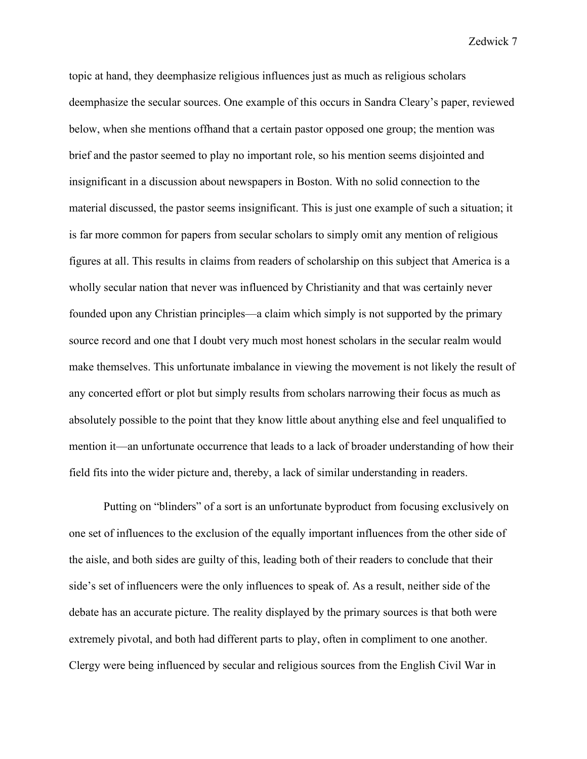topic at hand, they deemphasize religious influences just as much as religious scholars deemphasize the secular sources. One example of this occurs in Sandra Cleary's paper, reviewed below, when she mentions offhand that a certain pastor opposed one group; the mention was brief and the pastor seemed to play no important role, so his mention seems disjointed and insignificant in a discussion about newspapers in Boston. With no solid connection to the material discussed, the pastor seems insignificant. This is just one example of such a situation; it is far more common for papers from secular scholars to simply omit any mention of religious figures at all. This results in claims from readers of scholarship on this subject that America is a wholly secular nation that never was influenced by Christianity and that was certainly never founded upon any Christian principles—a claim which simply is not supported by the primary source record and one that I doubt very much most honest scholars in the secular realm would make themselves. This unfortunate imbalance in viewing the movement is not likely the result of any concerted effort or plot but simply results from scholars narrowing their focus as much as absolutely possible to the point that they know little about anything else and feel unqualified to mention it—an unfortunate occurrence that leads to a lack of broader understanding of how their field fits into the wider picture and, thereby, a lack of similar understanding in readers.

Putting on "blinders" of a sort is an unfortunate byproduct from focusing exclusively on one set of influences to the exclusion of the equally important influences from the other side of the aisle, and both sides are guilty of this, leading both of their readers to conclude that their side's set of influencers were the only influences to speak of. As a result, neither side of the debate has an accurate picture. The reality displayed by the primary sources is that both were extremely pivotal, and both had different parts to play, often in compliment to one another. Clergy were being influenced by secular and religious sources from the English Civil War in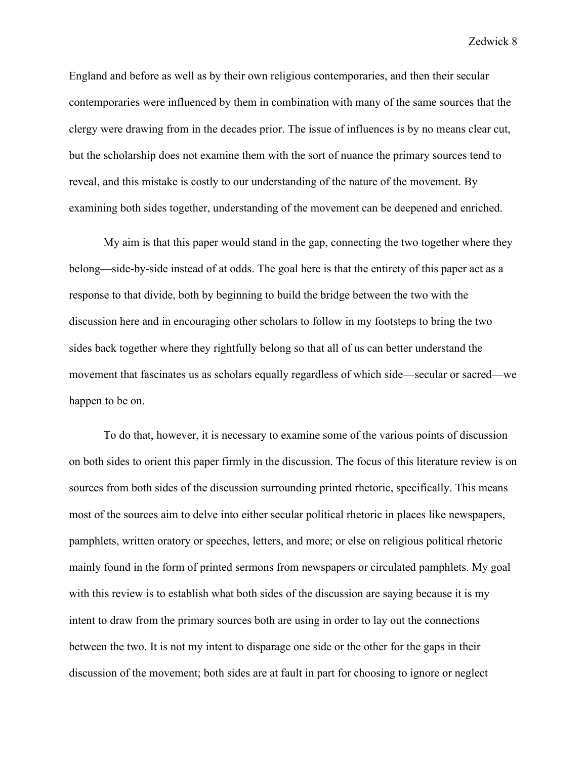England and before as well as by their own religious contemporaries, and then their secular contemporaries were influenced by them in combination with many of the same sources that the clergy were drawing from in the decades prior. The issue of influences is by no means clear cut, but the scholarship does not examine them with the sort of nuance the primary sources tend to reveal, and this mistake is costly to our understanding of the nature of the movement. By examining both sides together, understanding of the movement can be deepened and enriched.

My aim is that this paper would stand in the gap, connecting the two together where they belong—side-by-side instead of at odds. The goal here is that the entirety of this paper act as a response to that divide, both by beginning to build the bridge between the two with the discussion here and in encouraging other scholars to follow in my footsteps to bring the two sides back together where they rightfully belong so that all of us can better understand the movement that fascinates us as scholars equally regardless of which side—secular or sacred—we happen to be on.

To do that, however, it is necessary to examine some of the various points of discussion on both sides to orient this paper firmly in the discussion. The focus of this literature review is on sources from both sides of the discussion surrounding printed rhetoric, specifically. This means most of the sources aim to delve into either secular political rhetoric in places like newspapers, pamphlets, written oratory or speeches, letters, and more; or else on religious political rhetoric mainly found in the form of printed sermons from newspapers or circulated pamphlets. My goal with this review is to establish what both sides of the discussion are saying because it is my intent to draw from the primary sources both are using in order to lay out the connections between the two. It is not my intent to disparage one side or the other for the gaps in their discussion of the movement; both sides are at fault in part for choosing to ignore or neglect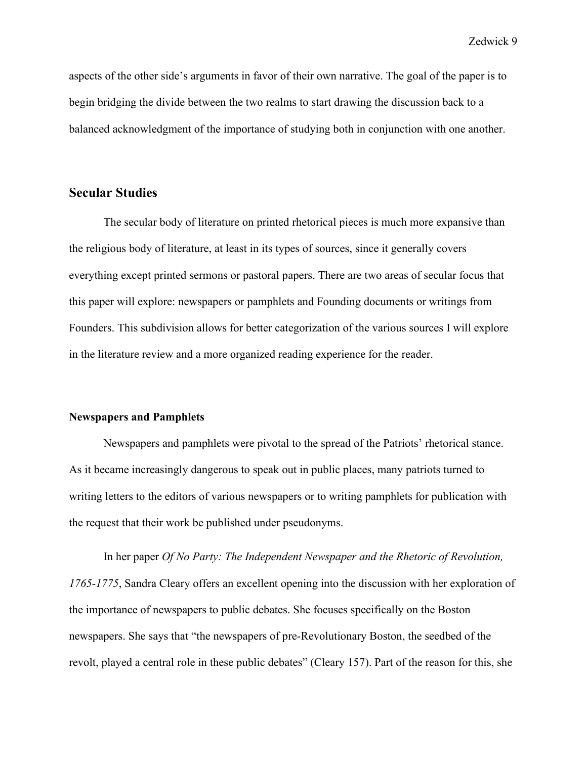aspects of the other side's arguments in favor of their own narrative. The goal of the paper is to begin bridging the divide between the two realms to start drawing the discussion back to a balanced acknowledgment of the importance of studying both in conjunction with one another.

### <span id="page-15-0"></span>**Secular Studies**

The secular body of literature on printed rhetorical pieces is much more expansive than the religious body of literature, at least in its types of sources, since it generally covers everything except printed sermons or pastoral papers. There are two areas of secular focus that this paper will explore: newspapers or pamphlets and Founding documents or writings from Founders. This subdivision allows for better categorization of the various sources I will explore in the literature review and a more organized reading experience for the reader.

### **Newspapers and Pamphlets**

Newspapers and pamphlets were pivotal to the spread of the Patriots' rhetorical stance. As it became increasingly dangerous to speak out in public places, many patriots turned to writing letters to the editors of various newspapers or to writing pamphlets for publication with the request that their work be published under pseudonyms.

In her paper *Of No Party: The Independent Newspaper and the Rhetoric of Revolution, 1765-1775*, Sandra Cleary offers an excellent opening into the discussion with her exploration of the importance of newspapers to public debates. She focuses specifically on the Boston newspapers. She says that "the newspapers of pre-Revolutionary Boston, the seedbed of the revolt, played a central role in these public debates" (Cleary 157). Part of the reason for this, she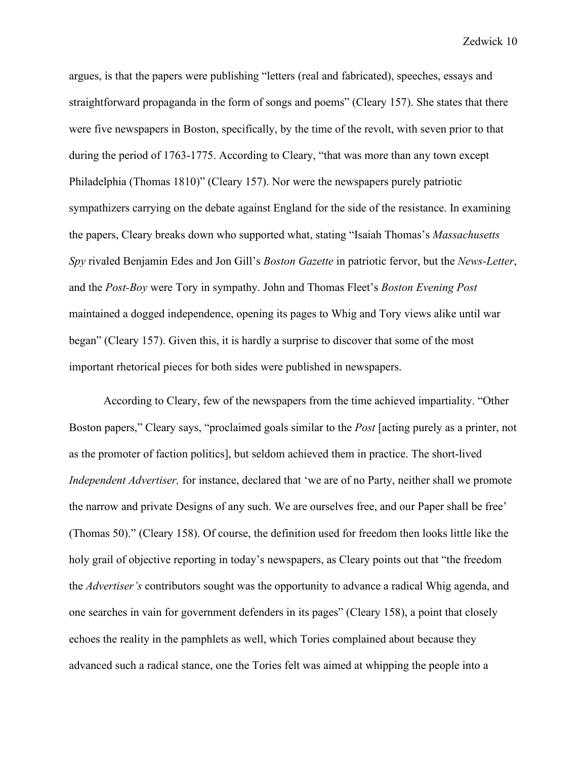argues, is that the papers were publishing "letters (real and fabricated), speeches, essays and straightforward propaganda in the form of songs and poems" (Cleary 157). She states that there were five newspapers in Boston, specifically, by the time of the revolt, with seven prior to that during the period of 1763-1775. According to Cleary, "that was more than any town except Philadelphia (Thomas 1810)" (Cleary 157). Nor were the newspapers purely patriotic sympathizers carrying on the debate against England for the side of the resistance. In examining the papers, Cleary breaks down who supported what, stating "Isaiah Thomas's *Massachusetts Spy* rivaled Benjamin Edes and Jon Gill's *Boston Gazette* in patriotic fervor, but the *News-Letter*, and the *Post-Boy* were Tory in sympathy. John and Thomas Fleet's *Boston Evening Post* maintained a dogged independence, opening its pages to Whig and Tory views alike until war began" (Cleary 157). Given this, it is hardly a surprise to discover that some of the most important rhetorical pieces for both sides were published in newspapers.

According to Cleary, few of the newspapers from the time achieved impartiality. "Other Boston papers," Cleary says, "proclaimed goals similar to the *Post* [acting purely as a printer, not as the promoter of faction politics], but seldom achieved them in practice. The short-lived *Independent Advertiser,* for instance, declared that 'we are of no Party, neither shall we promote the narrow and private Designs of any such. We are ourselves free, and our Paper shall be free' (Thomas 50)." (Cleary 158). Of course, the definition used for freedom then looks little like the holy grail of objective reporting in today's newspapers, as Cleary points out that "the freedom the *Advertiser's* contributors sought was the opportunity to advance a radical Whig agenda, and one searches in vain for government defenders in its pages" (Cleary 158), a point that closely echoes the reality in the pamphlets as well, which Tories complained about because they advanced such a radical stance, one the Tories felt was aimed at whipping the people into a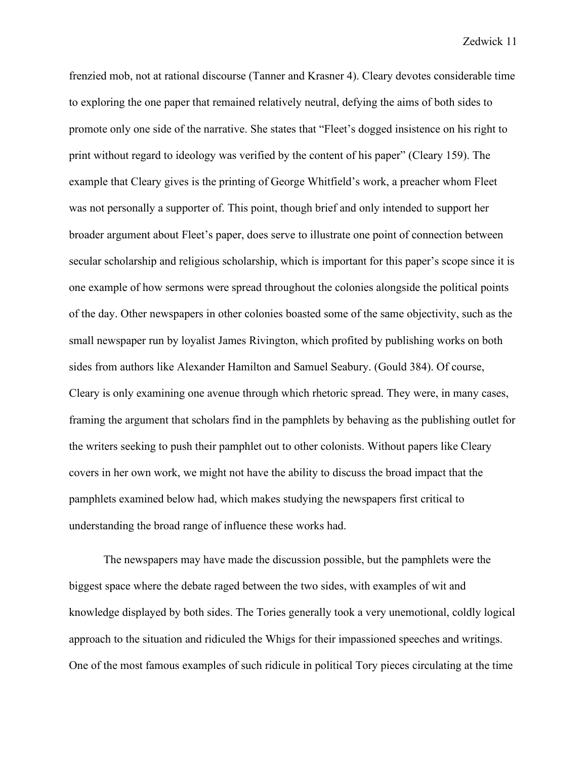frenzied mob, not at rational discourse (Tanner and Krasner 4). Cleary devotes considerable time to exploring the one paper that remained relatively neutral, defying the aims of both sides to promote only one side of the narrative. She states that "Fleet's dogged insistence on his right to print without regard to ideology was verified by the content of his paper" (Cleary 159). The example that Cleary gives is the printing of George Whitfield's work, a preacher whom Fleet was not personally a supporter of. This point, though brief and only intended to support her broader argument about Fleet's paper, does serve to illustrate one point of connection between secular scholarship and religious scholarship, which is important for this paper's scope since it is one example of how sermons were spread throughout the colonies alongside the political points of the day. Other newspapers in other colonies boasted some of the same objectivity, such as the small newspaper run by loyalist James Rivington, which profited by publishing works on both sides from authors like Alexander Hamilton and Samuel Seabury. (Gould 384). Of course, Cleary is only examining one avenue through which rhetoric spread. They were, in many cases, framing the argument that scholars find in the pamphlets by behaving as the publishing outlet for the writers seeking to push their pamphlet out to other colonists. Without papers like Cleary covers in her own work, we might not have the ability to discuss the broad impact that the pamphlets examined below had, which makes studying the newspapers first critical to understanding the broad range of influence these works had.

The newspapers may have made the discussion possible, but the pamphlets were the biggest space where the debate raged between the two sides, with examples of wit and knowledge displayed by both sides. The Tories generally took a very unemotional, coldly logical approach to the situation and ridiculed the Whigs for their impassioned speeches and writings. One of the most famous examples of such ridicule in political Tory pieces circulating at the time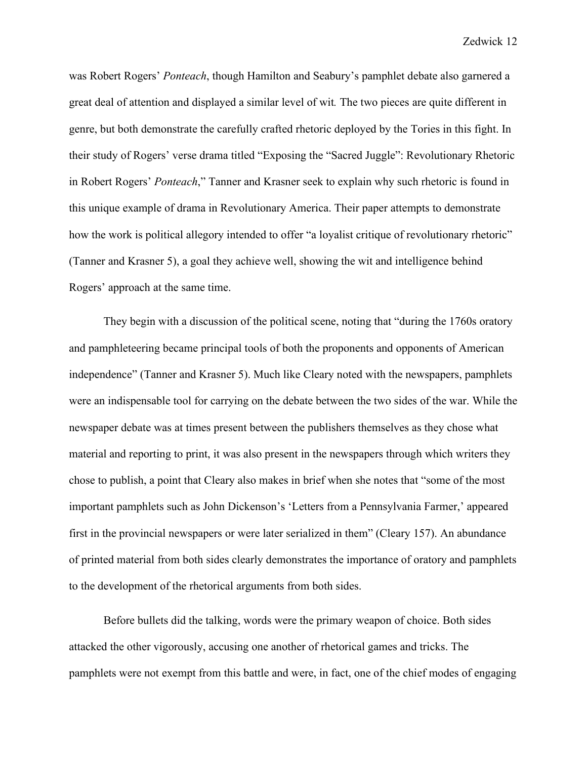was Robert Rogers' *Ponteach*, though Hamilton and Seabury's pamphlet debate also garnered a great deal of attention and displayed a similar level of wit*.* The two pieces are quite different in genre, but both demonstrate the carefully crafted rhetoric deployed by the Tories in this fight. In their study of Rogers' verse drama titled "Exposing the "Sacred Juggle": Revolutionary Rhetoric in Robert Rogers' *Ponteach*," Tanner and Krasner seek to explain why such rhetoric is found in this unique example of drama in Revolutionary America. Their paper attempts to demonstrate how the work is political allegory intended to offer "a loyalist critique of revolutionary rhetoric" (Tanner and Krasner 5), a goal they achieve well, showing the wit and intelligence behind Rogers' approach at the same time.

They begin with a discussion of the political scene, noting that "during the 1760s oratory and pamphleteering became principal tools of both the proponents and opponents of American independence" (Tanner and Krasner 5). Much like Cleary noted with the newspapers, pamphlets were an indispensable tool for carrying on the debate between the two sides of the war. While the newspaper debate was at times present between the publishers themselves as they chose what material and reporting to print, it was also present in the newspapers through which writers they chose to publish, a point that Cleary also makes in brief when she notes that "some of the most important pamphlets such as John Dickenson's 'Letters from a Pennsylvania Farmer,' appeared first in the provincial newspapers or were later serialized in them" (Cleary 157). An abundance of printed material from both sides clearly demonstrates the importance of oratory and pamphlets to the development of the rhetorical arguments from both sides.

Before bullets did the talking, words were the primary weapon of choice. Both sides attacked the other vigorously, accusing one another of rhetorical games and tricks. The pamphlets were not exempt from this battle and were, in fact, one of the chief modes of engaging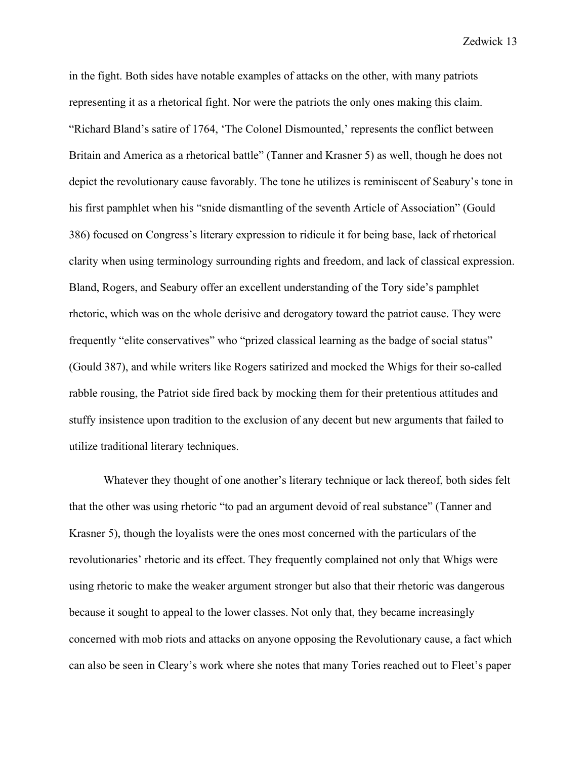in the fight. Both sides have notable examples of attacks on the other, with many patriots representing it as a rhetorical fight. Nor were the patriots the only ones making this claim. "Richard Bland's satire of 1764, 'The Colonel Dismounted,' represents the conflict between Britain and America as a rhetorical battle" (Tanner and Krasner 5) as well, though he does not depict the revolutionary cause favorably. The tone he utilizes is reminiscent of Seabury's tone in his first pamphlet when his "snide dismantling of the seventh Article of Association" (Gould 386) focused on Congress's literary expression to ridicule it for being base, lack of rhetorical clarity when using terminology surrounding rights and freedom, and lack of classical expression. Bland, Rogers, and Seabury offer an excellent understanding of the Tory side's pamphlet rhetoric, which was on the whole derisive and derogatory toward the patriot cause. They were frequently "elite conservatives" who "prized classical learning as the badge of social status" (Gould 387), and while writers like Rogers satirized and mocked the Whigs for their so-called rabble rousing, the Patriot side fired back by mocking them for their pretentious attitudes and stuffy insistence upon tradition to the exclusion of any decent but new arguments that failed to utilize traditional literary techniques.

Whatever they thought of one another's literary technique or lack thereof, both sides felt that the other was using rhetoric "to pad an argument devoid of real substance" (Tanner and Krasner 5), though the loyalists were the ones most concerned with the particulars of the revolutionaries' rhetoric and its effect. They frequently complained not only that Whigs were using rhetoric to make the weaker argument stronger but also that their rhetoric was dangerous because it sought to appeal to the lower classes. Not only that, they became increasingly concerned with mob riots and attacks on anyone opposing the Revolutionary cause, a fact which can also be seen in Cleary's work where she notes that many Tories reached out to Fleet's paper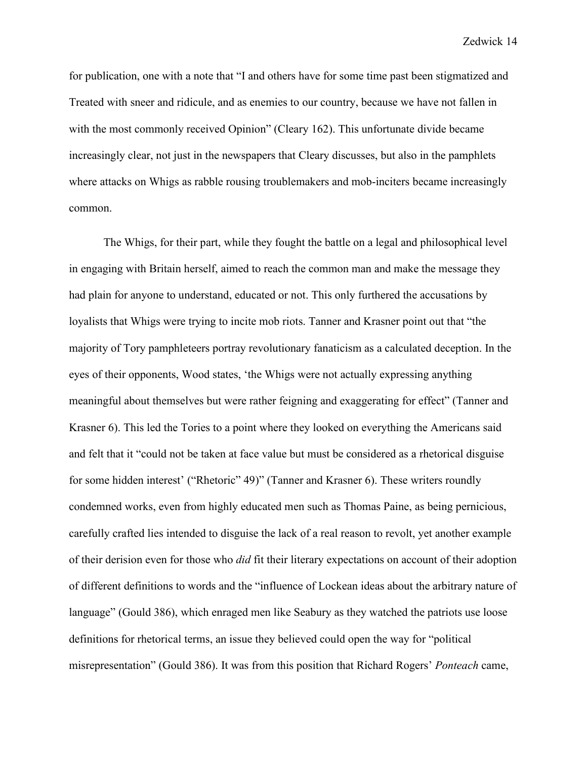for publication, one with a note that "I and others have for some time past been stigmatized and Treated with sneer and ridicule, and as enemies to our country, because we have not fallen in with the most commonly received Opinion" (Cleary 162). This unfortunate divide became increasingly clear, not just in the newspapers that Cleary discusses, but also in the pamphlets where attacks on Whigs as rabble rousing troublemakers and mob-inciters became increasingly common.

The Whigs, for their part, while they fought the battle on a legal and philosophical level in engaging with Britain herself, aimed to reach the common man and make the message they had plain for anyone to understand, educated or not. This only furthered the accusations by loyalists that Whigs were trying to incite mob riots. Tanner and Krasner point out that "the majority of Tory pamphleteers portray revolutionary fanaticism as a calculated deception. In the eyes of their opponents, Wood states, 'the Whigs were not actually expressing anything meaningful about themselves but were rather feigning and exaggerating for effect" (Tanner and Krasner 6). This led the Tories to a point where they looked on everything the Americans said and felt that it "could not be taken at face value but must be considered as a rhetorical disguise for some hidden interest' ("Rhetoric" 49)" (Tanner and Krasner 6). These writers roundly condemned works, even from highly educated men such as Thomas Paine, as being pernicious, carefully crafted lies intended to disguise the lack of a real reason to revolt, yet another example of their derision even for those who *did* fit their literary expectations on account of their adoption of different definitions to words and the "influence of Lockean ideas about the arbitrary nature of language" (Gould 386), which enraged men like Seabury as they watched the patriots use loose definitions for rhetorical terms, an issue they believed could open the way for "political misrepresentation" (Gould 386). It was from this position that Richard Rogers' *Ponteach* came,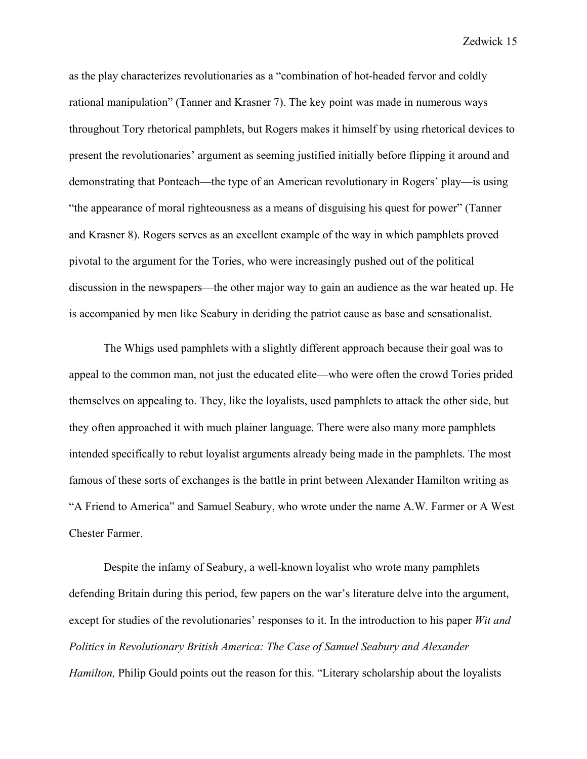as the play characterizes revolutionaries as a "combination of hot-headed fervor and coldly rational manipulation" (Tanner and Krasner 7). The key point was made in numerous ways throughout Tory rhetorical pamphlets, but Rogers makes it himself by using rhetorical devices to present the revolutionaries' argument as seeming justified initially before flipping it around and demonstrating that Ponteach—the type of an American revolutionary in Rogers' play—is using "the appearance of moral righteousness as a means of disguising his quest for power" (Tanner and Krasner 8). Rogers serves as an excellent example of the way in which pamphlets proved pivotal to the argument for the Tories, who were increasingly pushed out of the political discussion in the newspapers—the other major way to gain an audience as the war heated up. He is accompanied by men like Seabury in deriding the patriot cause as base and sensationalist.

The Whigs used pamphlets with a slightly different approach because their goal was to appeal to the common man, not just the educated elite—who were often the crowd Tories prided themselves on appealing to. They, like the loyalists, used pamphlets to attack the other side, but they often approached it with much plainer language. There were also many more pamphlets intended specifically to rebut loyalist arguments already being made in the pamphlets. The most famous of these sorts of exchanges is the battle in print between Alexander Hamilton writing as "A Friend to America" and Samuel Seabury, who wrote under the name A.W. Farmer or A West Chester Farmer.

Despite the infamy of Seabury, a well-known loyalist who wrote many pamphlets defending Britain during this period, few papers on the war's literature delve into the argument, except for studies of the revolutionaries' responses to it. In the introduction to his paper *Wit and Politics in Revolutionary British America: The Case of Samuel Seabury and Alexander Hamilton*, Philip Gould points out the reason for this. "Literary scholarship about the loyalists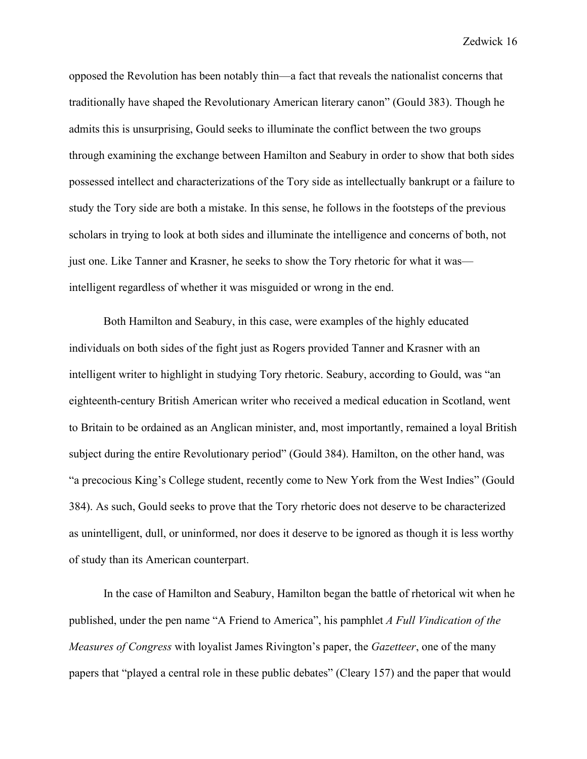opposed the Revolution has been notably thin—a fact that reveals the nationalist concerns that traditionally have shaped the Revolutionary American literary canon" (Gould 383). Though he admits this is unsurprising, Gould seeks to illuminate the conflict between the two groups through examining the exchange between Hamilton and Seabury in order to show that both sides possessed intellect and characterizations of the Tory side as intellectually bankrupt or a failure to study the Tory side are both a mistake. In this sense, he follows in the footsteps of the previous scholars in trying to look at both sides and illuminate the intelligence and concerns of both, not just one. Like Tanner and Krasner, he seeks to show the Tory rhetoric for what it was intelligent regardless of whether it was misguided or wrong in the end.

Both Hamilton and Seabury, in this case, were examples of the highly educated individuals on both sides of the fight just as Rogers provided Tanner and Krasner with an intelligent writer to highlight in studying Tory rhetoric. Seabury, according to Gould, was "an eighteenth-century British American writer who received a medical education in Scotland, went to Britain to be ordained as an Anglican minister, and, most importantly, remained a loyal British subject during the entire Revolutionary period" (Gould 384). Hamilton, on the other hand, was "a precocious King's College student, recently come to New York from the West Indies" (Gould 384). As such, Gould seeks to prove that the Tory rhetoric does not deserve to be characterized as unintelligent, dull, or uninformed, nor does it deserve to be ignored as though it is less worthy of study than its American counterpart.

In the case of Hamilton and Seabury, Hamilton began the battle of rhetorical wit when he published, under the pen name "A Friend to America", his pamphlet *A Full Vindication of the Measures of Congress* with loyalist James Rivington's paper, the *Gazetteer*, one of the many papers that "played a central role in these public debates" (Cleary 157) and the paper that would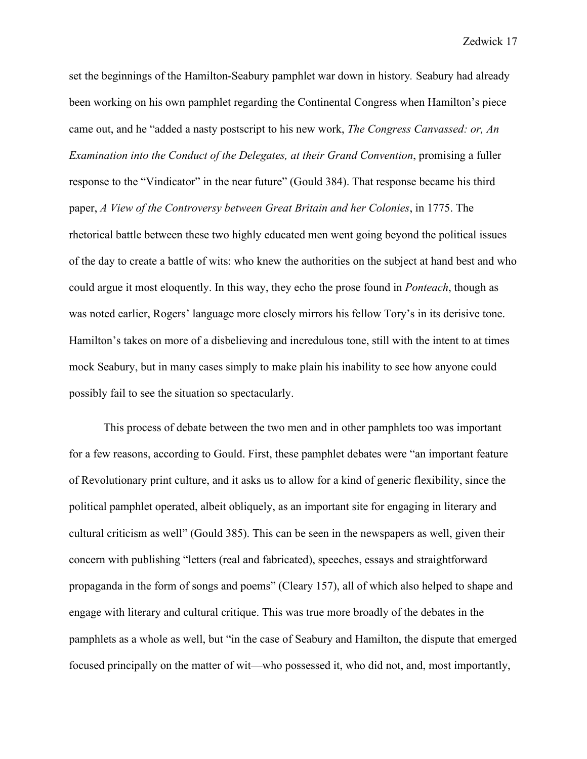set the beginnings of the Hamilton-Seabury pamphlet war down in history*.* Seabury had already been working on his own pamphlet regarding the Continental Congress when Hamilton's piece came out, and he "added a nasty postscript to his new work, *The Congress Canvassed: or, An Examination into the Conduct of the Delegates, at their Grand Convention*, promising a fuller response to the "Vindicator" in the near future" (Gould 384). That response became his third paper, *A View of the Controversy between Great Britain and her Colonies*, in 1775. The rhetorical battle between these two highly educated men went going beyond the political issues of the day to create a battle of wits: who knew the authorities on the subject at hand best and who could argue it most eloquently. In this way, they echo the prose found in *Ponteach*, though as was noted earlier, Rogers' language more closely mirrors his fellow Tory's in its derisive tone. Hamilton's takes on more of a disbelieving and incredulous tone, still with the intent to at times mock Seabury, but in many cases simply to make plain his inability to see how anyone could possibly fail to see the situation so spectacularly.

This process of debate between the two men and in other pamphlets too was important for a few reasons, according to Gould. First, these pamphlet debates were "an important feature of Revolutionary print culture, and it asks us to allow for a kind of generic flexibility, since the political pamphlet operated, albeit obliquely, as an important site for engaging in literary and cultural criticism as well" (Gould 385). This can be seen in the newspapers as well, given their concern with publishing "letters (real and fabricated), speeches, essays and straightforward propaganda in the form of songs and poems" (Cleary 157), all of which also helped to shape and engage with literary and cultural critique. This was true more broadly of the debates in the pamphlets as a whole as well, but "in the case of Seabury and Hamilton, the dispute that emerged focused principally on the matter of wit—who possessed it, who did not, and, most importantly,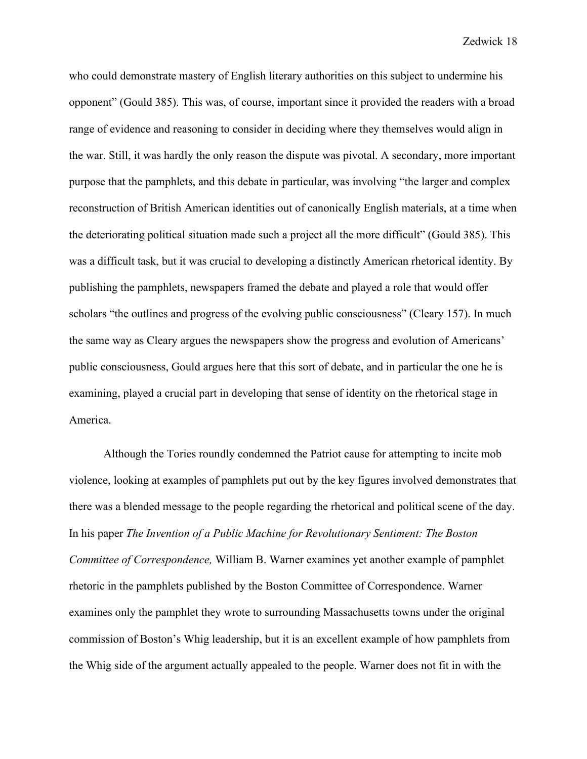who could demonstrate mastery of English literary authorities on this subject to undermine his opponent" (Gould 385). This was, of course, important since it provided the readers with a broad range of evidence and reasoning to consider in deciding where they themselves would align in the war. Still, it was hardly the only reason the dispute was pivotal. A secondary, more important purpose that the pamphlets, and this debate in particular, was involving "the larger and complex reconstruction of British American identities out of canonically English materials, at a time when the deteriorating political situation made such a project all the more difficult" (Gould 385). This was a difficult task, but it was crucial to developing a distinctly American rhetorical identity. By publishing the pamphlets, newspapers framed the debate and played a role that would offer scholars "the outlines and progress of the evolving public consciousness" (Cleary 157). In much the same way as Cleary argues the newspapers show the progress and evolution of Americans' public consciousness, Gould argues here that this sort of debate, and in particular the one he is examining, played a crucial part in developing that sense of identity on the rhetorical stage in America.

Although the Tories roundly condemned the Patriot cause for attempting to incite mob violence, looking at examples of pamphlets put out by the key figures involved demonstrates that there was a blended message to the people regarding the rhetorical and political scene of the day. In his paper *The Invention of a Public Machine for Revolutionary Sentiment: The Boston Committee of Correspondence,* William B. Warner examines yet another example of pamphlet rhetoric in the pamphlets published by the Boston Committee of Correspondence. Warner examines only the pamphlet they wrote to surrounding Massachusetts towns under the original commission of Boston's Whig leadership, but it is an excellent example of how pamphlets from the Whig side of the argument actually appealed to the people. Warner does not fit in with the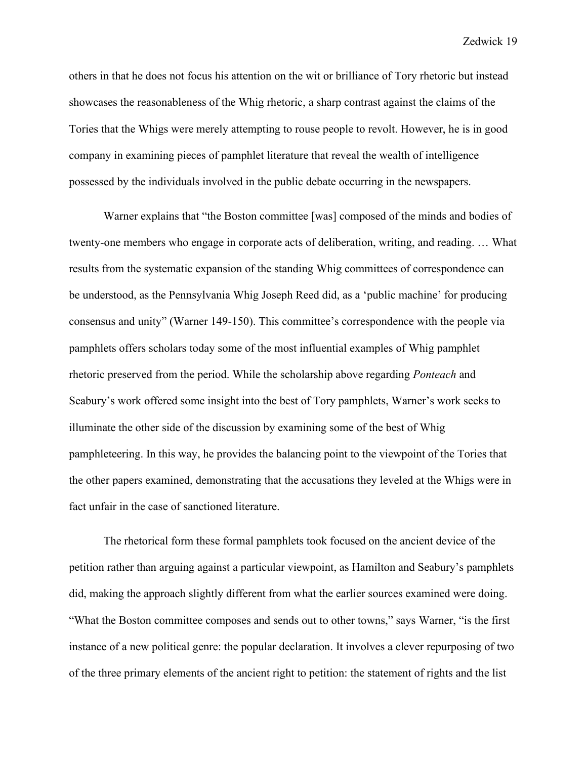others in that he does not focus his attention on the wit or brilliance of Tory rhetoric but instead showcases the reasonableness of the Whig rhetoric, a sharp contrast against the claims of the Tories that the Whigs were merely attempting to rouse people to revolt. However, he is in good company in examining pieces of pamphlet literature that reveal the wealth of intelligence possessed by the individuals involved in the public debate occurring in the newspapers.

Warner explains that "the Boston committee [was] composed of the minds and bodies of twenty-one members who engage in corporate acts of deliberation, writing, and reading. … What results from the systematic expansion of the standing Whig committees of correspondence can be understood, as the Pennsylvania Whig Joseph Reed did, as a 'public machine' for producing consensus and unity" (Warner 149-150). This committee's correspondence with the people via pamphlets offers scholars today some of the most influential examples of Whig pamphlet rhetoric preserved from the period. While the scholarship above regarding *Ponteach* and Seabury's work offered some insight into the best of Tory pamphlets, Warner's work seeks to illuminate the other side of the discussion by examining some of the best of Whig pamphleteering. In this way, he provides the balancing point to the viewpoint of the Tories that the other papers examined, demonstrating that the accusations they leveled at the Whigs were in fact unfair in the case of sanctioned literature.

The rhetorical form these formal pamphlets took focused on the ancient device of the petition rather than arguing against a particular viewpoint, as Hamilton and Seabury's pamphlets did, making the approach slightly different from what the earlier sources examined were doing. "What the Boston committee composes and sends out to other towns," says Warner, "is the first instance of a new political genre: the popular declaration. It involves a clever repurposing of two of the three primary elements of the ancient right to petition: the statement of rights and the list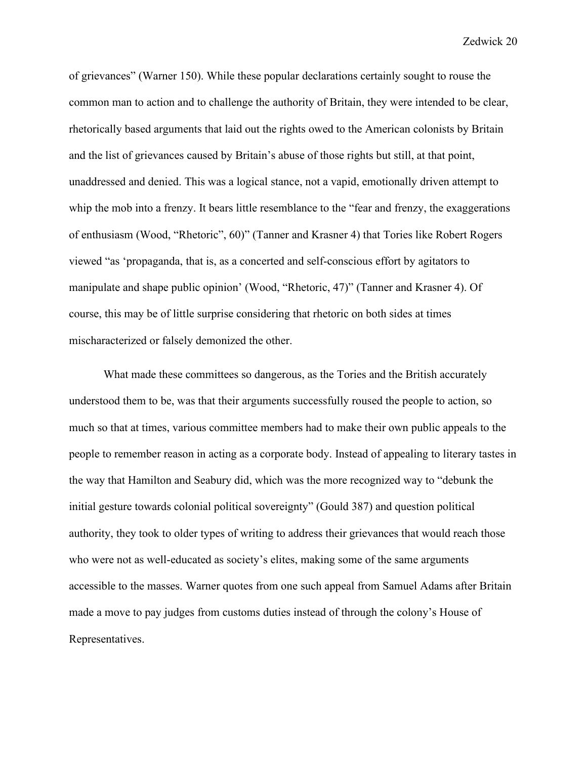of grievances" (Warner 150). While these popular declarations certainly sought to rouse the common man to action and to challenge the authority of Britain, they were intended to be clear, rhetorically based arguments that laid out the rights owed to the American colonists by Britain and the list of grievances caused by Britain's abuse of those rights but still, at that point, unaddressed and denied. This was a logical stance, not a vapid, emotionally driven attempt to whip the mob into a frenzy. It bears little resemblance to the "fear and frenzy, the exaggerations" of enthusiasm (Wood, "Rhetoric", 60)" (Tanner and Krasner 4) that Tories like Robert Rogers viewed "as 'propaganda, that is, as a concerted and self-conscious effort by agitators to manipulate and shape public opinion' (Wood, "Rhetoric, 47)" (Tanner and Krasner 4). Of course, this may be of little surprise considering that rhetoric on both sides at times mischaracterized or falsely demonized the other.

What made these committees so dangerous, as the Tories and the British accurately understood them to be, was that their arguments successfully roused the people to action, so much so that at times, various committee members had to make their own public appeals to the people to remember reason in acting as a corporate body. Instead of appealing to literary tastes in the way that Hamilton and Seabury did, which was the more recognized way to "debunk the initial gesture towards colonial political sovereignty" (Gould 387) and question political authority, they took to older types of writing to address their grievances that would reach those who were not as well-educated as society's elites, making some of the same arguments accessible to the masses. Warner quotes from one such appeal from Samuel Adams after Britain made a move to pay judges from customs duties instead of through the colony's House of Representatives.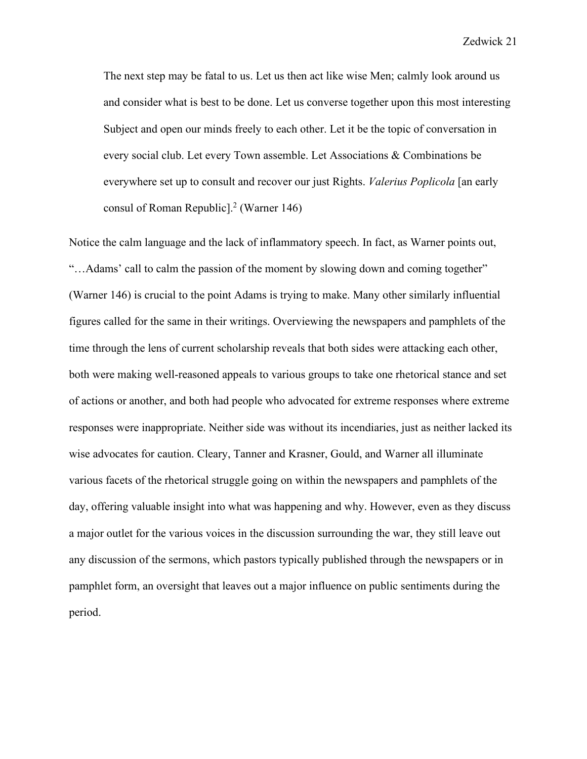The next step may be fatal to us. Let us then act like wise Men; calmly look around us and consider what is best to be done. Let us converse together upon this most interesting Subject and open our minds freely to each other. Let it be the topic of conversation in every social club. Let every Town assemble. Let Associations & Combinations be everywhere set up to consult and recover our just Rights. *Valerius Poplicola* [an early consul of Roman Republic<sup>[2]</sup> (Warner 146)

Notice the calm language and the lack of inflammatory speech. In fact, as Warner points out, "…Adams' call to calm the passion of the moment by slowing down and coming together" (Warner 146) is crucial to the point Adams is trying to make. Many other similarly influential figures called for the same in their writings. Overviewing the newspapers and pamphlets of the time through the lens of current scholarship reveals that both sides were attacking each other, both were making well-reasoned appeals to various groups to take one rhetorical stance and set of actions or another, and both had people who advocated for extreme responses where extreme responses were inappropriate. Neither side was without its incendiaries, just as neither lacked its wise advocates for caution. Cleary, Tanner and Krasner, Gould, and Warner all illuminate various facets of the rhetorical struggle going on within the newspapers and pamphlets of the day, offering valuable insight into what was happening and why. However, even as they discuss a major outlet for the various voices in the discussion surrounding the war, they still leave out any discussion of the sermons, which pastors typically published through the newspapers or in pamphlet form, an oversight that leaves out a major influence on public sentiments during the period.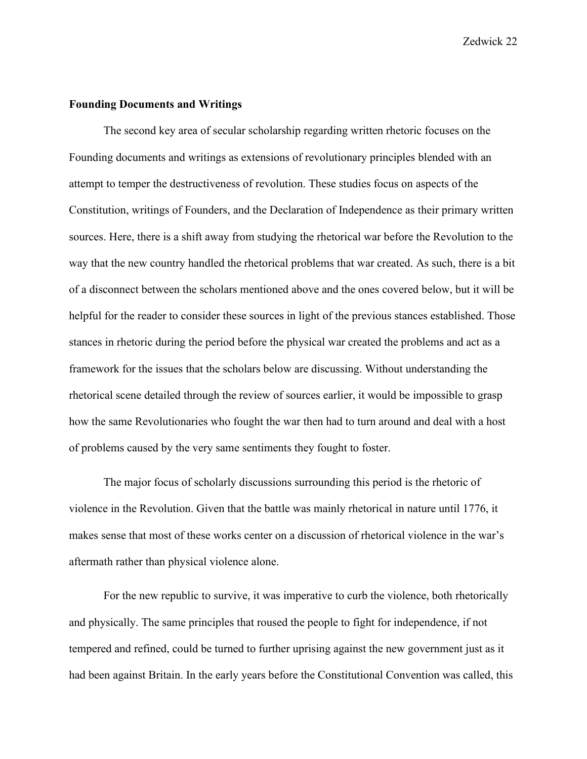#### **Founding Documents and Writings**

The second key area of secular scholarship regarding written rhetoric focuses on the Founding documents and writings as extensions of revolutionary principles blended with an attempt to temper the destructiveness of revolution. These studies focus on aspects of the Constitution, writings of Founders, and the Declaration of Independence as their primary written sources. Here, there is a shift away from studying the rhetorical war before the Revolution to the way that the new country handled the rhetorical problems that war created. As such, there is a bit of a disconnect between the scholars mentioned above and the ones covered below, but it will be helpful for the reader to consider these sources in light of the previous stances established. Those stances in rhetoric during the period before the physical war created the problems and act as a framework for the issues that the scholars below are discussing. Without understanding the rhetorical scene detailed through the review of sources earlier, it would be impossible to grasp how the same Revolutionaries who fought the war then had to turn around and deal with a host of problems caused by the very same sentiments they fought to foster.

The major focus of scholarly discussions surrounding this period is the rhetoric of violence in the Revolution. Given that the battle was mainly rhetorical in nature until 1776, it makes sense that most of these works center on a discussion of rhetorical violence in the war's aftermath rather than physical violence alone.

For the new republic to survive, it was imperative to curb the violence, both rhetorically and physically. The same principles that roused the people to fight for independence, if not tempered and refined, could be turned to further uprising against the new government just as it had been against Britain. In the early years before the Constitutional Convention was called, this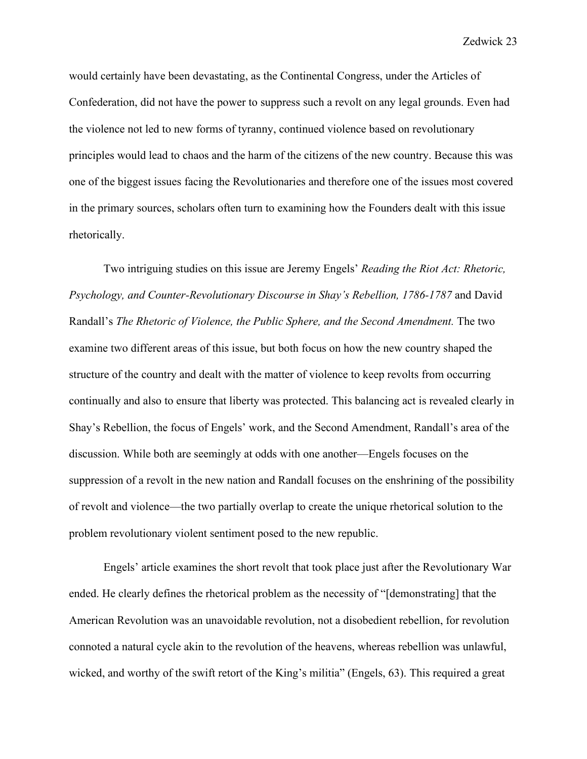would certainly have been devastating, as the Continental Congress, under the Articles of Confederation, did not have the power to suppress such a revolt on any legal grounds. Even had the violence not led to new forms of tyranny, continued violence based on revolutionary principles would lead to chaos and the harm of the citizens of the new country. Because this was one of the biggest issues facing the Revolutionaries and therefore one of the issues most covered in the primary sources, scholars often turn to examining how the Founders dealt with this issue rhetorically.

Two intriguing studies on this issue are Jeremy Engels' *Reading the Riot Act: Rhetoric, Psychology, and Counter-Revolutionary Discourse in Shay's Rebellion, 1786-1787* and David Randall's *The Rhetoric of Violence, the Public Sphere, and the Second Amendment.* The two examine two different areas of this issue, but both focus on how the new country shaped the structure of the country and dealt with the matter of violence to keep revolts from occurring continually and also to ensure that liberty was protected. This balancing act is revealed clearly in Shay's Rebellion, the focus of Engels' work, and the Second Amendment, Randall's area of the discussion. While both are seemingly at odds with one another—Engels focuses on the suppression of a revolt in the new nation and Randall focuses on the enshrining of the possibility of revolt and violence—the two partially overlap to create the unique rhetorical solution to the problem revolutionary violent sentiment posed to the new republic.

Engels' article examines the short revolt that took place just after the Revolutionary War ended. He clearly defines the rhetorical problem as the necessity of "[demonstrating] that the American Revolution was an unavoidable revolution, not a disobedient rebellion, for revolution connoted a natural cycle akin to the revolution of the heavens, whereas rebellion was unlawful, wicked, and worthy of the swift retort of the King's militia" (Engels, 63). This required a great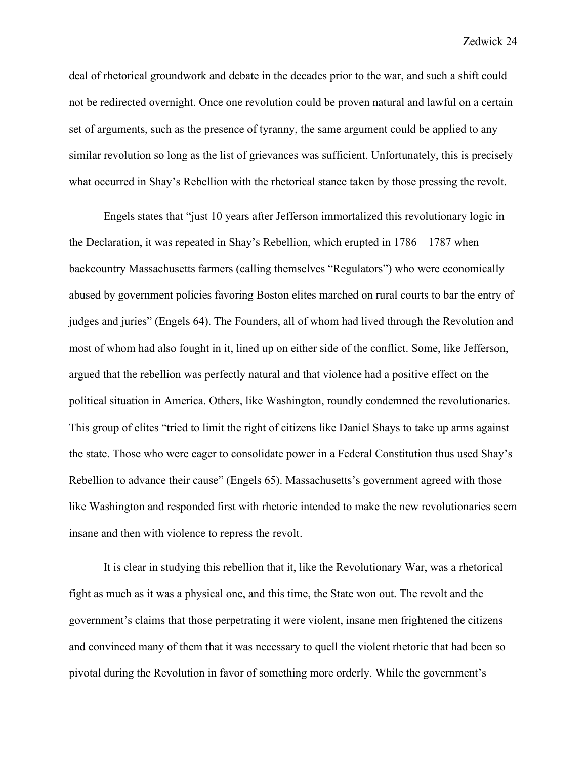deal of rhetorical groundwork and debate in the decades prior to the war, and such a shift could not be redirected overnight. Once one revolution could be proven natural and lawful on a certain set of arguments, such as the presence of tyranny, the same argument could be applied to any similar revolution so long as the list of grievances was sufficient. Unfortunately, this is precisely what occurred in Shay's Rebellion with the rhetorical stance taken by those pressing the revolt.

Engels states that "just 10 years after Jefferson immortalized this revolutionary logic in the Declaration, it was repeated in Shay's Rebellion, which erupted in 1786—1787 when backcountry Massachusetts farmers (calling themselves "Regulators") who were economically abused by government policies favoring Boston elites marched on rural courts to bar the entry of judges and juries" (Engels 64). The Founders, all of whom had lived through the Revolution and most of whom had also fought in it, lined up on either side of the conflict. Some, like Jefferson, argued that the rebellion was perfectly natural and that violence had a positive effect on the political situation in America. Others, like Washington, roundly condemned the revolutionaries. This group of elites "tried to limit the right of citizens like Daniel Shays to take up arms against the state. Those who were eager to consolidate power in a Federal Constitution thus used Shay's Rebellion to advance their cause" (Engels 65). Massachusetts's government agreed with those like Washington and responded first with rhetoric intended to make the new revolutionaries seem insane and then with violence to repress the revolt.

It is clear in studying this rebellion that it, like the Revolutionary War, was a rhetorical fight as much as it was a physical one, and this time, the State won out. The revolt and the government's claims that those perpetrating it were violent, insane men frightened the citizens and convinced many of them that it was necessary to quell the violent rhetoric that had been so pivotal during the Revolution in favor of something more orderly. While the government's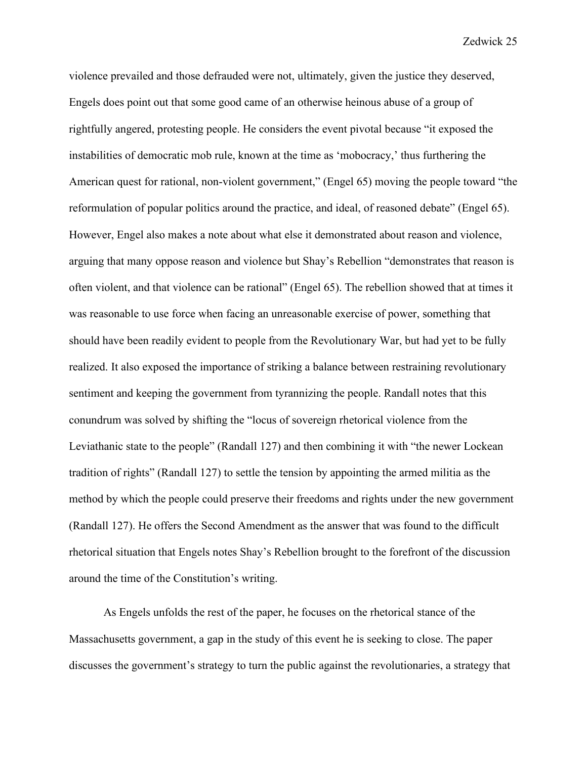violence prevailed and those defrauded were not, ultimately, given the justice they deserved, Engels does point out that some good came of an otherwise heinous abuse of a group of rightfully angered, protesting people. He considers the event pivotal because "it exposed the instabilities of democratic mob rule, known at the time as 'mobocracy,' thus furthering the American quest for rational, non-violent government," (Engel 65) moving the people toward "the reformulation of popular politics around the practice, and ideal, of reasoned debate" (Engel 65). However, Engel also makes a note about what else it demonstrated about reason and violence, arguing that many oppose reason and violence but Shay's Rebellion "demonstrates that reason is often violent, and that violence can be rational" (Engel 65). The rebellion showed that at times it was reasonable to use force when facing an unreasonable exercise of power, something that should have been readily evident to people from the Revolutionary War, but had yet to be fully realized. It also exposed the importance of striking a balance between restraining revolutionary sentiment and keeping the government from tyrannizing the people. Randall notes that this conundrum was solved by shifting the "locus of sovereign rhetorical violence from the Leviathanic state to the people" (Randall 127) and then combining it with "the newer Lockean tradition of rights" (Randall 127) to settle the tension by appointing the armed militia as the method by which the people could preserve their freedoms and rights under the new government (Randall 127). He offers the Second Amendment as the answer that was found to the difficult rhetorical situation that Engels notes Shay's Rebellion brought to the forefront of the discussion around the time of the Constitution's writing.

As Engels unfolds the rest of the paper, he focuses on the rhetorical stance of the Massachusetts government, a gap in the study of this event he is seeking to close. The paper discusses the government's strategy to turn the public against the revolutionaries, a strategy that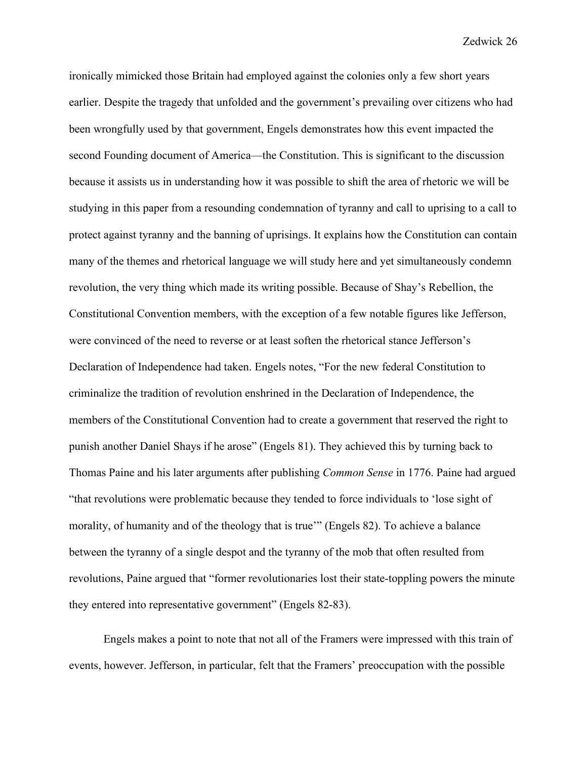ironically mimicked those Britain had employed against the colonies only a few short years earlier. Despite the tragedy that unfolded and the government's prevailing over citizens who had been wrongfully used by that government, Engels demonstrates how this event impacted the second Founding document of America—the Constitution. This is significant to the discussion because it assists us in understanding how it was possible to shift the area of rhetoric we will be studying in this paper from a resounding condemnation of tyranny and call to uprising to a call to protect against tyranny and the banning of uprisings. It explains how the Constitution can contain many of the themes and rhetorical language we will study here and yet simultaneously condemn revolution, the very thing which made its writing possible. Because of Shay's Rebellion, the Constitutional Convention members, with the exception of a few notable figures like Jefferson, were convinced of the need to reverse or at least soften the rhetorical stance Jefferson's Declaration of Independence had taken. Engels notes, "For the new federal Constitution to criminalize the tradition of revolution enshrined in the Declaration of Independence, the members of the Constitutional Convention had to create a government that reserved the right to punish another Daniel Shays if he arose" (Engels 81). They achieved this by turning back to Thomas Paine and his later arguments after publishing *Common Sense* in 1776. Paine had argued "that revolutions were problematic because they tended to force individuals to 'lose sight of morality, of humanity and of the theology that is true'" (Engels 82). To achieve a balance between the tyranny of a single despot and the tyranny of the mob that often resulted from revolutions, Paine argued that "former revolutionaries lost their state-toppling powers the minute they entered into representative government" (Engels 82-83).

Engels makes a point to note that not all of the Framers were impressed with this train of events, however. Jefferson, in particular, felt that the Framers' preoccupation with the possible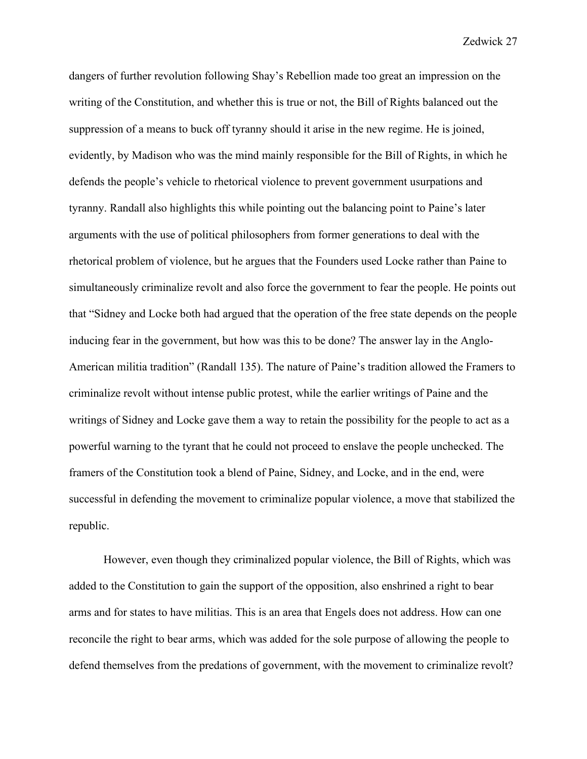dangers of further revolution following Shay's Rebellion made too great an impression on the writing of the Constitution, and whether this is true or not, the Bill of Rights balanced out the suppression of a means to buck off tyranny should it arise in the new regime. He is joined, evidently, by Madison who was the mind mainly responsible for the Bill of Rights, in which he defends the people's vehicle to rhetorical violence to prevent government usurpations and tyranny. Randall also highlights this while pointing out the balancing point to Paine's later arguments with the use of political philosophers from former generations to deal with the rhetorical problem of violence, but he argues that the Founders used Locke rather than Paine to simultaneously criminalize revolt and also force the government to fear the people. He points out that "Sidney and Locke both had argued that the operation of the free state depends on the people inducing fear in the government, but how was this to be done? The answer lay in the Anglo-American militia tradition" (Randall 135). The nature of Paine's tradition allowed the Framers to criminalize revolt without intense public protest, while the earlier writings of Paine and the writings of Sidney and Locke gave them a way to retain the possibility for the people to act as a powerful warning to the tyrant that he could not proceed to enslave the people unchecked. The framers of the Constitution took a blend of Paine, Sidney, and Locke, and in the end, were successful in defending the movement to criminalize popular violence, a move that stabilized the republic.

However, even though they criminalized popular violence, the Bill of Rights, which was added to the Constitution to gain the support of the opposition, also enshrined a right to bear arms and for states to have militias. This is an area that Engels does not address. How can one reconcile the right to bear arms, which was added for the sole purpose of allowing the people to defend themselves from the predations of government, with the movement to criminalize revolt?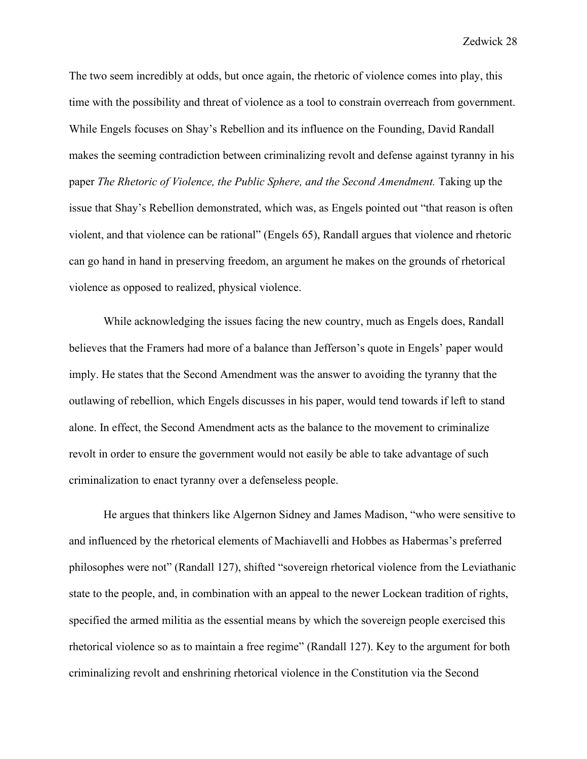The two seem incredibly at odds, but once again, the rhetoric of violence comes into play, this time with the possibility and threat of violence as a tool to constrain overreach from government. While Engels focuses on Shay's Rebellion and its influence on the Founding, David Randall makes the seeming contradiction between criminalizing revolt and defense against tyranny in his paper *The Rhetoric of Violence, the Public Sphere, and the Second Amendment.* Taking up the issue that Shay's Rebellion demonstrated, which was, as Engels pointed out "that reason is often violent, and that violence can be rational" (Engels 65), Randall argues that violence and rhetoric can go hand in hand in preserving freedom, an argument he makes on the grounds of rhetorical violence as opposed to realized, physical violence.

While acknowledging the issues facing the new country, much as Engels does, Randall believes that the Framers had more of a balance than Jefferson's quote in Engels' paper would imply. He states that the Second Amendment was the answer to avoiding the tyranny that the outlawing of rebellion, which Engels discusses in his paper, would tend towards if left to stand alone. In effect, the Second Amendment acts as the balance to the movement to criminalize revolt in order to ensure the government would not easily be able to take advantage of such criminalization to enact tyranny over a defenseless people.

He argues that thinkers like Algernon Sidney and James Madison, "who were sensitive to and influenced by the rhetorical elements of Machiavelli and Hobbes as Habermas's preferred philosophes were not" (Randall 127), shifted "sovereign rhetorical violence from the Leviathanic state to the people, and, in combination with an appeal to the newer Lockean tradition of rights, specified the armed militia as the essential means by which the sovereign people exercised this rhetorical violence so as to maintain a free regime" (Randall 127). Key to the argument for both criminalizing revolt and enshrining rhetorical violence in the Constitution via the Second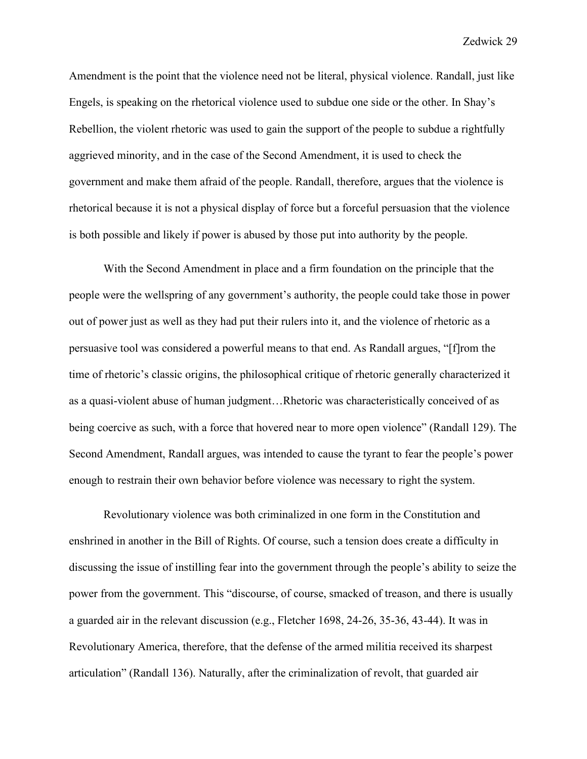Amendment is the point that the violence need not be literal, physical violence. Randall, just like Engels, is speaking on the rhetorical violence used to subdue one side or the other. In Shay's Rebellion, the violent rhetoric was used to gain the support of the people to subdue a rightfully aggrieved minority, and in the case of the Second Amendment, it is used to check the government and make them afraid of the people. Randall, therefore, argues that the violence is rhetorical because it is not a physical display of force but a forceful persuasion that the violence is both possible and likely if power is abused by those put into authority by the people.

With the Second Amendment in place and a firm foundation on the principle that the people were the wellspring of any government's authority, the people could take those in power out of power just as well as they had put their rulers into it, and the violence of rhetoric as a persuasive tool was considered a powerful means to that end. As Randall argues, "[f]rom the time of rhetoric's classic origins, the philosophical critique of rhetoric generally characterized it as a quasi-violent abuse of human judgment…Rhetoric was characteristically conceived of as being coercive as such, with a force that hovered near to more open violence" (Randall 129). The Second Amendment, Randall argues, was intended to cause the tyrant to fear the people's power enough to restrain their own behavior before violence was necessary to right the system.

Revolutionary violence was both criminalized in one form in the Constitution and enshrined in another in the Bill of Rights. Of course, such a tension does create a difficulty in discussing the issue of instilling fear into the government through the people's ability to seize the power from the government. This "discourse, of course, smacked of treason, and there is usually a guarded air in the relevant discussion (e.g., Fletcher 1698, 24-26, 35-36, 43-44). It was in Revolutionary America, therefore, that the defense of the armed militia received its sharpest articulation" (Randall 136). Naturally, after the criminalization of revolt, that guarded air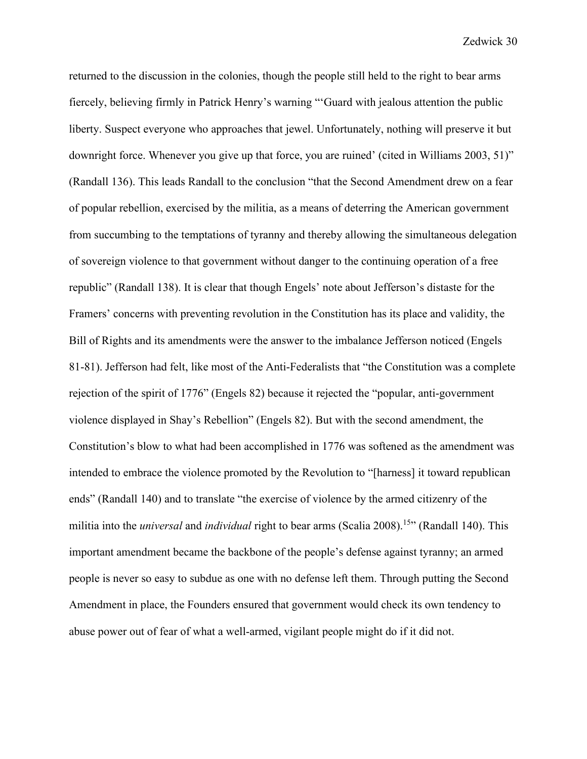returned to the discussion in the colonies, though the people still held to the right to bear arms fiercely, believing firmly in Patrick Henry's warning "'Guard with jealous attention the public liberty. Suspect everyone who approaches that jewel. Unfortunately, nothing will preserve it but downright force. Whenever you give up that force, you are ruined' (cited in Williams 2003, 51)" (Randall 136). This leads Randall to the conclusion "that the Second Amendment drew on a fear of popular rebellion, exercised by the militia, as a means of deterring the American government from succumbing to the temptations of tyranny and thereby allowing the simultaneous delegation of sovereign violence to that government without danger to the continuing operation of a free republic" (Randall 138). It is clear that though Engels' note about Jefferson's distaste for the Framers' concerns with preventing revolution in the Constitution has its place and validity, the Bill of Rights and its amendments were the answer to the imbalance Jefferson noticed (Engels 81-81). Jefferson had felt, like most of the Anti-Federalists that "the Constitution was a complete rejection of the spirit of 1776" (Engels 82) because it rejected the "popular, anti-government violence displayed in Shay's Rebellion" (Engels 82). But with the second amendment, the Constitution's blow to what had been accomplished in 1776 was softened as the amendment was intended to embrace the violence promoted by the Revolution to "[harness] it toward republican ends" (Randall 140) and to translate "the exercise of violence by the armed citizenry of the militia into the *universal* and *individual* right to bear arms (Scalia 2008).<sup>15</sup><sup>\*</sup> (Randall 140). This important amendment became the backbone of the people's defense against tyranny; an armed people is never so easy to subdue as one with no defense left them. Through putting the Second Amendment in place, the Founders ensured that government would check its own tendency to abuse power out of fear of what a well-armed, vigilant people might do if it did not.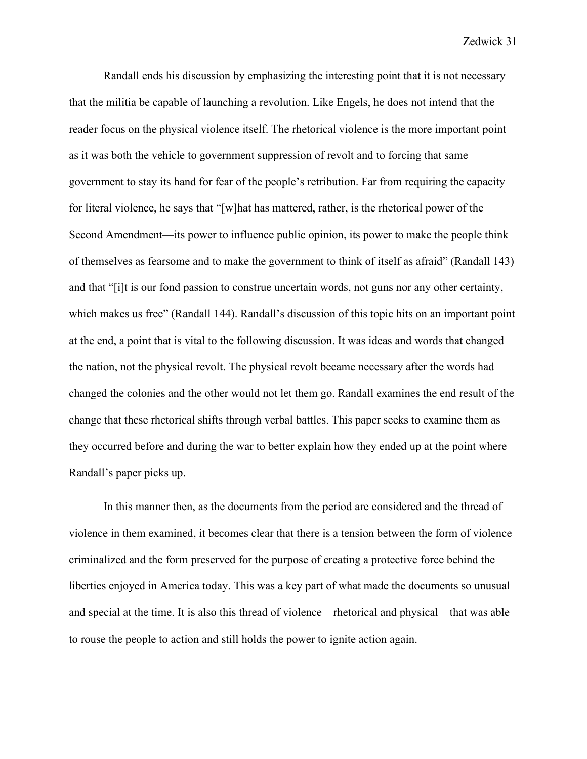Randall ends his discussion by emphasizing the interesting point that it is not necessary that the militia be capable of launching a revolution. Like Engels, he does not intend that the reader focus on the physical violence itself. The rhetorical violence is the more important point as it was both the vehicle to government suppression of revolt and to forcing that same government to stay its hand for fear of the people's retribution. Far from requiring the capacity for literal violence, he says that "[w]hat has mattered, rather, is the rhetorical power of the Second Amendment—its power to influence public opinion, its power to make the people think of themselves as fearsome and to make the government to think of itself as afraid" (Randall 143) and that "[i]t is our fond passion to construe uncertain words, not guns nor any other certainty, which makes us free" (Randall 144). Randall's discussion of this topic hits on an important point at the end, a point that is vital to the following discussion. It was ideas and words that changed the nation, not the physical revolt. The physical revolt became necessary after the words had changed the colonies and the other would not let them go. Randall examines the end result of the change that these rhetorical shifts through verbal battles. This paper seeks to examine them as they occurred before and during the war to better explain how they ended up at the point where Randall's paper picks up.

In this manner then, as the documents from the period are considered and the thread of violence in them examined, it becomes clear that there is a tension between the form of violence criminalized and the form preserved for the purpose of creating a protective force behind the liberties enjoyed in America today. This was a key part of what made the documents so unusual and special at the time. It is also this thread of violence—rhetorical and physical—that was able to rouse the people to action and still holds the power to ignite action again.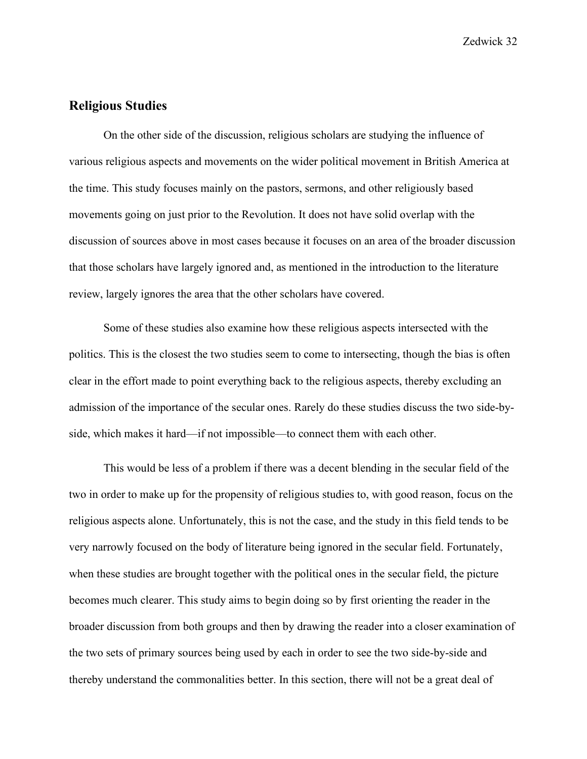# **Religious Studies**

On the other side of the discussion, religious scholars are studying the influence of various religious aspects and movements on the wider political movement in British America at the time. This study focuses mainly on the pastors, sermons, and other religiously based movements going on just prior to the Revolution. It does not have solid overlap with the discussion of sources above in most cases because it focuses on an area of the broader discussion that those scholars have largely ignored and, as mentioned in the introduction to the literature review, largely ignores the area that the other scholars have covered.

Some of these studies also examine how these religious aspects intersected with the politics. This is the closest the two studies seem to come to intersecting, though the bias is often clear in the effort made to point everything back to the religious aspects, thereby excluding an admission of the importance of the secular ones. Rarely do these studies discuss the two side-byside, which makes it hard—if not impossible—to connect them with each other.

This would be less of a problem if there was a decent blending in the secular field of the two in order to make up for the propensity of religious studies to, with good reason, focus on the religious aspects alone. Unfortunately, this is not the case, and the study in this field tends to be very narrowly focused on the body of literature being ignored in the secular field. Fortunately, when these studies are brought together with the political ones in the secular field, the picture becomes much clearer. This study aims to begin doing so by first orienting the reader in the broader discussion from both groups and then by drawing the reader into a closer examination of the two sets of primary sources being used by each in order to see the two side-by-side and thereby understand the commonalities better. In this section, there will not be a great deal of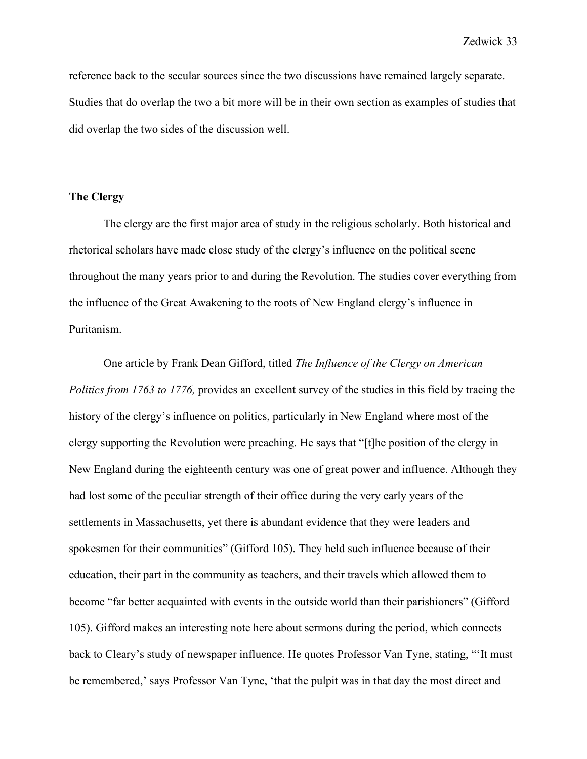reference back to the secular sources since the two discussions have remained largely separate. Studies that do overlap the two a bit more will be in their own section as examples of studies that did overlap the two sides of the discussion well.

### **The Clergy**

The clergy are the first major area of study in the religious scholarly. Both historical and rhetorical scholars have made close study of the clergy's influence on the political scene throughout the many years prior to and during the Revolution. The studies cover everything from the influence of the Great Awakening to the roots of New England clergy's influence in Puritanism.

One article by Frank Dean Gifford, titled *The Influence of the Clergy on American Politics from 1763 to 1776,* provides an excellent survey of the studies in this field by tracing the history of the clergy's influence on politics, particularly in New England where most of the clergy supporting the Revolution were preaching. He says that "[t]he position of the clergy in New England during the eighteenth century was one of great power and influence. Although they had lost some of the peculiar strength of their office during the very early years of the settlements in Massachusetts, yet there is abundant evidence that they were leaders and spokesmen for their communities" (Gifford 105). They held such influence because of their education, their part in the community as teachers, and their travels which allowed them to become "far better acquainted with events in the outside world than their parishioners" (Gifford 105). Gifford makes an interesting note here about sermons during the period, which connects back to Cleary's study of newspaper influence. He quotes Professor Van Tyne, stating, "'It must be remembered,' says Professor Van Tyne, 'that the pulpit was in that day the most direct and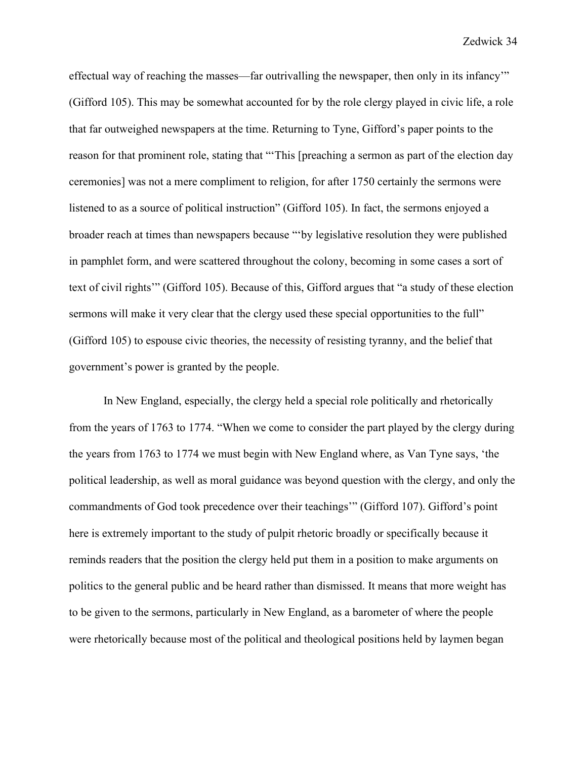effectual way of reaching the masses—far outrivalling the newspaper, then only in its infancy'" (Gifford 105). This may be somewhat accounted for by the role clergy played in civic life, a role that far outweighed newspapers at the time. Returning to Tyne, Gifford's paper points to the reason for that prominent role, stating that "'This [preaching a sermon as part of the election day ceremonies] was not a mere compliment to religion, for after 1750 certainly the sermons were listened to as a source of political instruction" (Gifford 105). In fact, the sermons enjoyed a broader reach at times than newspapers because "'by legislative resolution they were published in pamphlet form, and were scattered throughout the colony, becoming in some cases a sort of text of civil rights'" (Gifford 105). Because of this, Gifford argues that "a study of these election sermons will make it very clear that the clergy used these special opportunities to the full" (Gifford 105) to espouse civic theories, the necessity of resisting tyranny, and the belief that government's power is granted by the people.

In New England, especially, the clergy held a special role politically and rhetorically from the years of 1763 to 1774. "When we come to consider the part played by the clergy during the years from 1763 to 1774 we must begin with New England where, as Van Tyne says, 'the political leadership, as well as moral guidance was beyond question with the clergy, and only the commandments of God took precedence over their teachings'" (Gifford 107). Gifford's point here is extremely important to the study of pulpit rhetoric broadly or specifically because it reminds readers that the position the clergy held put them in a position to make arguments on politics to the general public and be heard rather than dismissed. It means that more weight has to be given to the sermons, particularly in New England, as a barometer of where the people were rhetorically because most of the political and theological positions held by laymen began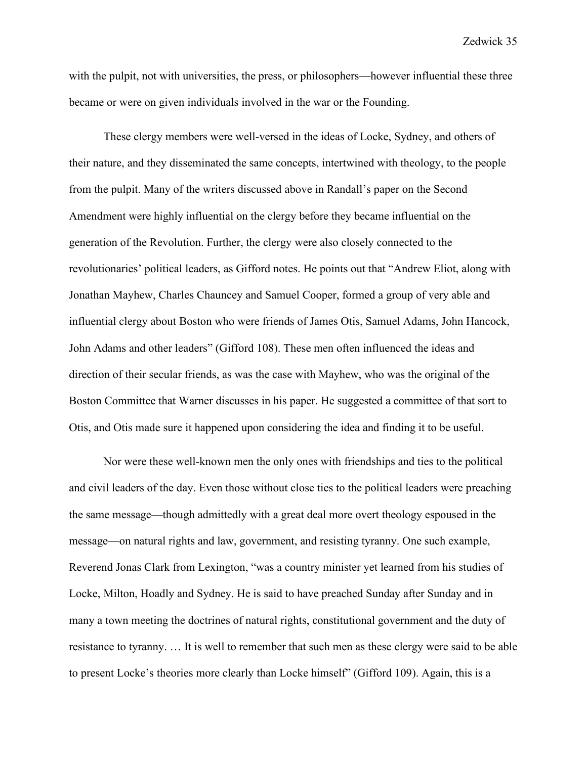with the pulpit, not with universities, the press, or philosophers—however influential these three became or were on given individuals involved in the war or the Founding.

These clergy members were well-versed in the ideas of Locke, Sydney, and others of their nature, and they disseminated the same concepts, intertwined with theology, to the people from the pulpit. Many of the writers discussed above in Randall's paper on the Second Amendment were highly influential on the clergy before they became influential on the generation of the Revolution. Further, the clergy were also closely connected to the revolutionaries' political leaders, as Gifford notes. He points out that "Andrew Eliot, along with Jonathan Mayhew, Charles Chauncey and Samuel Cooper, formed a group of very able and influential clergy about Boston who were friends of James Otis, Samuel Adams, John Hancock, John Adams and other leaders" (Gifford 108). These men often influenced the ideas and direction of their secular friends, as was the case with Mayhew, who was the original of the Boston Committee that Warner discusses in his paper. He suggested a committee of that sort to Otis, and Otis made sure it happened upon considering the idea and finding it to be useful.

Nor were these well-known men the only ones with friendships and ties to the political and civil leaders of the day. Even those without close ties to the political leaders were preaching the same message—though admittedly with a great deal more overt theology espoused in the message—on natural rights and law, government, and resisting tyranny. One such example, Reverend Jonas Clark from Lexington, "was a country minister yet learned from his studies of Locke, Milton, Hoadly and Sydney. He is said to have preached Sunday after Sunday and in many a town meeting the doctrines of natural rights, constitutional government and the duty of resistance to tyranny. … It is well to remember that such men as these clergy were said to be able to present Locke's theories more clearly than Locke himself" (Gifford 109). Again, this is a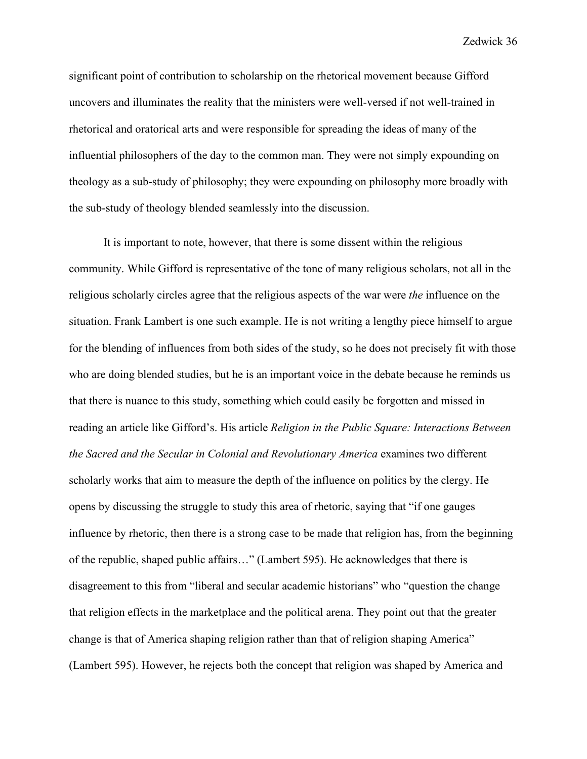significant point of contribution to scholarship on the rhetorical movement because Gifford uncovers and illuminates the reality that the ministers were well-versed if not well-trained in rhetorical and oratorical arts and were responsible for spreading the ideas of many of the influential philosophers of the day to the common man. They were not simply expounding on theology as a sub-study of philosophy; they were expounding on philosophy more broadly with the sub-study of theology blended seamlessly into the discussion.

It is important to note, however, that there is some dissent within the religious community. While Gifford is representative of the tone of many religious scholars, not all in the religious scholarly circles agree that the religious aspects of the war were *the* influence on the situation. Frank Lambert is one such example. He is not writing a lengthy piece himself to argue for the blending of influences from both sides of the study, so he does not precisely fit with those who are doing blended studies, but he is an important voice in the debate because he reminds us that there is nuance to this study, something which could easily be forgotten and missed in reading an article like Gifford's. His article *Religion in the Public Square: Interactions Between the Sacred and the Secular in Colonial and Revolutionary America* examines two different scholarly works that aim to measure the depth of the influence on politics by the clergy. He opens by discussing the struggle to study this area of rhetoric, saying that "if one gauges influence by rhetoric, then there is a strong case to be made that religion has, from the beginning of the republic, shaped public affairs…" (Lambert 595). He acknowledges that there is disagreement to this from "liberal and secular academic historians" who "question the change that religion effects in the marketplace and the political arena. They point out that the greater change is that of America shaping religion rather than that of religion shaping America" (Lambert 595). However, he rejects both the concept that religion was shaped by America and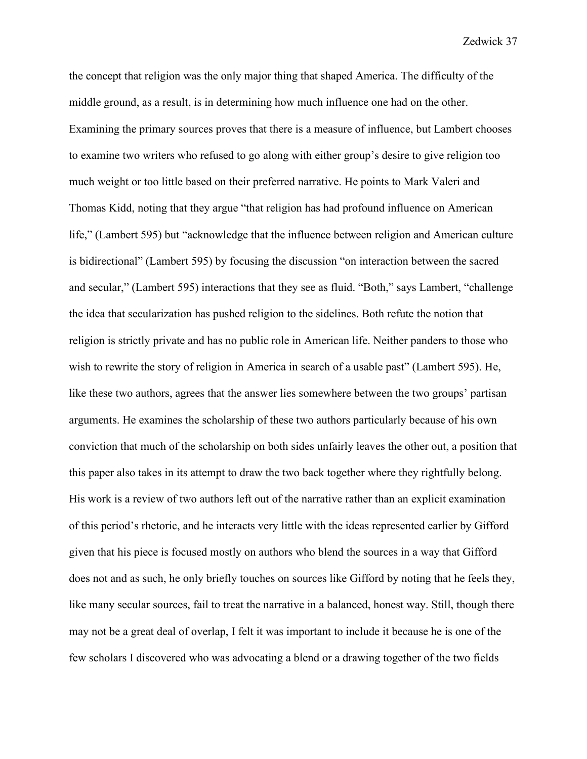the concept that religion was the only major thing that shaped America. The difficulty of the middle ground, as a result, is in determining how much influence one had on the other. Examining the primary sources proves that there is a measure of influence, but Lambert chooses to examine two writers who refused to go along with either group's desire to give religion too much weight or too little based on their preferred narrative. He points to Mark Valeri and Thomas Kidd, noting that they argue "that religion has had profound influence on American life," (Lambert 595) but "acknowledge that the influence between religion and American culture is bidirectional" (Lambert 595) by focusing the discussion "on interaction between the sacred and secular," (Lambert 595) interactions that they see as fluid. "Both," says Lambert, "challenge the idea that secularization has pushed religion to the sidelines. Both refute the notion that religion is strictly private and has no public role in American life. Neither panders to those who wish to rewrite the story of religion in America in search of a usable past" (Lambert 595). He, like these two authors, agrees that the answer lies somewhere between the two groups' partisan arguments. He examines the scholarship of these two authors particularly because of his own conviction that much of the scholarship on both sides unfairly leaves the other out, a position that this paper also takes in its attempt to draw the two back together where they rightfully belong. His work is a review of two authors left out of the narrative rather than an explicit examination of this period's rhetoric, and he interacts very little with the ideas represented earlier by Gifford given that his piece is focused mostly on authors who blend the sources in a way that Gifford does not and as such, he only briefly touches on sources like Gifford by noting that he feels they, like many secular sources, fail to treat the narrative in a balanced, honest way. Still, though there may not be a great deal of overlap, I felt it was important to include it because he is one of the few scholars I discovered who was advocating a blend or a drawing together of the two fields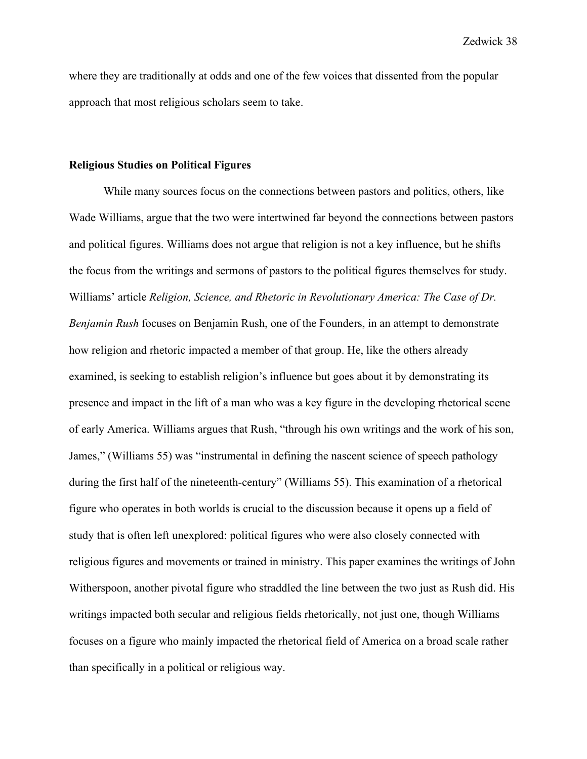where they are traditionally at odds and one of the few voices that dissented from the popular approach that most religious scholars seem to take.

#### **Religious Studies on Political Figures**

While many sources focus on the connections between pastors and politics, others, like Wade Williams, argue that the two were intertwined far beyond the connections between pastors and political figures. Williams does not argue that religion is not a key influence, but he shifts the focus from the writings and sermons of pastors to the political figures themselves for study. Williams' article *Religion, Science, and Rhetoric in Revolutionary America: The Case of Dr. Benjamin Rush* focuses on Benjamin Rush, one of the Founders, in an attempt to demonstrate how religion and rhetoric impacted a member of that group. He, like the others already examined, is seeking to establish religion's influence but goes about it by demonstrating its presence and impact in the lift of a man who was a key figure in the developing rhetorical scene of early America. Williams argues that Rush, "through his own writings and the work of his son, James," (Williams 55) was "instrumental in defining the nascent science of speech pathology during the first half of the nineteenth-century" (Williams 55). This examination of a rhetorical figure who operates in both worlds is crucial to the discussion because it opens up a field of study that is often left unexplored: political figures who were also closely connected with religious figures and movements or trained in ministry. This paper examines the writings of John Witherspoon, another pivotal figure who straddled the line between the two just as Rush did. His writings impacted both secular and religious fields rhetorically, not just one, though Williams focuses on a figure who mainly impacted the rhetorical field of America on a broad scale rather than specifically in a political or religious way.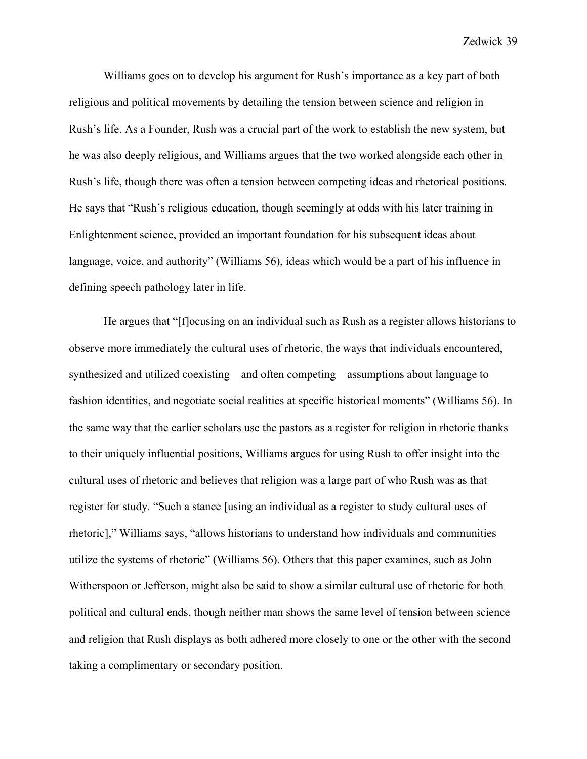Williams goes on to develop his argument for Rush's importance as a key part of both religious and political movements by detailing the tension between science and religion in Rush's life. As a Founder, Rush was a crucial part of the work to establish the new system, but he was also deeply religious, and Williams argues that the two worked alongside each other in Rush's life, though there was often a tension between competing ideas and rhetorical positions. He says that "Rush's religious education, though seemingly at odds with his later training in Enlightenment science, provided an important foundation for his subsequent ideas about language, voice, and authority" (Williams 56), ideas which would be a part of his influence in defining speech pathology later in life.

He argues that "[f]ocusing on an individual such as Rush as a register allows historians to observe more immediately the cultural uses of rhetoric, the ways that individuals encountered, synthesized and utilized coexisting—and often competing—assumptions about language to fashion identities, and negotiate social realities at specific historical moments" (Williams 56). In the same way that the earlier scholars use the pastors as a register for religion in rhetoric thanks to their uniquely influential positions, Williams argues for using Rush to offer insight into the cultural uses of rhetoric and believes that religion was a large part of who Rush was as that register for study. "Such a stance [using an individual as a register to study cultural uses of rhetoric]," Williams says, "allows historians to understand how individuals and communities utilize the systems of rhetoric" (Williams 56). Others that this paper examines, such as John Witherspoon or Jefferson, might also be said to show a similar cultural use of rhetoric for both political and cultural ends, though neither man shows the same level of tension between science and religion that Rush displays as both adhered more closely to one or the other with the second taking a complimentary or secondary position.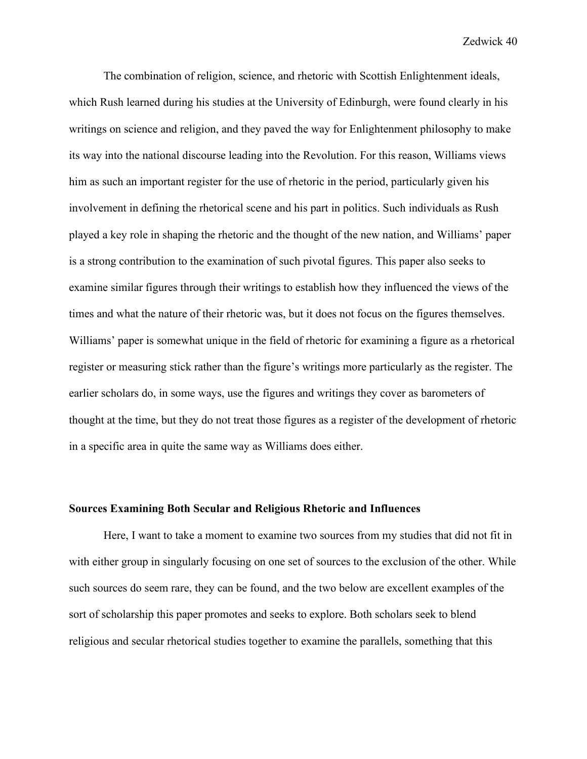The combination of religion, science, and rhetoric with Scottish Enlightenment ideals, which Rush learned during his studies at the University of Edinburgh, were found clearly in his writings on science and religion, and they paved the way for Enlightenment philosophy to make its way into the national discourse leading into the Revolution. For this reason, Williams views him as such an important register for the use of rhetoric in the period, particularly given his involvement in defining the rhetorical scene and his part in politics. Such individuals as Rush played a key role in shaping the rhetoric and the thought of the new nation, and Williams' paper is a strong contribution to the examination of such pivotal figures. This paper also seeks to examine similar figures through their writings to establish how they influenced the views of the times and what the nature of their rhetoric was, but it does not focus on the figures themselves. Williams' paper is somewhat unique in the field of rhetoric for examining a figure as a rhetorical register or measuring stick rather than the figure's writings more particularly as the register. The earlier scholars do, in some ways, use the figures and writings they cover as barometers of thought at the time, but they do not treat those figures as a register of the development of rhetoric in a specific area in quite the same way as Williams does either.

### **Sources Examining Both Secular and Religious Rhetoric and Influences**

Here, I want to take a moment to examine two sources from my studies that did not fit in with either group in singularly focusing on one set of sources to the exclusion of the other. While such sources do seem rare, they can be found, and the two below are excellent examples of the sort of scholarship this paper promotes and seeks to explore. Both scholars seek to blend religious and secular rhetorical studies together to examine the parallels, something that this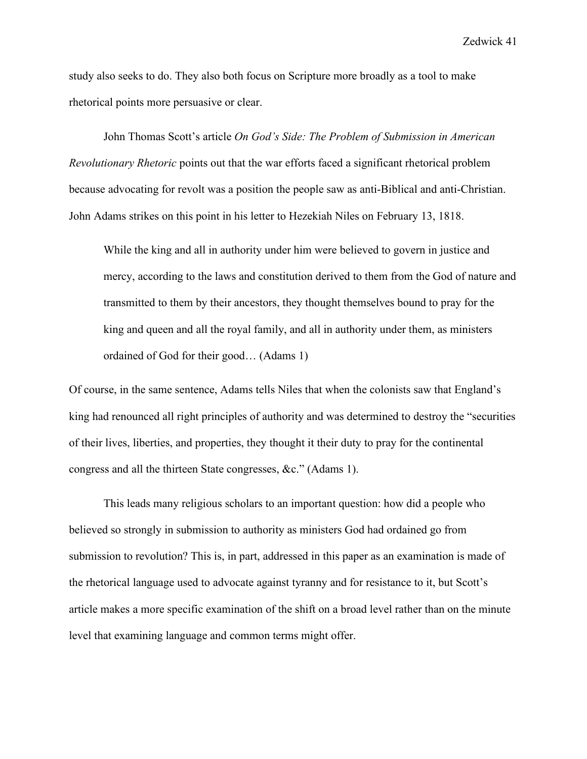study also seeks to do. They also both focus on Scripture more broadly as a tool to make rhetorical points more persuasive or clear.

John Thomas Scott's article *On God's Side: The Problem of Submission in American Revolutionary Rhetoric* points out that the war efforts faced a significant rhetorical problem because advocating for revolt was a position the people saw as anti-Biblical and anti-Christian. John Adams strikes on this point in his letter to Hezekiah Niles on February 13, 1818.

While the king and all in authority under him were believed to govern in justice and mercy, according to the laws and constitution derived to them from the God of nature and transmitted to them by their ancestors, they thought themselves bound to pray for the king and queen and all the royal family, and all in authority under them, as ministers ordained of God for their good… (Adams 1)

Of course, in the same sentence, Adams tells Niles that when the colonists saw that England's king had renounced all right principles of authority and was determined to destroy the "securities of their lives, liberties, and properties, they thought it their duty to pray for the continental congress and all the thirteen State congresses, &c." (Adams 1).

This leads many religious scholars to an important question: how did a people who believed so strongly in submission to authority as ministers God had ordained go from submission to revolution? This is, in part, addressed in this paper as an examination is made of the rhetorical language used to advocate against tyranny and for resistance to it, but Scott's article makes a more specific examination of the shift on a broad level rather than on the minute level that examining language and common terms might offer.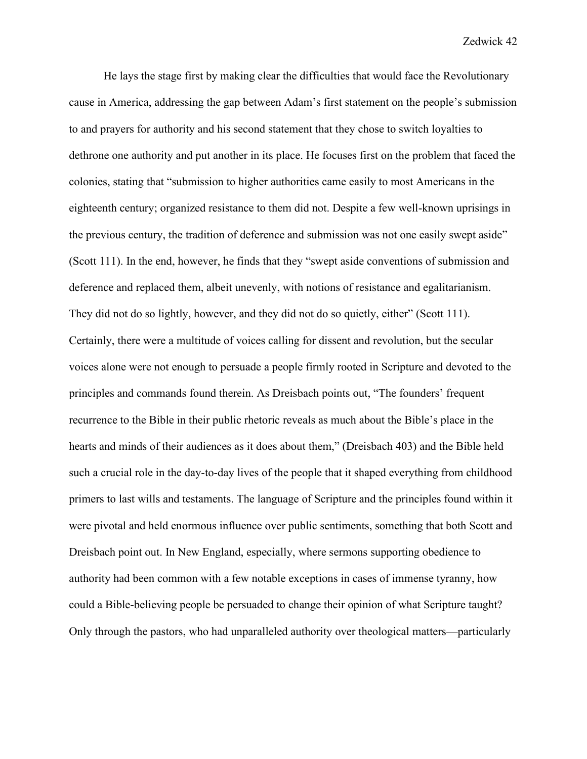He lays the stage first by making clear the difficulties that would face the Revolutionary cause in America, addressing the gap between Adam's first statement on the people's submission to and prayers for authority and his second statement that they chose to switch loyalties to dethrone one authority and put another in its place. He focuses first on the problem that faced the colonies, stating that "submission to higher authorities came easily to most Americans in the eighteenth century; organized resistance to them did not. Despite a few well-known uprisings in the previous century, the tradition of deference and submission was not one easily swept aside" (Scott 111). In the end, however, he finds that they "swept aside conventions of submission and deference and replaced them, albeit unevenly, with notions of resistance and egalitarianism. They did not do so lightly, however, and they did not do so quietly, either" (Scott 111). Certainly, there were a multitude of voices calling for dissent and revolution, but the secular voices alone were not enough to persuade a people firmly rooted in Scripture and devoted to the principles and commands found therein. As Dreisbach points out, "The founders' frequent recurrence to the Bible in their public rhetoric reveals as much about the Bible's place in the hearts and minds of their audiences as it does about them," (Dreisbach 403) and the Bible held such a crucial role in the day-to-day lives of the people that it shaped everything from childhood primers to last wills and testaments. The language of Scripture and the principles found within it were pivotal and held enormous influence over public sentiments, something that both Scott and Dreisbach point out. In New England, especially, where sermons supporting obedience to authority had been common with a few notable exceptions in cases of immense tyranny, how could a Bible-believing people be persuaded to change their opinion of what Scripture taught? Only through the pastors, who had unparalleled authority over theological matters—particularly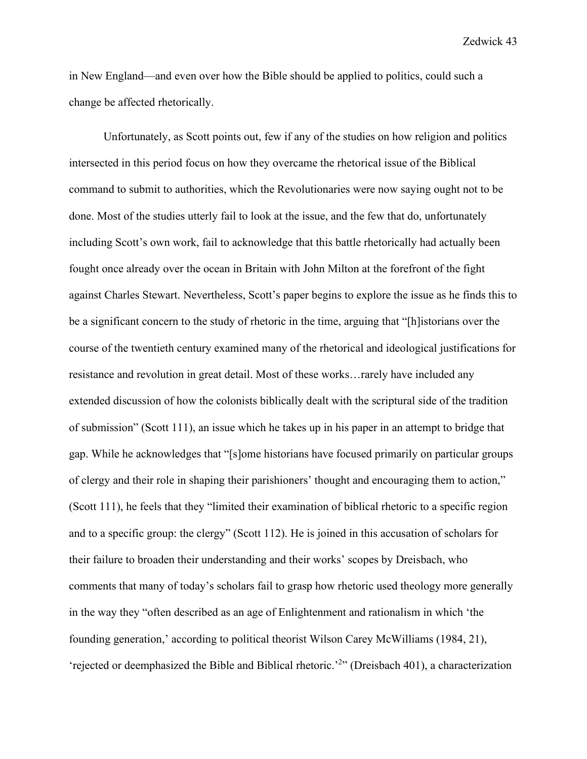in New England—and even over how the Bible should be applied to politics, could such a change be affected rhetorically.

Unfortunately, as Scott points out, few if any of the studies on how religion and politics intersected in this period focus on how they overcame the rhetorical issue of the Biblical command to submit to authorities, which the Revolutionaries were now saying ought not to be done. Most of the studies utterly fail to look at the issue, and the few that do, unfortunately including Scott's own work, fail to acknowledge that this battle rhetorically had actually been fought once already over the ocean in Britain with John Milton at the forefront of the fight against Charles Stewart. Nevertheless, Scott's paper begins to explore the issue as he finds this to be a significant concern to the study of rhetoric in the time, arguing that "[h]istorians over the course of the twentieth century examined many of the rhetorical and ideological justifications for resistance and revolution in great detail. Most of these works…rarely have included any extended discussion of how the colonists biblically dealt with the scriptural side of the tradition of submission" (Scott 111), an issue which he takes up in his paper in an attempt to bridge that gap. While he acknowledges that "[s]ome historians have focused primarily on particular groups of clergy and their role in shaping their parishioners' thought and encouraging them to action," (Scott 111), he feels that they "limited their examination of biblical rhetoric to a specific region and to a specific group: the clergy" (Scott 112). He is joined in this accusation of scholars for their failure to broaden their understanding and their works' scopes by Dreisbach, who comments that many of today's scholars fail to grasp how rhetoric used theology more generally in the way they "often described as an age of Enlightenment and rationalism in which 'the founding generation,' according to political theorist Wilson Carey McWilliams (1984, 21), 'rejected or deemphasized the Bible and Biblical rhetoric.'<sup>2</sup>" (Dreisbach 401), a characterization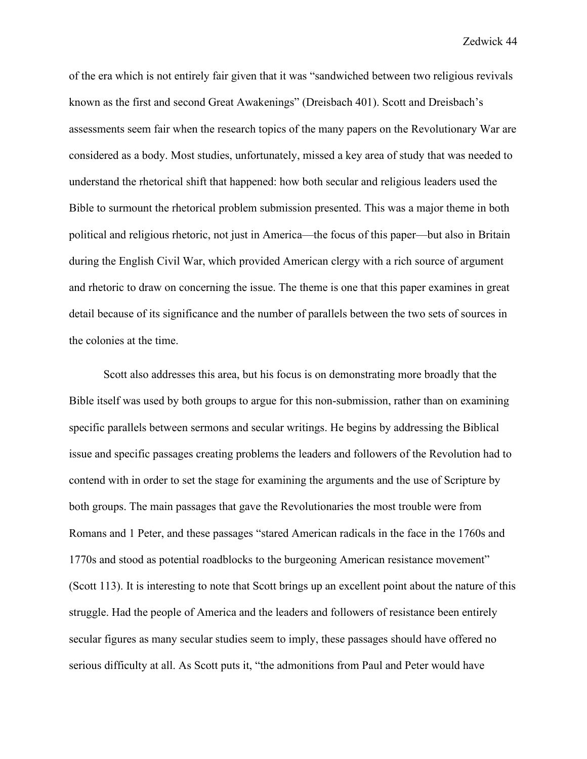of the era which is not entirely fair given that it was "sandwiched between two religious revivals known as the first and second Great Awakenings" (Dreisbach 401). Scott and Dreisbach's assessments seem fair when the research topics of the many papers on the Revolutionary War are considered as a body. Most studies, unfortunately, missed a key area of study that was needed to understand the rhetorical shift that happened: how both secular and religious leaders used the Bible to surmount the rhetorical problem submission presented. This was a major theme in both political and religious rhetoric, not just in America—the focus of this paper—but also in Britain during the English Civil War, which provided American clergy with a rich source of argument and rhetoric to draw on concerning the issue. The theme is one that this paper examines in great detail because of its significance and the number of parallels between the two sets of sources in the colonies at the time.

Scott also addresses this area, but his focus is on demonstrating more broadly that the Bible itself was used by both groups to argue for this non-submission, rather than on examining specific parallels between sermons and secular writings. He begins by addressing the Biblical issue and specific passages creating problems the leaders and followers of the Revolution had to contend with in order to set the stage for examining the arguments and the use of Scripture by both groups. The main passages that gave the Revolutionaries the most trouble were from Romans and 1 Peter, and these passages "stared American radicals in the face in the 1760s and 1770s and stood as potential roadblocks to the burgeoning American resistance movement" (Scott 113). It is interesting to note that Scott brings up an excellent point about the nature of this struggle. Had the people of America and the leaders and followers of resistance been entirely secular figures as many secular studies seem to imply, these passages should have offered no serious difficulty at all. As Scott puts it, "the admonitions from Paul and Peter would have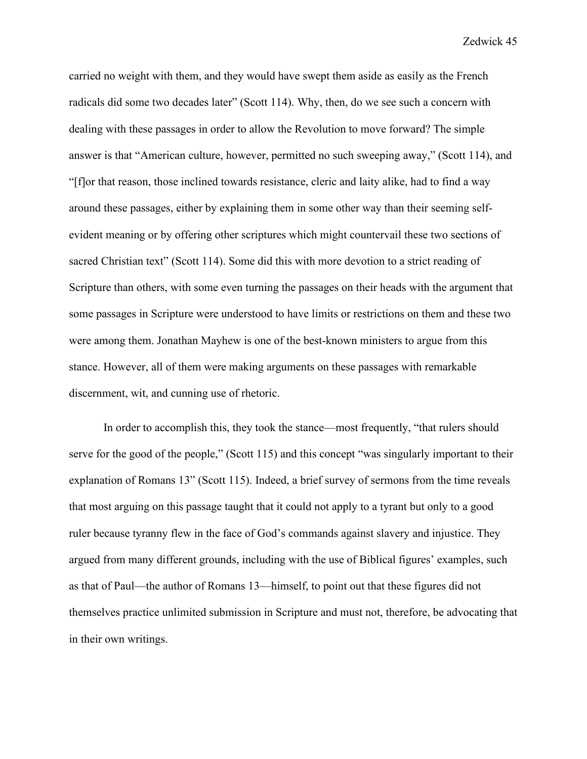carried no weight with them, and they would have swept them aside as easily as the French radicals did some two decades later" (Scott 114). Why, then, do we see such a concern with dealing with these passages in order to allow the Revolution to move forward? The simple answer is that "American culture, however, permitted no such sweeping away," (Scott 114), and "[f]or that reason, those inclined towards resistance, cleric and laity alike, had to find a way around these passages, either by explaining them in some other way than their seeming selfevident meaning or by offering other scriptures which might countervail these two sections of sacred Christian text" (Scott 114). Some did this with more devotion to a strict reading of Scripture than others, with some even turning the passages on their heads with the argument that some passages in Scripture were understood to have limits or restrictions on them and these two were among them. Jonathan Mayhew is one of the best-known ministers to argue from this stance. However, all of them were making arguments on these passages with remarkable discernment, wit, and cunning use of rhetoric.

In order to accomplish this, they took the stance—most frequently, "that rulers should serve for the good of the people," (Scott 115) and this concept "was singularly important to their explanation of Romans 13" (Scott 115). Indeed, a brief survey of sermons from the time reveals that most arguing on this passage taught that it could not apply to a tyrant but only to a good ruler because tyranny flew in the face of God's commands against slavery and injustice. They argued from many different grounds, including with the use of Biblical figures' examples, such as that of Paul—the author of Romans 13—himself, to point out that these figures did not themselves practice unlimited submission in Scripture and must not, therefore, be advocating that in their own writings.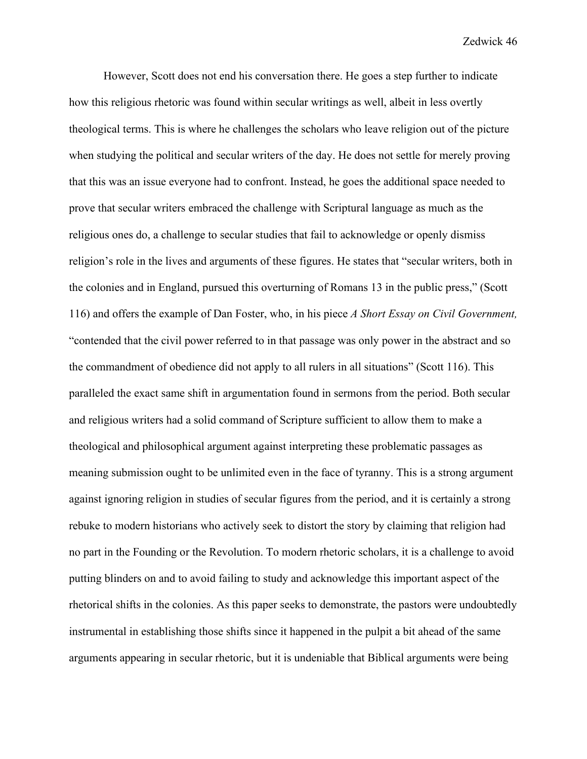However, Scott does not end his conversation there. He goes a step further to indicate how this religious rhetoric was found within secular writings as well, albeit in less overtly theological terms. This is where he challenges the scholars who leave religion out of the picture when studying the political and secular writers of the day. He does not settle for merely proving that this was an issue everyone had to confront. Instead, he goes the additional space needed to prove that secular writers embraced the challenge with Scriptural language as much as the religious ones do, a challenge to secular studies that fail to acknowledge or openly dismiss religion's role in the lives and arguments of these figures. He states that "secular writers, both in the colonies and in England, pursued this overturning of Romans 13 in the public press," (Scott 116) and offers the example of Dan Foster, who, in his piece *A Short Essay on Civil Government,*  "contended that the civil power referred to in that passage was only power in the abstract and so the commandment of obedience did not apply to all rulers in all situations" (Scott 116). This paralleled the exact same shift in argumentation found in sermons from the period. Both secular and religious writers had a solid command of Scripture sufficient to allow them to make a theological and philosophical argument against interpreting these problematic passages as meaning submission ought to be unlimited even in the face of tyranny. This is a strong argument against ignoring religion in studies of secular figures from the period, and it is certainly a strong rebuke to modern historians who actively seek to distort the story by claiming that religion had no part in the Founding or the Revolution. To modern rhetoric scholars, it is a challenge to avoid putting blinders on and to avoid failing to study and acknowledge this important aspect of the rhetorical shifts in the colonies. As this paper seeks to demonstrate, the pastors were undoubtedly instrumental in establishing those shifts since it happened in the pulpit a bit ahead of the same arguments appearing in secular rhetoric, but it is undeniable that Biblical arguments were being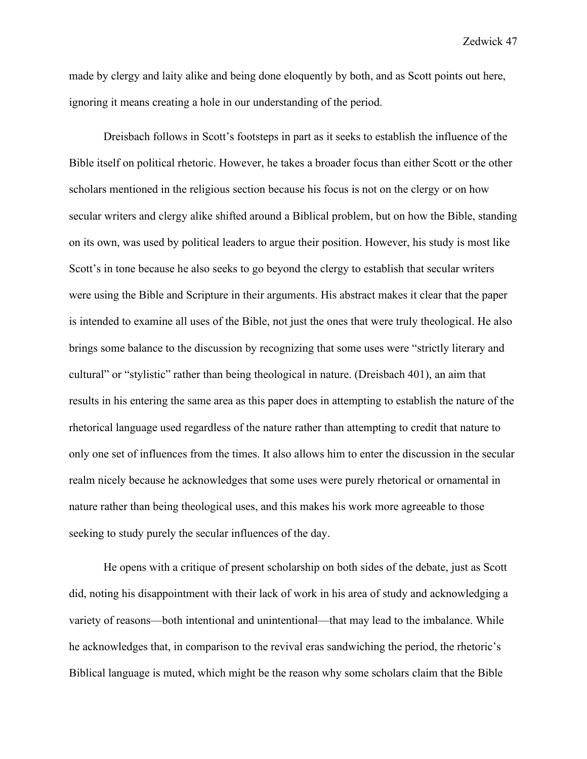made by clergy and laity alike and being done eloquently by both, and as Scott points out here, ignoring it means creating a hole in our understanding of the period.

Dreisbach follows in Scott's footsteps in part as it seeks to establish the influence of the Bible itself on political rhetoric. However, he takes a broader focus than either Scott or the other scholars mentioned in the religious section because his focus is not on the clergy or on how secular writers and clergy alike shifted around a Biblical problem, but on how the Bible, standing on its own, was used by political leaders to argue their position. However, his study is most like Scott's in tone because he also seeks to go beyond the clergy to establish that secular writers were using the Bible and Scripture in their arguments. His abstract makes it clear that the paper is intended to examine all uses of the Bible, not just the ones that were truly theological. He also brings some balance to the discussion by recognizing that some uses were "strictly literary and cultural" or "stylistic" rather than being theological in nature. (Dreisbach 401), an aim that results in his entering the same area as this paper does in attempting to establish the nature of the rhetorical language used regardless of the nature rather than attempting to credit that nature to only one set of influences from the times. It also allows him to enter the discussion in the secular realm nicely because he acknowledges that some uses were purely rhetorical or ornamental in nature rather than being theological uses, and this makes his work more agreeable to those seeking to study purely the secular influences of the day.

He opens with a critique of present scholarship on both sides of the debate, just as Scott did, noting his disappointment with their lack of work in his area of study and acknowledging a variety of reasons—both intentional and unintentional—that may lead to the imbalance. While he acknowledges that, in comparison to the revival eras sandwiching the period, the rhetoric's Biblical language is muted, which might be the reason why some scholars claim that the Bible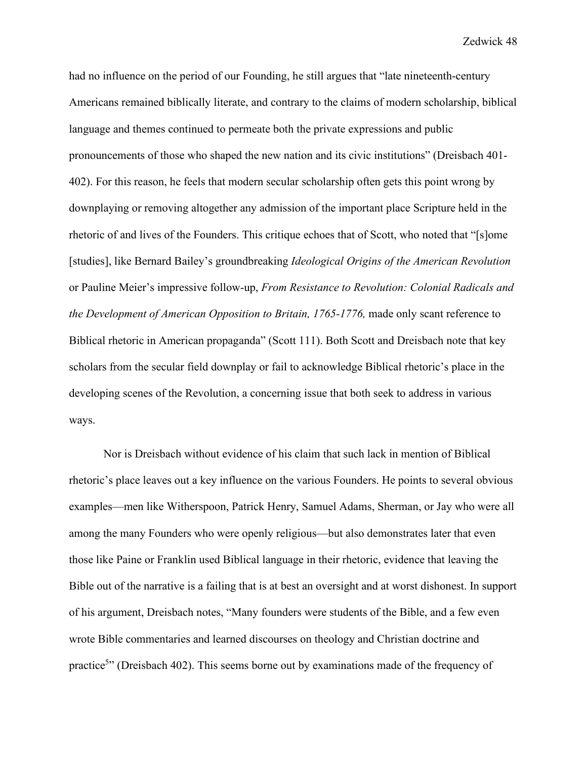had no influence on the period of our Founding, he still argues that "late nineteenth-century Americans remained biblically literate, and contrary to the claims of modern scholarship, biblical language and themes continued to permeate both the private expressions and public pronouncements of those who shaped the new nation and its civic institutions" (Dreisbach 401- 402). For this reason, he feels that modern secular scholarship often gets this point wrong by downplaying or removing altogether any admission of the important place Scripture held in the rhetoric of and lives of the Founders. This critique echoes that of Scott, who noted that "[s]ome [studies], like Bernard Bailey's groundbreaking *Ideological Origins of the American Revolution*  or Pauline Meier's impressive follow-up, *From Resistance to Revolution: Colonial Radicals and the Development of American Opposition to Britain, 1765-1776, made only scant reference to* Biblical rhetoric in American propaganda" (Scott 111). Both Scott and Dreisbach note that key scholars from the secular field downplay or fail to acknowledge Biblical rhetoric's place in the developing scenes of the Revolution, a concerning issue that both seek to address in various ways.

Nor is Dreisbach without evidence of his claim that such lack in mention of Biblical rhetoric's place leaves out a key influence on the various Founders. He points to several obvious examples—men like Witherspoon, Patrick Henry, Samuel Adams, Sherman, or Jay who were all among the many Founders who were openly religious—but also demonstrates later that even those like Paine or Franklin used Biblical language in their rhetoric, evidence that leaving the Bible out of the narrative is a failing that is at best an oversight and at worst dishonest. In support of his argument, Dreisbach notes, "Many founders were students of the Bible, and a few even wrote Bible commentaries and learned discourses on theology and Christian doctrine and practice<sup>5</sup>" (Dreisbach 402). This seems borne out by examinations made of the frequency of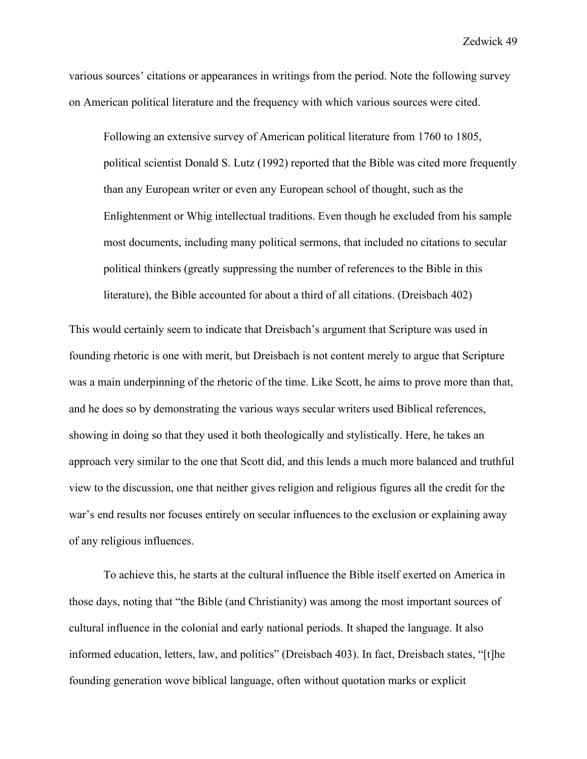various sources' citations or appearances in writings from the period. Note the following survey on American political literature and the frequency with which various sources were cited.

Following an extensive survey of American political literature from 1760 to 1805, political scientist Donald S. Lutz (1992) reported that the Bible was cited more frequently than any European writer or even any European school of thought, such as the Enlightenment or Whig intellectual traditions. Even though he excluded from his sample most documents, including many political sermons, that included no citations to secular political thinkers (greatly suppressing the number of references to the Bible in this literature), the Bible accounted for about a third of all citations. (Dreisbach 402)

This would certainly seem to indicate that Dreisbach's argument that Scripture was used in founding rhetoric is one with merit, but Dreisbach is not content merely to argue that Scripture was a main underpinning of the rhetoric of the time. Like Scott, he aims to prove more than that, and he does so by demonstrating the various ways secular writers used Biblical references, showing in doing so that they used it both theologically and stylistically. Here, he takes an approach very similar to the one that Scott did, and this lends a much more balanced and truthful view to the discussion, one that neither gives religion and religious figures all the credit for the war's end results nor focuses entirely on secular influences to the exclusion or explaining away of any religious influences.

To achieve this, he starts at the cultural influence the Bible itself exerted on America in those days, noting that "the Bible (and Christianity) was among the most important sources of cultural influence in the colonial and early national periods. It shaped the language. It also informed education, letters, law, and politics" (Dreisbach 403). In fact, Dreisbach states, "[t]he founding generation wove biblical language, often without quotation marks or explicit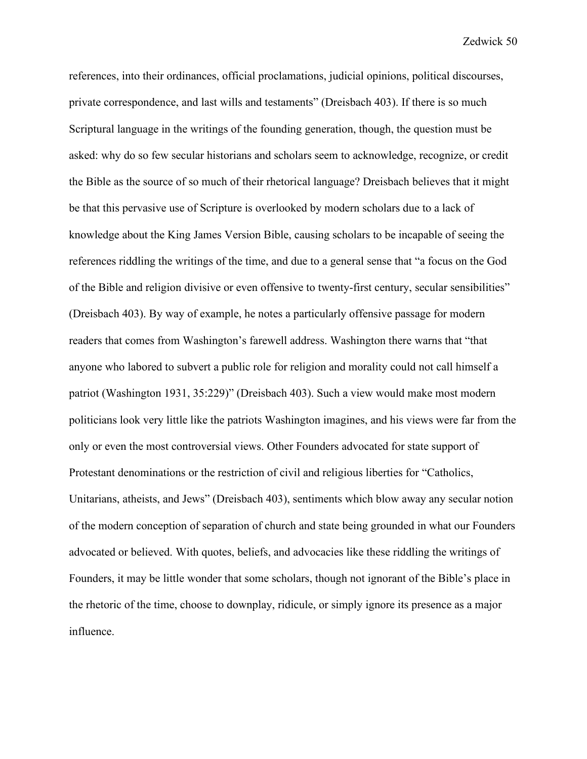references, into their ordinances, official proclamations, judicial opinions, political discourses, private correspondence, and last wills and testaments" (Dreisbach 403). If there is so much Scriptural language in the writings of the founding generation, though, the question must be asked: why do so few secular historians and scholars seem to acknowledge, recognize, or credit the Bible as the source of so much of their rhetorical language? Dreisbach believes that it might be that this pervasive use of Scripture is overlooked by modern scholars due to a lack of knowledge about the King James Version Bible, causing scholars to be incapable of seeing the references riddling the writings of the time, and due to a general sense that "a focus on the God of the Bible and religion divisive or even offensive to twenty-first century, secular sensibilities" (Dreisbach 403). By way of example, he notes a particularly offensive passage for modern readers that comes from Washington's farewell address. Washington there warns that "that anyone who labored to subvert a public role for religion and morality could not call himself a patriot (Washington 1931, 35:229)" (Dreisbach 403). Such a view would make most modern politicians look very little like the patriots Washington imagines, and his views were far from the only or even the most controversial views. Other Founders advocated for state support of Protestant denominations or the restriction of civil and religious liberties for "Catholics, Unitarians, atheists, and Jews" (Dreisbach 403), sentiments which blow away any secular notion of the modern conception of separation of church and state being grounded in what our Founders advocated or believed. With quotes, beliefs, and advocacies like these riddling the writings of Founders, it may be little wonder that some scholars, though not ignorant of the Bible's place in the rhetoric of the time, choose to downplay, ridicule, or simply ignore its presence as a major influence.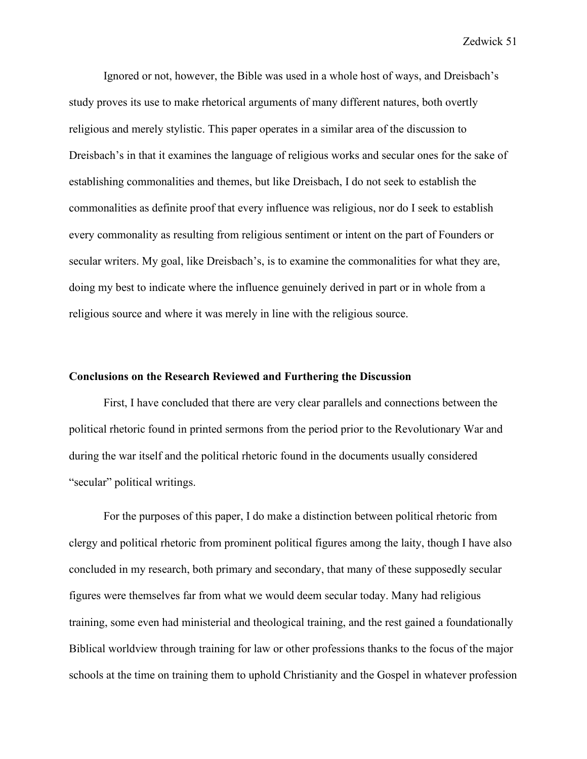Ignored or not, however, the Bible was used in a whole host of ways, and Dreisbach's study proves its use to make rhetorical arguments of many different natures, both overtly religious and merely stylistic. This paper operates in a similar area of the discussion to Dreisbach's in that it examines the language of religious works and secular ones for the sake of establishing commonalities and themes, but like Dreisbach, I do not seek to establish the commonalities as definite proof that every influence was religious, nor do I seek to establish every commonality as resulting from religious sentiment or intent on the part of Founders or secular writers. My goal, like Dreisbach's, is to examine the commonalities for what they are, doing my best to indicate where the influence genuinely derived in part or in whole from a religious source and where it was merely in line with the religious source.

## **Conclusions on the Research Reviewed and Furthering the Discussion**

First, I have concluded that there are very clear parallels and connections between the political rhetoric found in printed sermons from the period prior to the Revolutionary War and during the war itself and the political rhetoric found in the documents usually considered "secular" political writings.

For the purposes of this paper, I do make a distinction between political rhetoric from clergy and political rhetoric from prominent political figures among the laity, though I have also concluded in my research, both primary and secondary, that many of these supposedly secular figures were themselves far from what we would deem secular today. Many had religious training, some even had ministerial and theological training, and the rest gained a foundationally Biblical worldview through training for law or other professions thanks to the focus of the major schools at the time on training them to uphold Christianity and the Gospel in whatever profession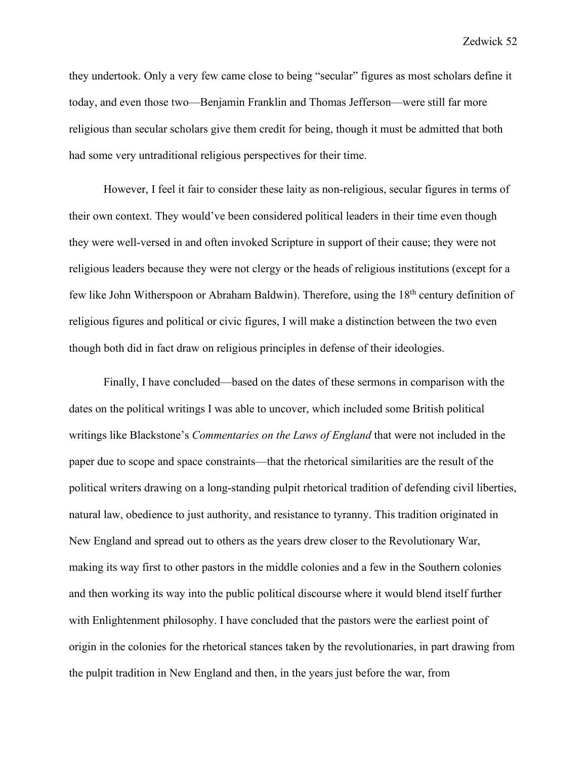they undertook. Only a very few came close to being "secular" figures as most scholars define it today, and even those two—Benjamin Franklin and Thomas Jefferson—were still far more religious than secular scholars give them credit for being, though it must be admitted that both had some very untraditional religious perspectives for their time.

However, I feel it fair to consider these laity as non-religious, secular figures in terms of their own context. They would've been considered political leaders in their time even though they were well-versed in and often invoked Scripture in support of their cause; they were not religious leaders because they were not clergy or the heads of religious institutions (except for a few like John Witherspoon or Abraham Baldwin). Therefore, using the 18<sup>th</sup> century definition of religious figures and political or civic figures, I will make a distinction between the two even though both did in fact draw on religious principles in defense of their ideologies.

Finally, I have concluded—based on the dates of these sermons in comparison with the dates on the political writings I was able to uncover, which included some British political writings like Blackstone's *Commentaries on the Laws of England* that were not included in the paper due to scope and space constraints—that the rhetorical similarities are the result of the political writers drawing on a long-standing pulpit rhetorical tradition of defending civil liberties, natural law, obedience to just authority, and resistance to tyranny. This tradition originated in New England and spread out to others as the years drew closer to the Revolutionary War, making its way first to other pastors in the middle colonies and a few in the Southern colonies and then working its way into the public political discourse where it would blend itself further with Enlightenment philosophy. I have concluded that the pastors were the earliest point of origin in the colonies for the rhetorical stances taken by the revolutionaries, in part drawing from the pulpit tradition in New England and then, in the years just before the war, from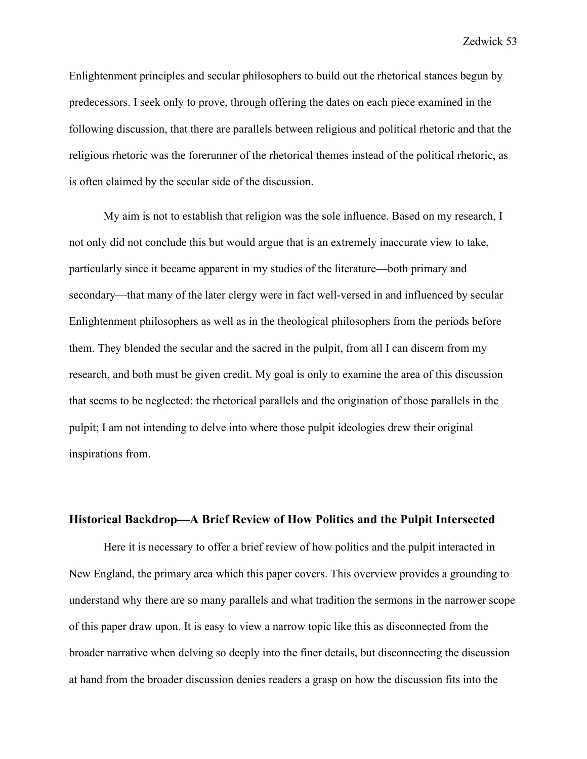Enlightenment principles and secular philosophers to build out the rhetorical stances begun by predecessors. I seek only to prove, through offering the dates on each piece examined in the following discussion, that there are parallels between religious and political rhetoric and that the religious rhetoric was the forerunner of the rhetorical themes instead of the political rhetoric, as is often claimed by the secular side of the discussion.

My aim is not to establish that religion was the sole influence. Based on my research, I not only did not conclude this but would argue that is an extremely inaccurate view to take, particularly since it became apparent in my studies of the literature—both primary and secondary—that many of the later clergy were in fact well-versed in and influenced by secular Enlightenment philosophers as well as in the theological philosophers from the periods before them. They blended the secular and the sacred in the pulpit, from all I can discern from my research, and both must be given credit. My goal is only to examine the area of this discussion that seems to be neglected: the rhetorical parallels and the origination of those parallels in the pulpit; I am not intending to delve into where those pulpit ideologies drew their original inspirations from.

### **Historical Backdrop—A Brief Review of How Politics and the Pulpit Intersected**

Here it is necessary to offer a brief review of how politics and the pulpit interacted in New England, the primary area which this paper covers. This overview provides a grounding to understand why there are so many parallels and what tradition the sermons in the narrower scope of this paper draw upon. It is easy to view a narrow topic like this as disconnected from the broader narrative when delving so deeply into the finer details, but disconnecting the discussion at hand from the broader discussion denies readers a grasp on how the discussion fits into the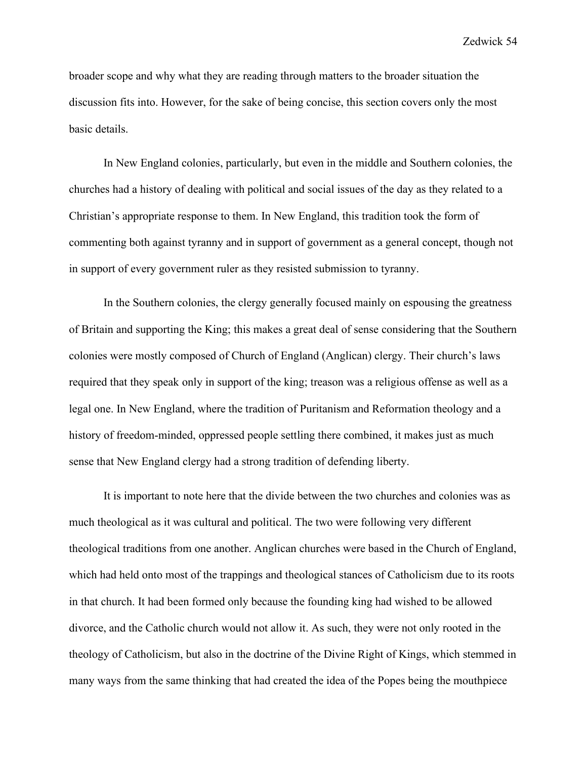broader scope and why what they are reading through matters to the broader situation the discussion fits into. However, for the sake of being concise, this section covers only the most basic details.

In New England colonies, particularly, but even in the middle and Southern colonies, the churches had a history of dealing with political and social issues of the day as they related to a Christian's appropriate response to them. In New England, this tradition took the form of commenting both against tyranny and in support of government as a general concept, though not in support of every government ruler as they resisted submission to tyranny.

In the Southern colonies, the clergy generally focused mainly on espousing the greatness of Britain and supporting the King; this makes a great deal of sense considering that the Southern colonies were mostly composed of Church of England (Anglican) clergy. Their church's laws required that they speak only in support of the king; treason was a religious offense as well as a legal one. In New England, where the tradition of Puritanism and Reformation theology and a history of freedom-minded, oppressed people settling there combined, it makes just as much sense that New England clergy had a strong tradition of defending liberty.

It is important to note here that the divide between the two churches and colonies was as much theological as it was cultural and political. The two were following very different theological traditions from one another. Anglican churches were based in the Church of England, which had held onto most of the trappings and theological stances of Catholicism due to its roots in that church. It had been formed only because the founding king had wished to be allowed divorce, and the Catholic church would not allow it. As such, they were not only rooted in the theology of Catholicism, but also in the doctrine of the Divine Right of Kings, which stemmed in many ways from the same thinking that had created the idea of the Popes being the mouthpiece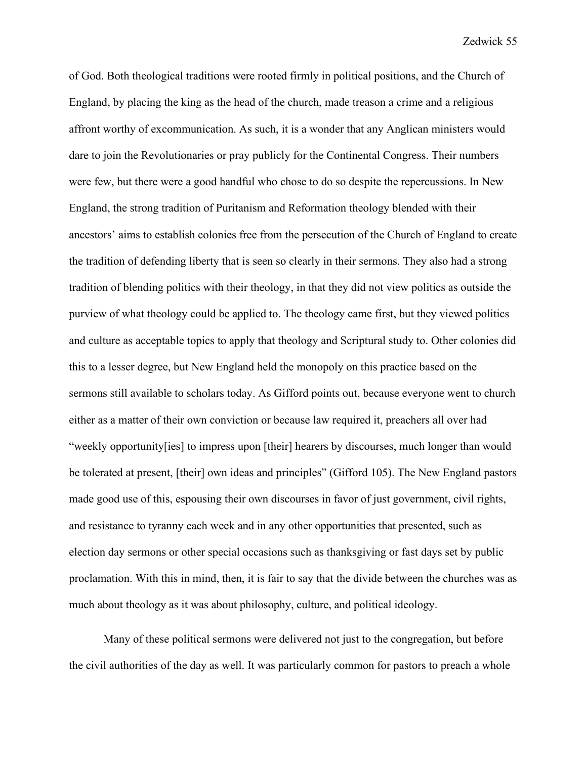of God. Both theological traditions were rooted firmly in political positions, and the Church of England, by placing the king as the head of the church, made treason a crime and a religious affront worthy of excommunication. As such, it is a wonder that any Anglican ministers would dare to join the Revolutionaries or pray publicly for the Continental Congress. Their numbers were few, but there were a good handful who chose to do so despite the repercussions. In New England, the strong tradition of Puritanism and Reformation theology blended with their ancestors' aims to establish colonies free from the persecution of the Church of England to create the tradition of defending liberty that is seen so clearly in their sermons. They also had a strong tradition of blending politics with their theology, in that they did not view politics as outside the purview of what theology could be applied to. The theology came first, but they viewed politics and culture as acceptable topics to apply that theology and Scriptural study to. Other colonies did this to a lesser degree, but New England held the monopoly on this practice based on the sermons still available to scholars today. As Gifford points out, because everyone went to church either as a matter of their own conviction or because law required it, preachers all over had "weekly opportunity[ies] to impress upon [their] hearers by discourses, much longer than would be tolerated at present, [their] own ideas and principles" (Gifford 105). The New England pastors made good use of this, espousing their own discourses in favor of just government, civil rights, and resistance to tyranny each week and in any other opportunities that presented, such as election day sermons or other special occasions such as thanksgiving or fast days set by public proclamation. With this in mind, then, it is fair to say that the divide between the churches was as much about theology as it was about philosophy, culture, and political ideology.

Many of these political sermons were delivered not just to the congregation, but before the civil authorities of the day as well. It was particularly common for pastors to preach a whole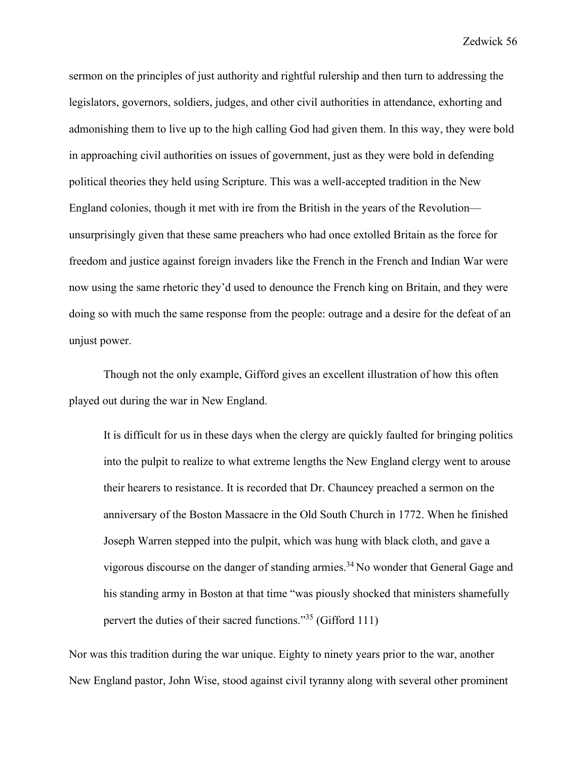sermon on the principles of just authority and rightful rulership and then turn to addressing the legislators, governors, soldiers, judges, and other civil authorities in attendance, exhorting and admonishing them to live up to the high calling God had given them. In this way, they were bold in approaching civil authorities on issues of government, just as they were bold in defending political theories they held using Scripture. This was a well-accepted tradition in the New England colonies, though it met with ire from the British in the years of the Revolution unsurprisingly given that these same preachers who had once extolled Britain as the force for freedom and justice against foreign invaders like the French in the French and Indian War were now using the same rhetoric they'd used to denounce the French king on Britain, and they were doing so with much the same response from the people: outrage and a desire for the defeat of an unjust power.

Though not the only example, Gifford gives an excellent illustration of how this often played out during the war in New England.

It is difficult for us in these days when the clergy are quickly faulted for bringing politics into the pulpit to realize to what extreme lengths the New England clergy went to arouse their hearers to resistance. It is recorded that Dr. Chauncey preached a sermon on the anniversary of the Boston Massacre in the Old South Church in 1772. When he finished Joseph Warren stepped into the pulpit, which was hung with black cloth, and gave a vigorous discourse on the danger of standing armies.34 No wonder that General Gage and his standing army in Boston at that time "was piously shocked that ministers shamefully pervert the duties of their sacred functions."35 (Gifford 111)

Nor was this tradition during the war unique. Eighty to ninety years prior to the war, another New England pastor, John Wise, stood against civil tyranny along with several other prominent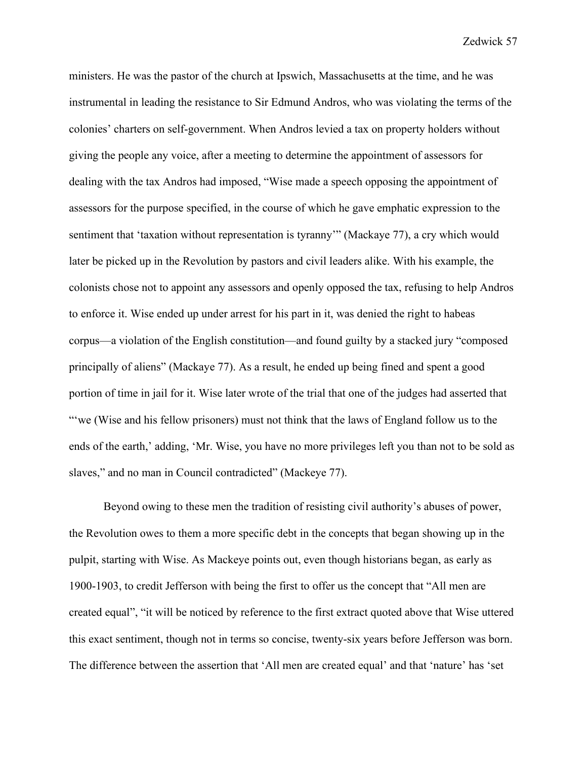ministers. He was the pastor of the church at Ipswich, Massachusetts at the time, and he was instrumental in leading the resistance to Sir Edmund Andros, who was violating the terms of the colonies' charters on self-government. When Andros levied a tax on property holders without giving the people any voice, after a meeting to determine the appointment of assessors for dealing with the tax Andros had imposed, "Wise made a speech opposing the appointment of assessors for the purpose specified, in the course of which he gave emphatic expression to the sentiment that 'taxation without representation is tyranny'" (Mackaye 77), a cry which would later be picked up in the Revolution by pastors and civil leaders alike. With his example, the colonists chose not to appoint any assessors and openly opposed the tax, refusing to help Andros to enforce it. Wise ended up under arrest for his part in it, was denied the right to habeas corpus—a violation of the English constitution—and found guilty by a stacked jury "composed principally of aliens" (Mackaye 77). As a result, he ended up being fined and spent a good portion of time in jail for it. Wise later wrote of the trial that one of the judges had asserted that "we (Wise and his fellow prisoners) must not think that the laws of England follow us to the ends of the earth,' adding, 'Mr. Wise, you have no more privileges left you than not to be sold as slaves," and no man in Council contradicted" (Mackeye 77).

Beyond owing to these men the tradition of resisting civil authority's abuses of power, the Revolution owes to them a more specific debt in the concepts that began showing up in the pulpit, starting with Wise. As Mackeye points out, even though historians began, as early as 1900-1903, to credit Jefferson with being the first to offer us the concept that "All men are created equal", "it will be noticed by reference to the first extract quoted above that Wise uttered this exact sentiment, though not in terms so concise, twenty-six years before Jefferson was born. The difference between the assertion that 'All men are created equal' and that 'nature' has 'set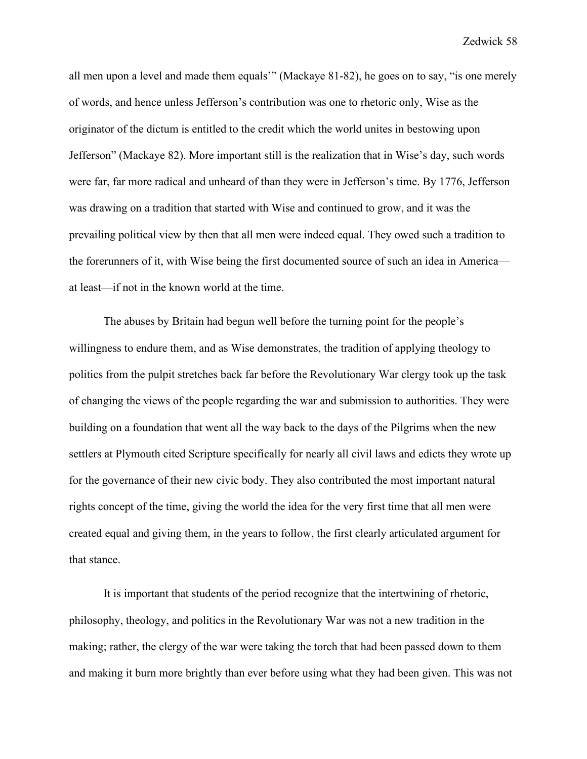all men upon a level and made them equals'" (Mackaye 81-82), he goes on to say, "is one merely of words, and hence unless Jefferson's contribution was one to rhetoric only, Wise as the originator of the dictum is entitled to the credit which the world unites in bestowing upon Jefferson" (Mackaye 82). More important still is the realization that in Wise's day, such words were far, far more radical and unheard of than they were in Jefferson's time. By 1776, Jefferson was drawing on a tradition that started with Wise and continued to grow, and it was the prevailing political view by then that all men were indeed equal. They owed such a tradition to the forerunners of it, with Wise being the first documented source of such an idea in America at least—if not in the known world at the time.

The abuses by Britain had begun well before the turning point for the people's willingness to endure them, and as Wise demonstrates, the tradition of applying theology to politics from the pulpit stretches back far before the Revolutionary War clergy took up the task of changing the views of the people regarding the war and submission to authorities. They were building on a foundation that went all the way back to the days of the Pilgrims when the new settlers at Plymouth cited Scripture specifically for nearly all civil laws and edicts they wrote up for the governance of their new civic body. They also contributed the most important natural rights concept of the time, giving the world the idea for the very first time that all men were created equal and giving them, in the years to follow, the first clearly articulated argument for that stance.

It is important that students of the period recognize that the intertwining of rhetoric, philosophy, theology, and politics in the Revolutionary War was not a new tradition in the making; rather, the clergy of the war were taking the torch that had been passed down to them and making it burn more brightly than ever before using what they had been given. This was not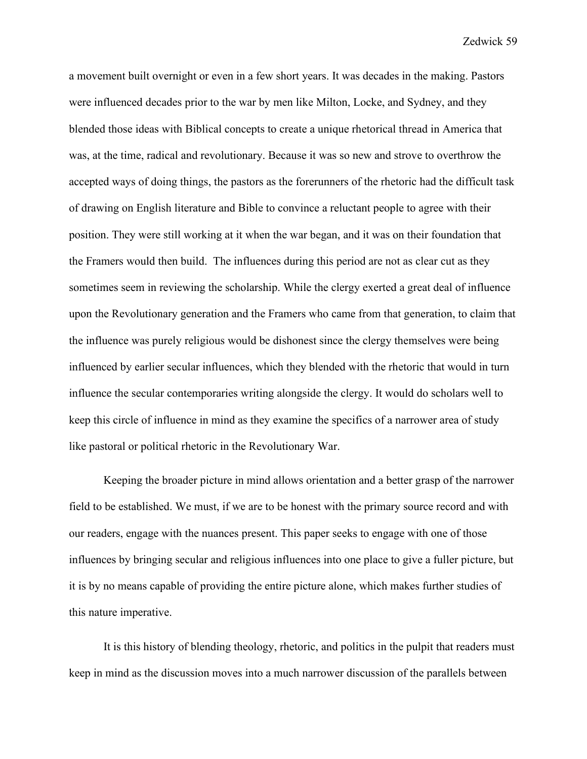a movement built overnight or even in a few short years. It was decades in the making. Pastors were influenced decades prior to the war by men like Milton, Locke, and Sydney, and they blended those ideas with Biblical concepts to create a unique rhetorical thread in America that was, at the time, radical and revolutionary. Because it was so new and strove to overthrow the accepted ways of doing things, the pastors as the forerunners of the rhetoric had the difficult task of drawing on English literature and Bible to convince a reluctant people to agree with their position. They were still working at it when the war began, and it was on their foundation that the Framers would then build. The influences during this period are not as clear cut as they sometimes seem in reviewing the scholarship. While the clergy exerted a great deal of influence upon the Revolutionary generation and the Framers who came from that generation, to claim that the influence was purely religious would be dishonest since the clergy themselves were being influenced by earlier secular influences, which they blended with the rhetoric that would in turn influence the secular contemporaries writing alongside the clergy. It would do scholars well to keep this circle of influence in mind as they examine the specifics of a narrower area of study like pastoral or political rhetoric in the Revolutionary War.

Keeping the broader picture in mind allows orientation and a better grasp of the narrower field to be established. We must, if we are to be honest with the primary source record and with our readers, engage with the nuances present. This paper seeks to engage with one of those influences by bringing secular and religious influences into one place to give a fuller picture, but it is by no means capable of providing the entire picture alone, which makes further studies of this nature imperative.

It is this history of blending theology, rhetoric, and politics in the pulpit that readers must keep in mind as the discussion moves into a much narrower discussion of the parallels between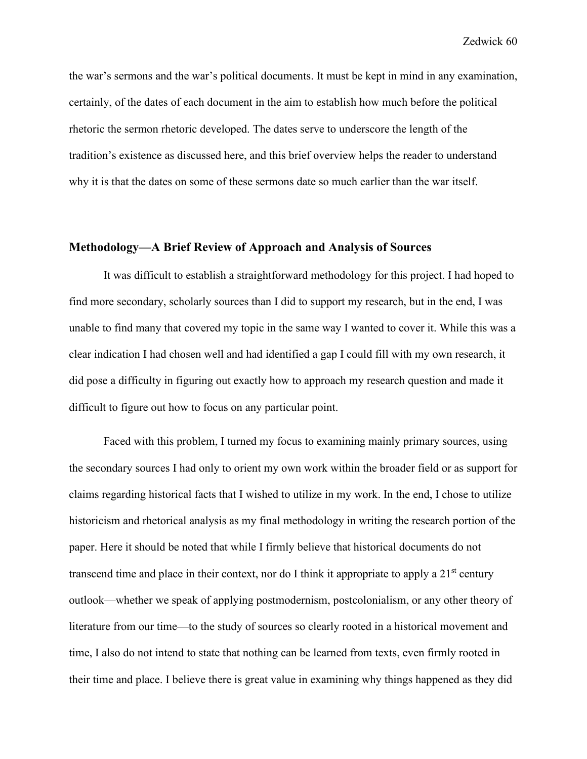the war's sermons and the war's political documents. It must be kept in mind in any examination, certainly, of the dates of each document in the aim to establish how much before the political rhetoric the sermon rhetoric developed. The dates serve to underscore the length of the tradition's existence as discussed here, and this brief overview helps the reader to understand why it is that the dates on some of these sermons date so much earlier than the war itself.

### **Methodology—A Brief Review of Approach and Analysis of Sources**

It was difficult to establish a straightforward methodology for this project. I had hoped to find more secondary, scholarly sources than I did to support my research, but in the end, I was unable to find many that covered my topic in the same way I wanted to cover it. While this was a clear indication I had chosen well and had identified a gap I could fill with my own research, it did pose a difficulty in figuring out exactly how to approach my research question and made it difficult to figure out how to focus on any particular point.

Faced with this problem, I turned my focus to examining mainly primary sources, using the secondary sources I had only to orient my own work within the broader field or as support for claims regarding historical facts that I wished to utilize in my work. In the end, I chose to utilize historicism and rhetorical analysis as my final methodology in writing the research portion of the paper. Here it should be noted that while I firmly believe that historical documents do not transcend time and place in their context, nor do I think it appropriate to apply a  $21<sup>st</sup>$  century outlook—whether we speak of applying postmodernism, postcolonialism, or any other theory of literature from our time—to the study of sources so clearly rooted in a historical movement and time, I also do not intend to state that nothing can be learned from texts, even firmly rooted in their time and place. I believe there is great value in examining why things happened as they did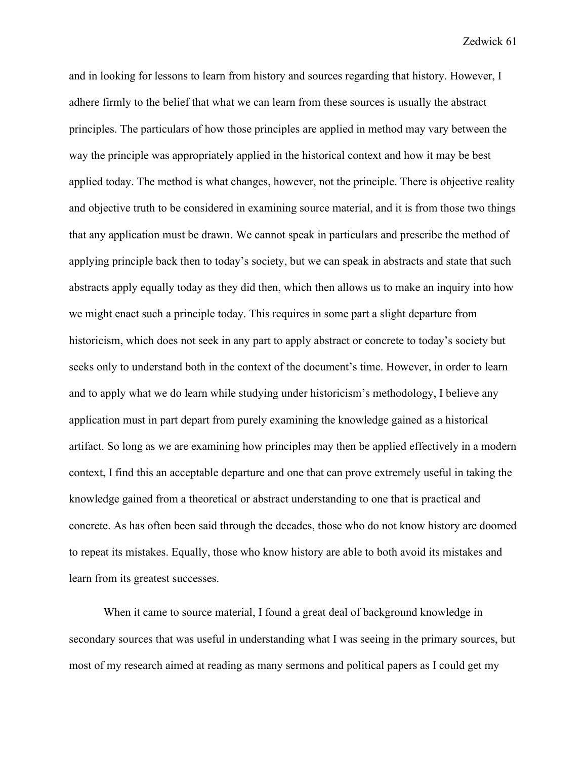and in looking for lessons to learn from history and sources regarding that history. However, I adhere firmly to the belief that what we can learn from these sources is usually the abstract principles. The particulars of how those principles are applied in method may vary between the way the principle was appropriately applied in the historical context and how it may be best applied today. The method is what changes, however, not the principle. There is objective reality and objective truth to be considered in examining source material, and it is from those two things that any application must be drawn. We cannot speak in particulars and prescribe the method of applying principle back then to today's society, but we can speak in abstracts and state that such abstracts apply equally today as they did then, which then allows us to make an inquiry into how we might enact such a principle today. This requires in some part a slight departure from historicism, which does not seek in any part to apply abstract or concrete to today's society but seeks only to understand both in the context of the document's time. However, in order to learn and to apply what we do learn while studying under historicism's methodology, I believe any application must in part depart from purely examining the knowledge gained as a historical artifact. So long as we are examining how principles may then be applied effectively in a modern context, I find this an acceptable departure and one that can prove extremely useful in taking the knowledge gained from a theoretical or abstract understanding to one that is practical and concrete. As has often been said through the decades, those who do not know history are doomed to repeat its mistakes. Equally, those who know history are able to both avoid its mistakes and learn from its greatest successes.

When it came to source material, I found a great deal of background knowledge in secondary sources that was useful in understanding what I was seeing in the primary sources, but most of my research aimed at reading as many sermons and political papers as I could get my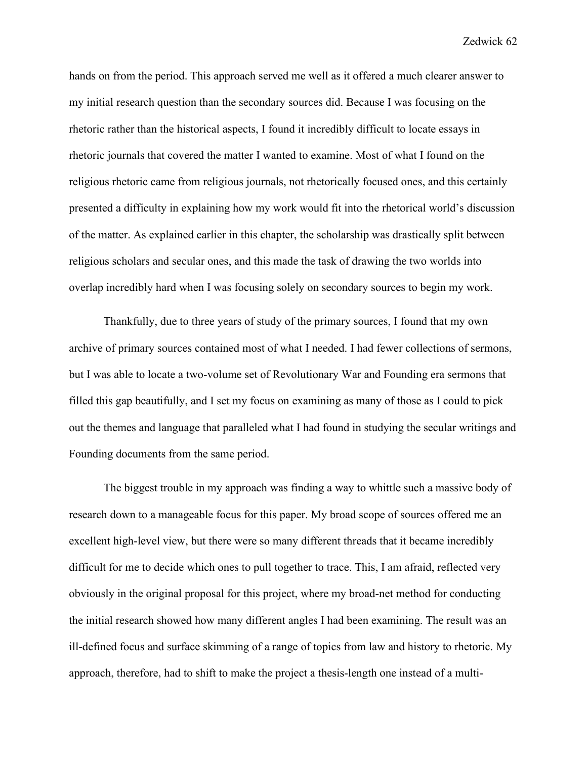hands on from the period. This approach served me well as it offered a much clearer answer to my initial research question than the secondary sources did. Because I was focusing on the rhetoric rather than the historical aspects, I found it incredibly difficult to locate essays in rhetoric journals that covered the matter I wanted to examine. Most of what I found on the religious rhetoric came from religious journals, not rhetorically focused ones, and this certainly presented a difficulty in explaining how my work would fit into the rhetorical world's discussion of the matter. As explained earlier in this chapter, the scholarship was drastically split between religious scholars and secular ones, and this made the task of drawing the two worlds into overlap incredibly hard when I was focusing solely on secondary sources to begin my work.

Thankfully, due to three years of study of the primary sources, I found that my own archive of primary sources contained most of what I needed. I had fewer collections of sermons, but I was able to locate a two-volume set of Revolutionary War and Founding era sermons that filled this gap beautifully, and I set my focus on examining as many of those as I could to pick out the themes and language that paralleled what I had found in studying the secular writings and Founding documents from the same period.

The biggest trouble in my approach was finding a way to whittle such a massive body of research down to a manageable focus for this paper. My broad scope of sources offered me an excellent high-level view, but there were so many different threads that it became incredibly difficult for me to decide which ones to pull together to trace. This, I am afraid, reflected very obviously in the original proposal for this project, where my broad-net method for conducting the initial research showed how many different angles I had been examining. The result was an ill-defined focus and surface skimming of a range of topics from law and history to rhetoric. My approach, therefore, had to shift to make the project a thesis-length one instead of a multi-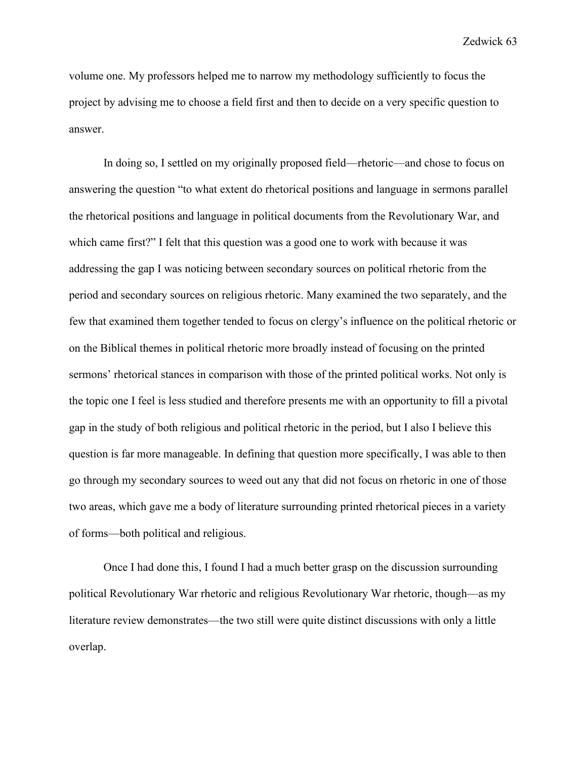volume one. My professors helped me to narrow my methodology sufficiently to focus the project by advising me to choose a field first and then to decide on a very specific question to answer.

In doing so, I settled on my originally proposed field—rhetoric—and chose to focus on answering the question "to what extent do rhetorical positions and language in sermons parallel the rhetorical positions and language in political documents from the Revolutionary War, and which came first?" I felt that this question was a good one to work with because it was addressing the gap I was noticing between secondary sources on political rhetoric from the period and secondary sources on religious rhetoric. Many examined the two separately, and the few that examined them together tended to focus on clergy's influence on the political rhetoric or on the Biblical themes in political rhetoric more broadly instead of focusing on the printed sermons' rhetorical stances in comparison with those of the printed political works. Not only is the topic one I feel is less studied and therefore presents me with an opportunity to fill a pivotal gap in the study of both religious and political rhetoric in the period, but I also I believe this question is far more manageable. In defining that question more specifically, I was able to then go through my secondary sources to weed out any that did not focus on rhetoric in one of those two areas, which gave me a body of literature surrounding printed rhetorical pieces in a variety of forms—both political and religious.

Once I had done this, I found I had a much better grasp on the discussion surrounding political Revolutionary War rhetoric and religious Revolutionary War rhetoric, though—as my literature review demonstrates—the two still were quite distinct discussions with only a little overlap.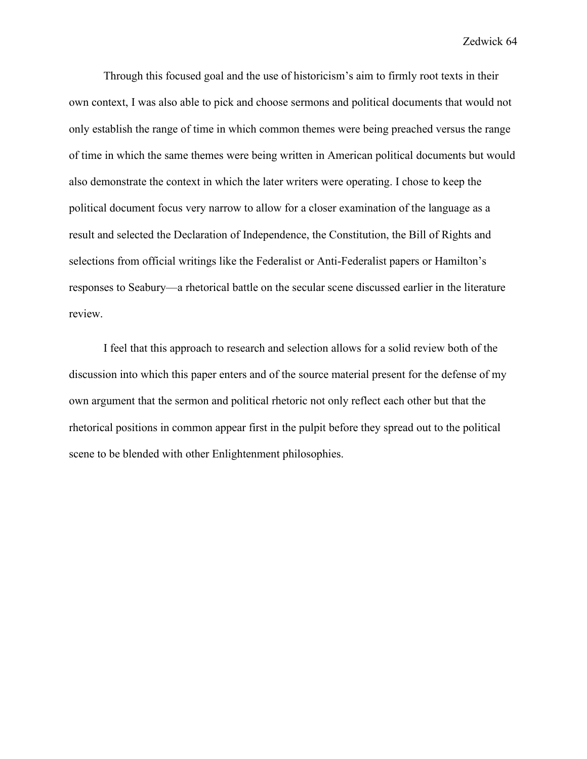Through this focused goal and the use of historicism's aim to firmly root texts in their own context, I was also able to pick and choose sermons and political documents that would not only establish the range of time in which common themes were being preached versus the range of time in which the same themes were being written in American political documents but would also demonstrate the context in which the later writers were operating. I chose to keep the political document focus very narrow to allow for a closer examination of the language as a result and selected the Declaration of Independence, the Constitution, the Bill of Rights and selections from official writings like the Federalist or Anti-Federalist papers or Hamilton's responses to Seabury—a rhetorical battle on the secular scene discussed earlier in the literature review.

I feel that this approach to research and selection allows for a solid review both of the discussion into which this paper enters and of the source material present for the defense of my own argument that the sermon and political rhetoric not only reflect each other but that the rhetorical positions in common appear first in the pulpit before they spread out to the political scene to be blended with other Enlightenment philosophies.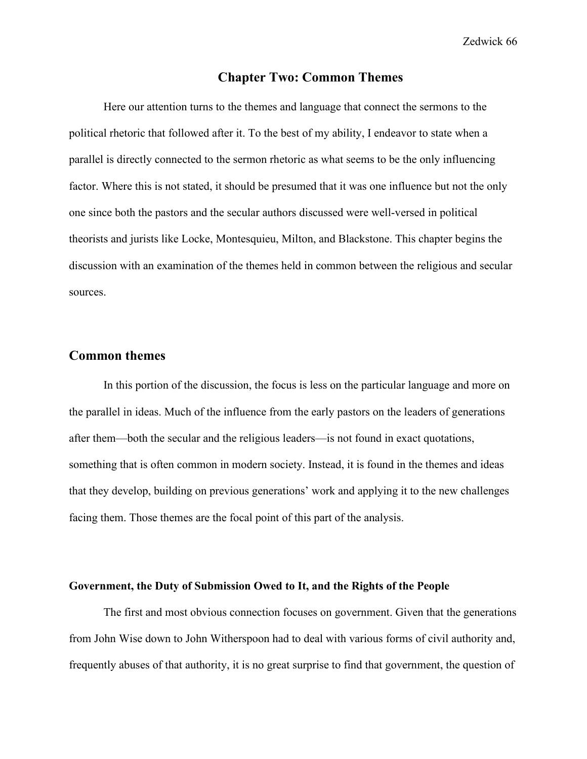# **Chapter Two: Common Themes**

Here our attention turns to the themes and language that connect the sermons to the political rhetoric that followed after it. To the best of my ability, I endeavor to state when a parallel is directly connected to the sermon rhetoric as what seems to be the only influencing factor. Where this is not stated, it should be presumed that it was one influence but not the only one since both the pastors and the secular authors discussed were well-versed in political theorists and jurists like Locke, Montesquieu, Milton, and Blackstone. This chapter begins the discussion with an examination of the themes held in common between the religious and secular sources.

# **Common themes**

In this portion of the discussion, the focus is less on the particular language and more on the parallel in ideas. Much of the influence from the early pastors on the leaders of generations after them—both the secular and the religious leaders—is not found in exact quotations, something that is often common in modern society. Instead, it is found in the themes and ideas that they develop, building on previous generations' work and applying it to the new challenges facing them. Those themes are the focal point of this part of the analysis.

## **Government, the Duty of Submission Owed to It, and the Rights of the People**

The first and most obvious connection focuses on government. Given that the generations from John Wise down to John Witherspoon had to deal with various forms of civil authority and, frequently abuses of that authority, it is no great surprise to find that government, the question of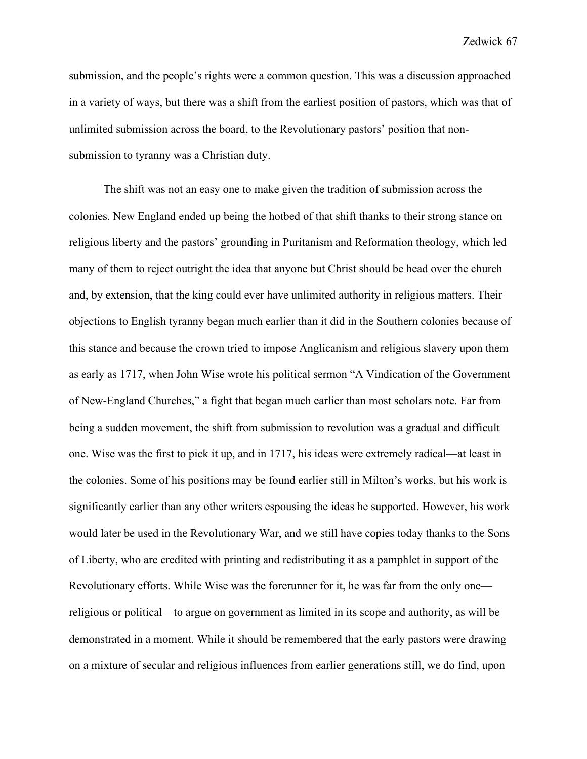submission, and the people's rights were a common question. This was a discussion approached in a variety of ways, but there was a shift from the earliest position of pastors, which was that of unlimited submission across the board, to the Revolutionary pastors' position that nonsubmission to tyranny was a Christian duty.

The shift was not an easy one to make given the tradition of submission across the colonies. New England ended up being the hotbed of that shift thanks to their strong stance on religious liberty and the pastors' grounding in Puritanism and Reformation theology, which led many of them to reject outright the idea that anyone but Christ should be head over the church and, by extension, that the king could ever have unlimited authority in religious matters. Their objections to English tyranny began much earlier than it did in the Southern colonies because of this stance and because the crown tried to impose Anglicanism and religious slavery upon them as early as 1717, when John Wise wrote his political sermon "A Vindication of the Government of New-England Churches," a fight that began much earlier than most scholars note. Far from being a sudden movement, the shift from submission to revolution was a gradual and difficult one. Wise was the first to pick it up, and in 1717, his ideas were extremely radical—at least in the colonies. Some of his positions may be found earlier still in Milton's works, but his work is significantly earlier than any other writers espousing the ideas he supported. However, his work would later be used in the Revolutionary War, and we still have copies today thanks to the Sons of Liberty, who are credited with printing and redistributing it as a pamphlet in support of the Revolutionary efforts. While Wise was the forerunner for it, he was far from the only one religious or political—to argue on government as limited in its scope and authority, as will be demonstrated in a moment. While it should be remembered that the early pastors were drawing on a mixture of secular and religious influences from earlier generations still, we do find, upon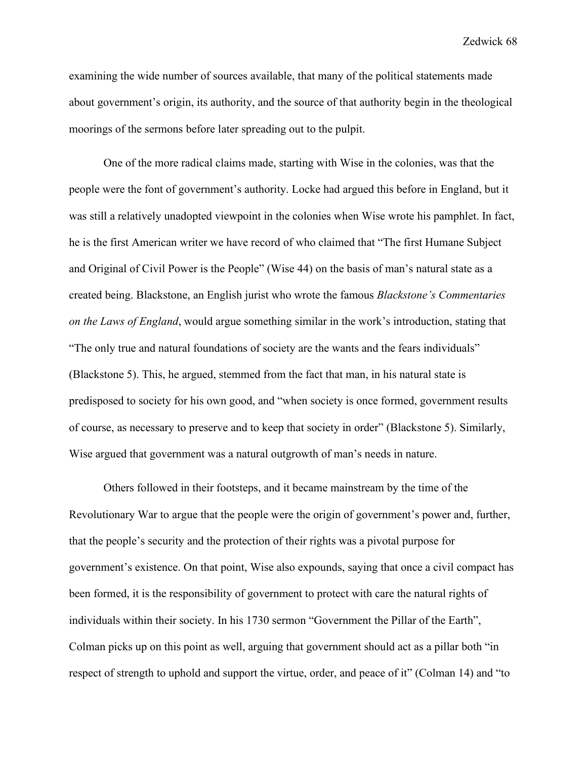examining the wide number of sources available, that many of the political statements made about government's origin, its authority, and the source of that authority begin in the theological moorings of the sermons before later spreading out to the pulpit.

One of the more radical claims made, starting with Wise in the colonies, was that the people were the font of government's authority. Locke had argued this before in England, but it was still a relatively unadopted viewpoint in the colonies when Wise wrote his pamphlet. In fact, he is the first American writer we have record of who claimed that "The first Humane Subject and Original of Civil Power is the People" (Wise 44) on the basis of man's natural state as a created being. Blackstone, an English jurist who wrote the famous *Blackstone's Commentaries on the Laws of England*, would argue something similar in the work's introduction, stating that "The only true and natural foundations of society are the wants and the fears individuals" (Blackstone 5). This, he argued, stemmed from the fact that man, in his natural state is predisposed to society for his own good, and "when society is once formed, government results of course, as necessary to preserve and to keep that society in order" (Blackstone 5). Similarly, Wise argued that government was a natural outgrowth of man's needs in nature.

Others followed in their footsteps, and it became mainstream by the time of the Revolutionary War to argue that the people were the origin of government's power and, further, that the people's security and the protection of their rights was a pivotal purpose for government's existence. On that point, Wise also expounds, saying that once a civil compact has been formed, it is the responsibility of government to protect with care the natural rights of individuals within their society. In his 1730 sermon "Government the Pillar of the Earth", Colman picks up on this point as well, arguing that government should act as a pillar both "in respect of strength to uphold and support the virtue, order, and peace of it" (Colman 14) and "to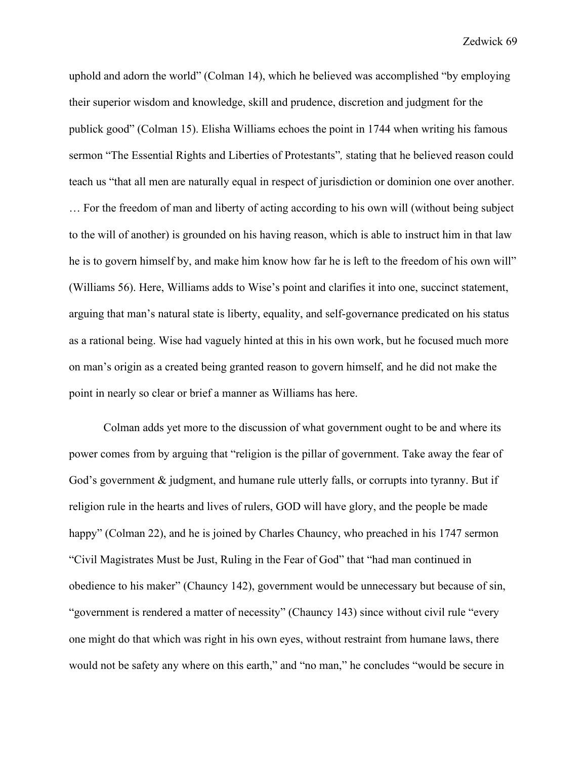uphold and adorn the world" (Colman 14), which he believed was accomplished "by employing their superior wisdom and knowledge, skill and prudence, discretion and judgment for the publick good" (Colman 15). Elisha Williams echoes the point in 1744 when writing his famous sermon "The Essential Rights and Liberties of Protestants"*,* stating that he believed reason could teach us "that all men are naturally equal in respect of jurisdiction or dominion one over another. … For the freedom of man and liberty of acting according to his own will (without being subject to the will of another) is grounded on his having reason, which is able to instruct him in that law he is to govern himself by, and make him know how far he is left to the freedom of his own will" (Williams 56). Here, Williams adds to Wise's point and clarifies it into one, succinct statement, arguing that man's natural state is liberty, equality, and self-governance predicated on his status as a rational being. Wise had vaguely hinted at this in his own work, but he focused much more on man's origin as a created being granted reason to govern himself, and he did not make the point in nearly so clear or brief a manner as Williams has here.

Colman adds yet more to the discussion of what government ought to be and where its power comes from by arguing that "religion is the pillar of government. Take away the fear of God's government & judgment, and humane rule utterly falls, or corrupts into tyranny. But if religion rule in the hearts and lives of rulers, GOD will have glory, and the people be made happy" (Colman 22), and he is joined by Charles Chauncy, who preached in his 1747 sermon "Civil Magistrates Must be Just, Ruling in the Fear of God" that "had man continued in obedience to his maker" (Chauncy 142), government would be unnecessary but because of sin, "government is rendered a matter of necessity" (Chauncy 143) since without civil rule "every one might do that which was right in his own eyes, without restraint from humane laws, there would not be safety any where on this earth," and "no man," he concludes "would be secure in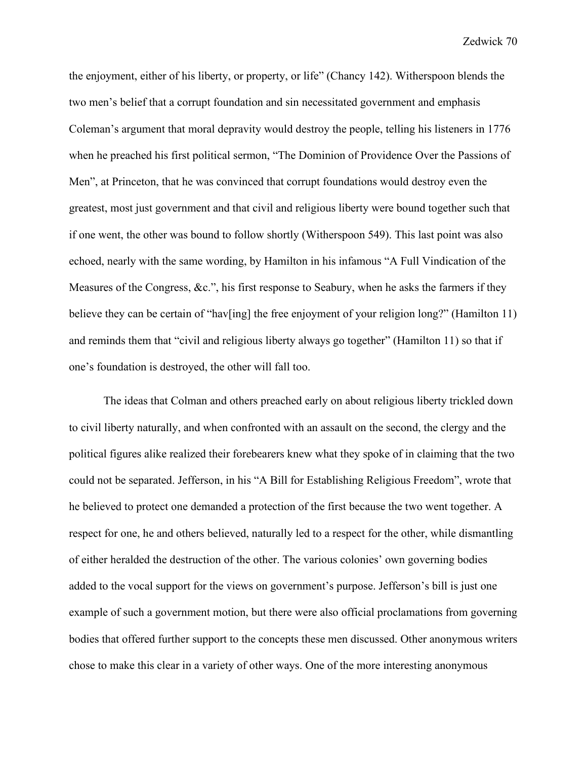the enjoyment, either of his liberty, or property, or life" (Chancy 142). Witherspoon blends the two men's belief that a corrupt foundation and sin necessitated government and emphasis Coleman's argument that moral depravity would destroy the people, telling his listeners in 1776 when he preached his first political sermon, "The Dominion of Providence Over the Passions of Men", at Princeton, that he was convinced that corrupt foundations would destroy even the greatest, most just government and that civil and religious liberty were bound together such that if one went, the other was bound to follow shortly (Witherspoon 549). This last point was also echoed, nearly with the same wording, by Hamilton in his infamous "A Full Vindication of the Measures of the Congress, &c.", his first response to Seabury, when he asks the farmers if they believe they can be certain of "hav[ing] the free enjoyment of your religion long?" (Hamilton 11) and reminds them that "civil and religious liberty always go together" (Hamilton 11) so that if one's foundation is destroyed, the other will fall too.

The ideas that Colman and others preached early on about religious liberty trickled down to civil liberty naturally, and when confronted with an assault on the second, the clergy and the political figures alike realized their forebearers knew what they spoke of in claiming that the two could not be separated. Jefferson, in his "A Bill for Establishing Religious Freedom", wrote that he believed to protect one demanded a protection of the first because the two went together. A respect for one, he and others believed, naturally led to a respect for the other, while dismantling of either heralded the destruction of the other. The various colonies' own governing bodies added to the vocal support for the views on government's purpose. Jefferson's bill is just one example of such a government motion, but there were also official proclamations from governing bodies that offered further support to the concepts these men discussed. Other anonymous writers chose to make this clear in a variety of other ways. One of the more interesting anonymous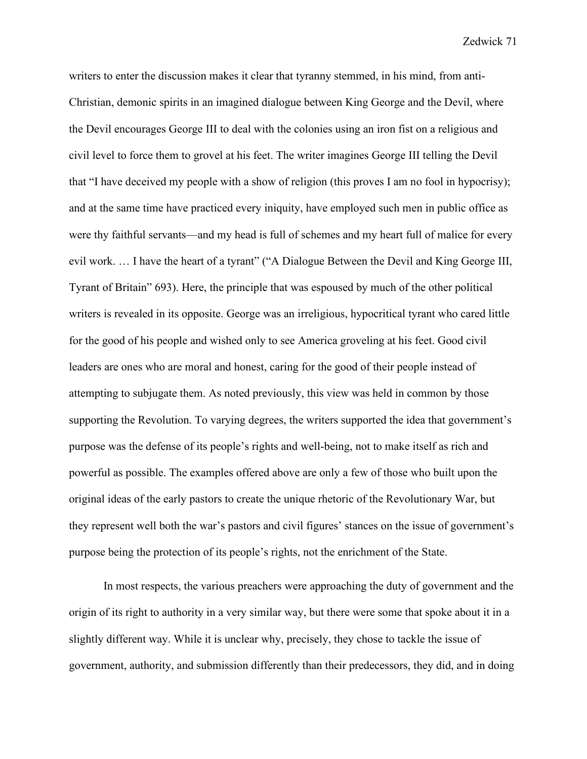writers to enter the discussion makes it clear that tyranny stemmed, in his mind, from anti-Christian, demonic spirits in an imagined dialogue between King George and the Devil, where the Devil encourages George III to deal with the colonies using an iron fist on a religious and civil level to force them to grovel at his feet. The writer imagines George III telling the Devil that "I have deceived my people with a show of religion (this proves I am no fool in hypocrisy); and at the same time have practiced every iniquity, have employed such men in public office as were thy faithful servants—and my head is full of schemes and my heart full of malice for every evil work. ... I have the heart of a tyrant" ("A Dialogue Between the Devil and King George III, Tyrant of Britain" 693). Here, the principle that was espoused by much of the other political writers is revealed in its opposite. George was an irreligious, hypocritical tyrant who cared little for the good of his people and wished only to see America groveling at his feet. Good civil leaders are ones who are moral and honest, caring for the good of their people instead of attempting to subjugate them. As noted previously, this view was held in common by those supporting the Revolution. To varying degrees, the writers supported the idea that government's purpose was the defense of its people's rights and well-being, not to make itself as rich and powerful as possible. The examples offered above are only a few of those who built upon the original ideas of the early pastors to create the unique rhetoric of the Revolutionary War, but they represent well both the war's pastors and civil figures' stances on the issue of government's purpose being the protection of its people's rights, not the enrichment of the State.

In most respects, the various preachers were approaching the duty of government and the origin of its right to authority in a very similar way, but there were some that spoke about it in a slightly different way. While it is unclear why, precisely, they chose to tackle the issue of government, authority, and submission differently than their predecessors, they did, and in doing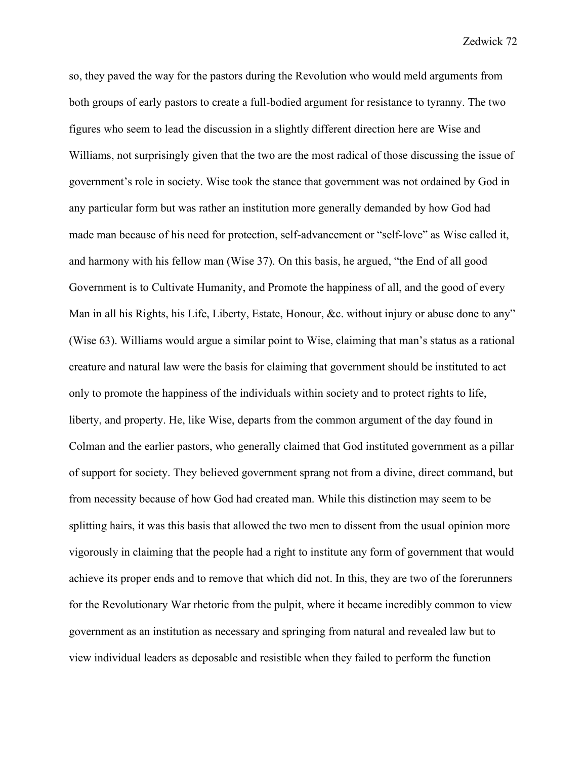so, they paved the way for the pastors during the Revolution who would meld arguments from both groups of early pastors to create a full-bodied argument for resistance to tyranny. The two figures who seem to lead the discussion in a slightly different direction here are Wise and Williams, not surprisingly given that the two are the most radical of those discussing the issue of government's role in society. Wise took the stance that government was not ordained by God in any particular form but was rather an institution more generally demanded by how God had made man because of his need for protection, self-advancement or "self-love" as Wise called it, and harmony with his fellow man (Wise 37). On this basis, he argued, "the End of all good Government is to Cultivate Humanity, and Promote the happiness of all, and the good of every Man in all his Rights, his Life, Liberty, Estate, Honour, &c. without injury or abuse done to any" (Wise 63). Williams would argue a similar point to Wise, claiming that man's status as a rational creature and natural law were the basis for claiming that government should be instituted to act only to promote the happiness of the individuals within society and to protect rights to life, liberty, and property. He, like Wise, departs from the common argument of the day found in Colman and the earlier pastors, who generally claimed that God instituted government as a pillar of support for society. They believed government sprang not from a divine, direct command, but from necessity because of how God had created man. While this distinction may seem to be splitting hairs, it was this basis that allowed the two men to dissent from the usual opinion more vigorously in claiming that the people had a right to institute any form of government that would achieve its proper ends and to remove that which did not. In this, they are two of the forerunners for the Revolutionary War rhetoric from the pulpit, where it became incredibly common to view government as an institution as necessary and springing from natural and revealed law but to view individual leaders as deposable and resistible when they failed to perform the function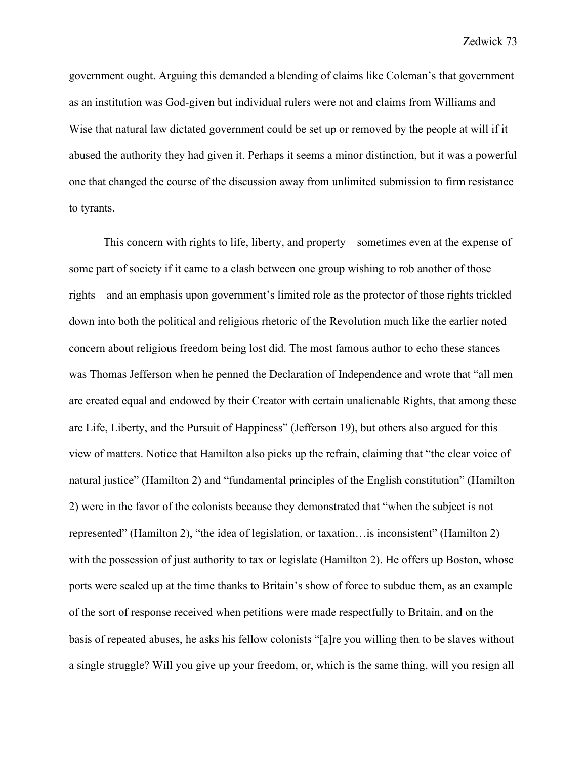government ought. Arguing this demanded a blending of claims like Coleman's that government as an institution was God-given but individual rulers were not and claims from Williams and Wise that natural law dictated government could be set up or removed by the people at will if it abused the authority they had given it. Perhaps it seems a minor distinction, but it was a powerful one that changed the course of the discussion away from unlimited submission to firm resistance to tyrants.

This concern with rights to life, liberty, and property—sometimes even at the expense of some part of society if it came to a clash between one group wishing to rob another of those rights—and an emphasis upon government's limited role as the protector of those rights trickled down into both the political and religious rhetoric of the Revolution much like the earlier noted concern about religious freedom being lost did. The most famous author to echo these stances was Thomas Jefferson when he penned the Declaration of Independence and wrote that "all men are created equal and endowed by their Creator with certain unalienable Rights, that among these are Life, Liberty, and the Pursuit of Happiness" (Jefferson 19), but others also argued for this view of matters. Notice that Hamilton also picks up the refrain, claiming that "the clear voice of natural justice" (Hamilton 2) and "fundamental principles of the English constitution" (Hamilton 2) were in the favor of the colonists because they demonstrated that "when the subject is not represented" (Hamilton 2), "the idea of legislation, or taxation…is inconsistent" (Hamilton 2) with the possession of just authority to tax or legislate (Hamilton 2). He offers up Boston, whose ports were sealed up at the time thanks to Britain's show of force to subdue them, as an example of the sort of response received when petitions were made respectfully to Britain, and on the basis of repeated abuses, he asks his fellow colonists "[a]re you willing then to be slaves without a single struggle? Will you give up your freedom, or, which is the same thing, will you resign all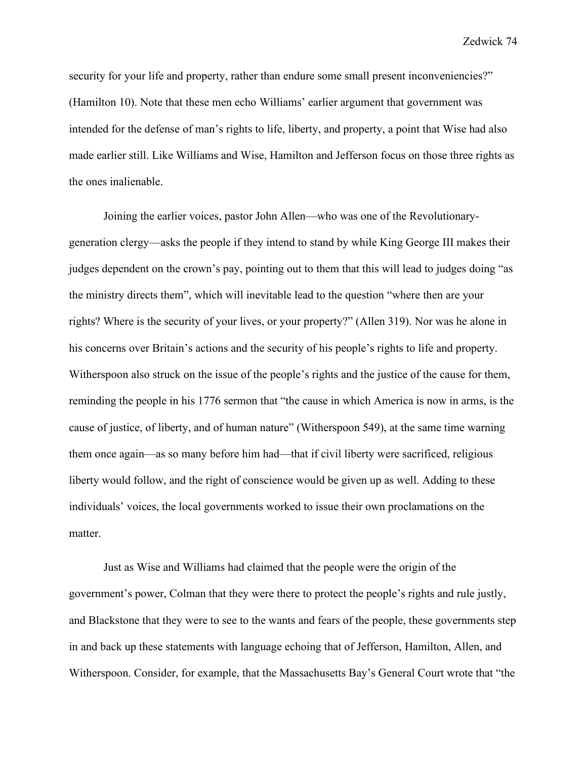security for your life and property, rather than endure some small present inconveniencies?" (Hamilton 10). Note that these men echo Williams' earlier argument that government was intended for the defense of man's rights to life, liberty, and property, a point that Wise had also made earlier still. Like Williams and Wise, Hamilton and Jefferson focus on those three rights as the ones inalienable.

Joining the earlier voices, pastor John Allen—who was one of the Revolutionarygeneration clergy—asks the people if they intend to stand by while King George III makes their judges dependent on the crown's pay, pointing out to them that this will lead to judges doing "as the ministry directs them", which will inevitable lead to the question "where then are your rights? Where is the security of your lives, or your property?" (Allen 319). Nor was he alone in his concerns over Britain's actions and the security of his people's rights to life and property. Witherspoon also struck on the issue of the people's rights and the justice of the cause for them, reminding the people in his 1776 sermon that "the cause in which America is now in arms, is the cause of justice, of liberty, and of human nature" (Witherspoon 549), at the same time warning them once again—as so many before him had—that if civil liberty were sacrificed, religious liberty would follow, and the right of conscience would be given up as well. Adding to these individuals' voices, the local governments worked to issue their own proclamations on the matter.

Just as Wise and Williams had claimed that the people were the origin of the government's power, Colman that they were there to protect the people's rights and rule justly, and Blackstone that they were to see to the wants and fears of the people, these governments step in and back up these statements with language echoing that of Jefferson, Hamilton, Allen, and Witherspoon. Consider, for example, that the Massachusetts Bay's General Court wrote that "the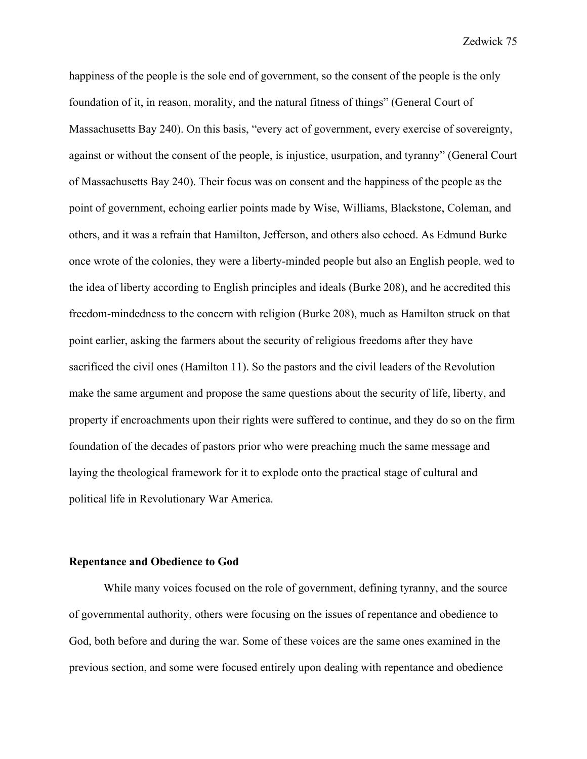happiness of the people is the sole end of government, so the consent of the people is the only foundation of it, in reason, morality, and the natural fitness of things" (General Court of Massachusetts Bay 240). On this basis, "every act of government, every exercise of sovereignty, against or without the consent of the people, is injustice, usurpation, and tyranny" (General Court of Massachusetts Bay 240). Their focus was on consent and the happiness of the people as the point of government, echoing earlier points made by Wise, Williams, Blackstone, Coleman, and others, and it was a refrain that Hamilton, Jefferson, and others also echoed. As Edmund Burke once wrote of the colonies, they were a liberty-minded people but also an English people, wed to the idea of liberty according to English principles and ideals (Burke 208), and he accredited this freedom-mindedness to the concern with religion (Burke 208), much as Hamilton struck on that point earlier, asking the farmers about the security of religious freedoms after they have sacrificed the civil ones (Hamilton 11). So the pastors and the civil leaders of the Revolution make the same argument and propose the same questions about the security of life, liberty, and property if encroachments upon their rights were suffered to continue, and they do so on the firm foundation of the decades of pastors prior who were preaching much the same message and laying the theological framework for it to explode onto the practical stage of cultural and political life in Revolutionary War America.

## **Repentance and Obedience to God**

While many voices focused on the role of government, defining tyranny, and the source of governmental authority, others were focusing on the issues of repentance and obedience to God, both before and during the war. Some of these voices are the same ones examined in the previous section, and some were focused entirely upon dealing with repentance and obedience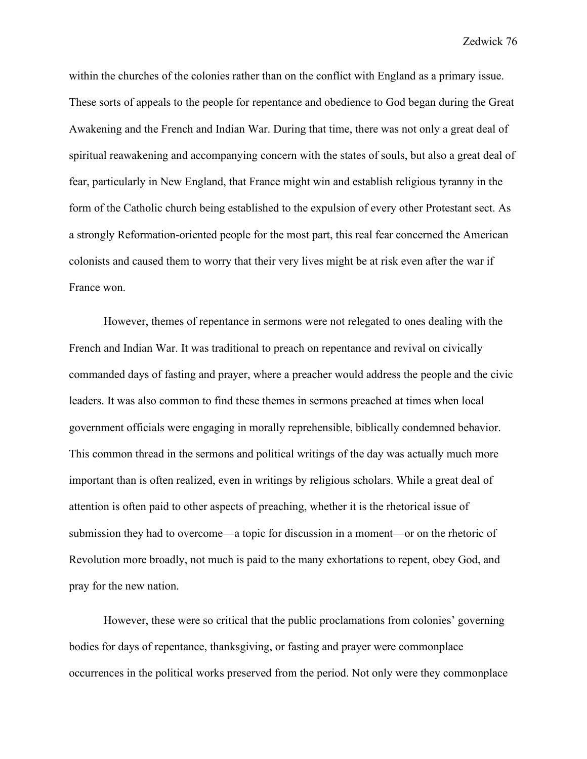within the churches of the colonies rather than on the conflict with England as a primary issue. These sorts of appeals to the people for repentance and obedience to God began during the Great Awakening and the French and Indian War. During that time, there was not only a great deal of spiritual reawakening and accompanying concern with the states of souls, but also a great deal of fear, particularly in New England, that France might win and establish religious tyranny in the form of the Catholic church being established to the expulsion of every other Protestant sect. As a strongly Reformation-oriented people for the most part, this real fear concerned the American colonists and caused them to worry that their very lives might be at risk even after the war if France won.

However, themes of repentance in sermons were not relegated to ones dealing with the French and Indian War. It was traditional to preach on repentance and revival on civically commanded days of fasting and prayer, where a preacher would address the people and the civic leaders. It was also common to find these themes in sermons preached at times when local government officials were engaging in morally reprehensible, biblically condemned behavior. This common thread in the sermons and political writings of the day was actually much more important than is often realized, even in writings by religious scholars. While a great deal of attention is often paid to other aspects of preaching, whether it is the rhetorical issue of submission they had to overcome—a topic for discussion in a moment—or on the rhetoric of Revolution more broadly, not much is paid to the many exhortations to repent, obey God, and pray for the new nation.

However, these were so critical that the public proclamations from colonies' governing bodies for days of repentance, thanksgiving, or fasting and prayer were commonplace occurrences in the political works preserved from the period. Not only were they commonplace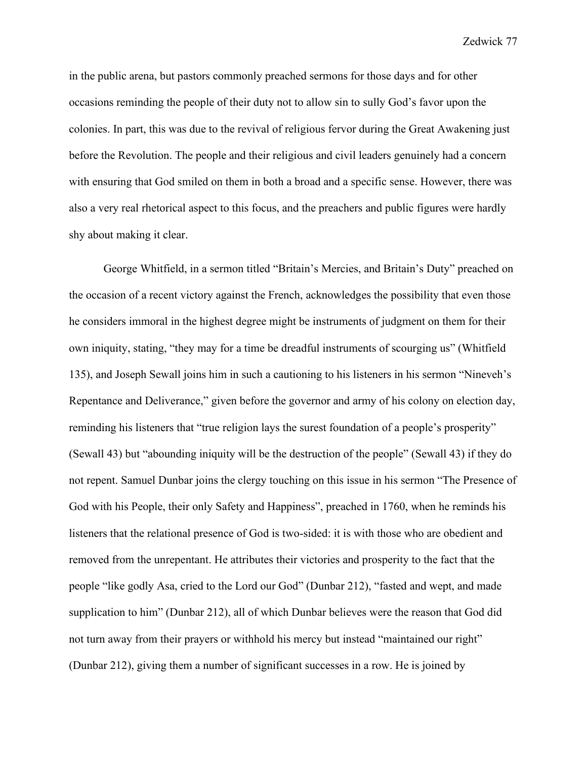in the public arena, but pastors commonly preached sermons for those days and for other occasions reminding the people of their duty not to allow sin to sully God's favor upon the colonies. In part, this was due to the revival of religious fervor during the Great Awakening just before the Revolution. The people and their religious and civil leaders genuinely had a concern with ensuring that God smiled on them in both a broad and a specific sense. However, there was also a very real rhetorical aspect to this focus, and the preachers and public figures were hardly shy about making it clear.

George Whitfield, in a sermon titled "Britain's Mercies, and Britain's Duty" preached on the occasion of a recent victory against the French, acknowledges the possibility that even those he considers immoral in the highest degree might be instruments of judgment on them for their own iniquity, stating, "they may for a time be dreadful instruments of scourging us" (Whitfield 135), and Joseph Sewall joins him in such a cautioning to his listeners in his sermon "Nineveh's Repentance and Deliverance," given before the governor and army of his colony on election day, reminding his listeners that "true religion lays the surest foundation of a people's prosperity" (Sewall 43) but "abounding iniquity will be the destruction of the people" (Sewall 43) if they do not repent. Samuel Dunbar joins the clergy touching on this issue in his sermon "The Presence of God with his People, their only Safety and Happiness", preached in 1760, when he reminds his listeners that the relational presence of God is two-sided: it is with those who are obedient and removed from the unrepentant. He attributes their victories and prosperity to the fact that the people "like godly Asa, cried to the Lord our God" (Dunbar 212), "fasted and wept, and made supplication to him" (Dunbar 212), all of which Dunbar believes were the reason that God did not turn away from their prayers or withhold his mercy but instead "maintained our right" (Dunbar 212), giving them a number of significant successes in a row. He is joined by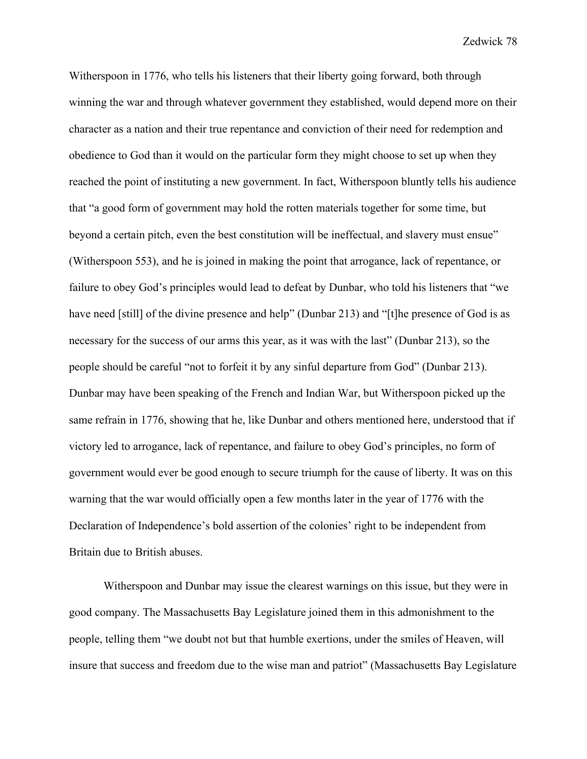Witherspoon in 1776, who tells his listeners that their liberty going forward, both through winning the war and through whatever government they established, would depend more on their character as a nation and their true repentance and conviction of their need for redemption and obedience to God than it would on the particular form they might choose to set up when they reached the point of instituting a new government. In fact, Witherspoon bluntly tells his audience that "a good form of government may hold the rotten materials together for some time, but beyond a certain pitch, even the best constitution will be ineffectual, and slavery must ensue" (Witherspoon 553), and he is joined in making the point that arrogance, lack of repentance, or failure to obey God's principles would lead to defeat by Dunbar, who told his listeners that "we have need [still] of the divine presence and help" (Dunbar 213) and "[t]he presence of God is as necessary for the success of our arms this year, as it was with the last" (Dunbar 213), so the people should be careful "not to forfeit it by any sinful departure from God" (Dunbar 213). Dunbar may have been speaking of the French and Indian War, but Witherspoon picked up the same refrain in 1776, showing that he, like Dunbar and others mentioned here, understood that if victory led to arrogance, lack of repentance, and failure to obey God's principles, no form of government would ever be good enough to secure triumph for the cause of liberty. It was on this warning that the war would officially open a few months later in the year of 1776 with the Declaration of Independence's bold assertion of the colonies' right to be independent from Britain due to British abuses.

Witherspoon and Dunbar may issue the clearest warnings on this issue, but they were in good company. The Massachusetts Bay Legislature joined them in this admonishment to the people, telling them "we doubt not but that humble exertions, under the smiles of Heaven, will insure that success and freedom due to the wise man and patriot" (Massachusetts Bay Legislature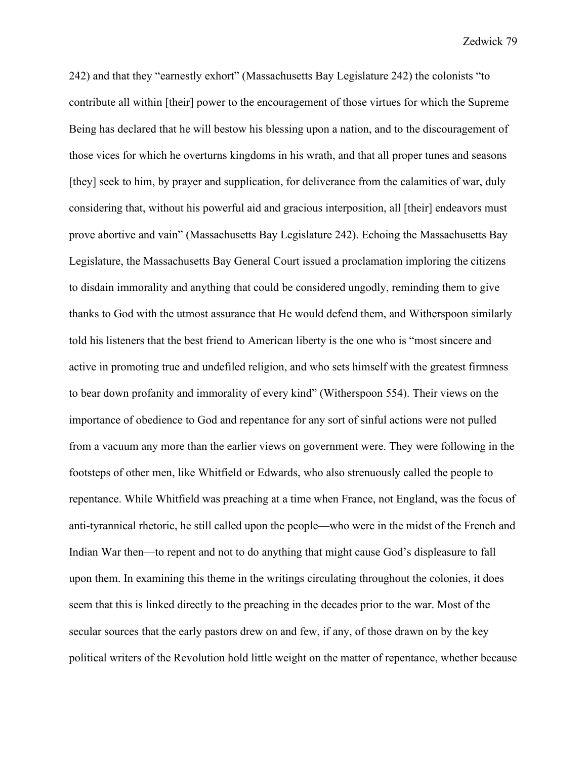242) and that they "earnestly exhort" (Massachusetts Bay Legislature 242) the colonists "to contribute all within [their] power to the encouragement of those virtues for which the Supreme Being has declared that he will bestow his blessing upon a nation, and to the discouragement of those vices for which he overturns kingdoms in his wrath, and that all proper tunes and seasons [they] seek to him, by prayer and supplication, for deliverance from the calamities of war, duly considering that, without his powerful aid and gracious interposition, all [their] endeavors must prove abortive and vain" (Massachusetts Bay Legislature 242). Echoing the Massachusetts Bay Legislature, the Massachusetts Bay General Court issued a proclamation imploring the citizens to disdain immorality and anything that could be considered ungodly, reminding them to give thanks to God with the utmost assurance that He would defend them, and Witherspoon similarly told his listeners that the best friend to American liberty is the one who is "most sincere and active in promoting true and undefiled religion, and who sets himself with the greatest firmness to bear down profanity and immorality of every kind" (Witherspoon 554). Their views on the importance of obedience to God and repentance for any sort of sinful actions were not pulled from a vacuum any more than the earlier views on government were. They were following in the footsteps of other men, like Whitfield or Edwards, who also strenuously called the people to repentance. While Whitfield was preaching at a time when France, not England, was the focus of anti-tyrannical rhetoric, he still called upon the people—who were in the midst of the French and Indian War then—to repent and not to do anything that might cause God's displeasure to fall upon them. In examining this theme in the writings circulating throughout the colonies, it does seem that this is linked directly to the preaching in the decades prior to the war. Most of the secular sources that the early pastors drew on and few, if any, of those drawn on by the key political writers of the Revolution hold little weight on the matter of repentance, whether because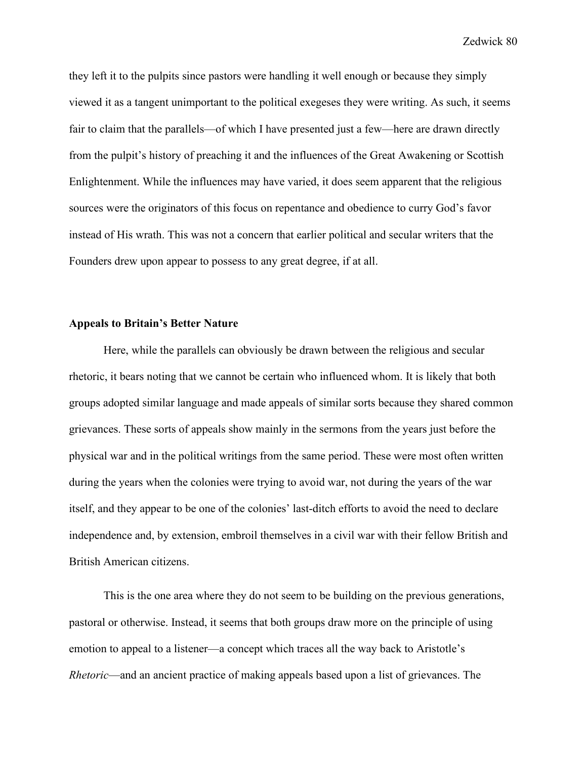they left it to the pulpits since pastors were handling it well enough or because they simply viewed it as a tangent unimportant to the political exegeses they were writing. As such, it seems fair to claim that the parallels—of which I have presented just a few—here are drawn directly from the pulpit's history of preaching it and the influences of the Great Awakening or Scottish Enlightenment. While the influences may have varied, it does seem apparent that the religious sources were the originators of this focus on repentance and obedience to curry God's favor instead of His wrath. This was not a concern that earlier political and secular writers that the Founders drew upon appear to possess to any great degree, if at all.

### **Appeals to Britain's Better Nature**

Here, while the parallels can obviously be drawn between the religious and secular rhetoric, it bears noting that we cannot be certain who influenced whom. It is likely that both groups adopted similar language and made appeals of similar sorts because they shared common grievances. These sorts of appeals show mainly in the sermons from the years just before the physical war and in the political writings from the same period. These were most often written during the years when the colonies were trying to avoid war, not during the years of the war itself, and they appear to be one of the colonies' last-ditch efforts to avoid the need to declare independence and, by extension, embroil themselves in a civil war with their fellow British and British American citizens.

This is the one area where they do not seem to be building on the previous generations, pastoral or otherwise. Instead, it seems that both groups draw more on the principle of using emotion to appeal to a listener—a concept which traces all the way back to Aristotle's *Rhetoric*—and an ancient practice of making appeals based upon a list of grievances. The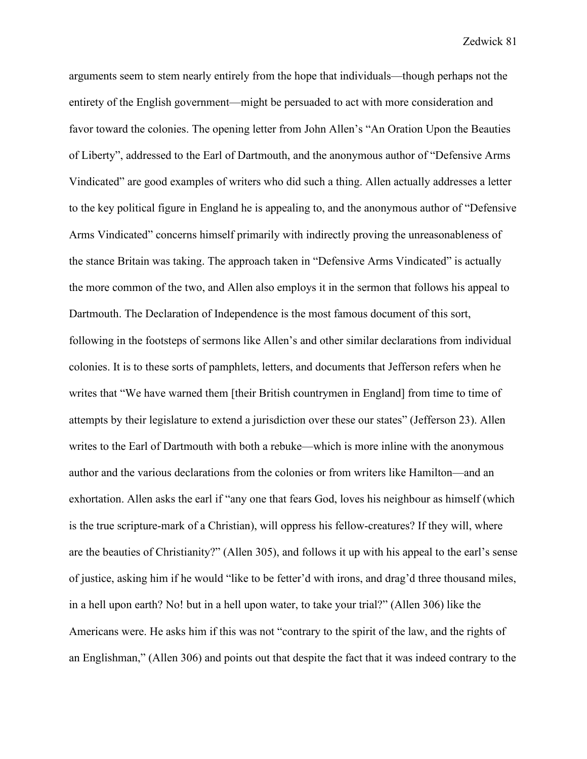arguments seem to stem nearly entirely from the hope that individuals—though perhaps not the entirety of the English government—might be persuaded to act with more consideration and favor toward the colonies. The opening letter from John Allen's "An Oration Upon the Beauties of Liberty", addressed to the Earl of Dartmouth, and the anonymous author of "Defensive Arms Vindicated" are good examples of writers who did such a thing. Allen actually addresses a letter to the key political figure in England he is appealing to, and the anonymous author of "Defensive Arms Vindicated" concerns himself primarily with indirectly proving the unreasonableness of the stance Britain was taking. The approach taken in "Defensive Arms Vindicated" is actually the more common of the two, and Allen also employs it in the sermon that follows his appeal to Dartmouth. The Declaration of Independence is the most famous document of this sort, following in the footsteps of sermons like Allen's and other similar declarations from individual colonies. It is to these sorts of pamphlets, letters, and documents that Jefferson refers when he writes that "We have warned them [their British countrymen in England] from time to time of attempts by their legislature to extend a jurisdiction over these our states" (Jefferson 23). Allen writes to the Earl of Dartmouth with both a rebuke—which is more inline with the anonymous author and the various declarations from the colonies or from writers like Hamilton—and an exhortation. Allen asks the earl if "any one that fears God, loves his neighbour as himself (which is the true scripture-mark of a Christian), will oppress his fellow-creatures? If they will, where are the beauties of Christianity?" (Allen 305), and follows it up with his appeal to the earl's sense of justice, asking him if he would "like to be fetter'd with irons, and drag'd three thousand miles, in a hell upon earth? No! but in a hell upon water, to take your trial?" (Allen 306) like the Americans were. He asks him if this was not "contrary to the spirit of the law, and the rights of an Englishman," (Allen 306) and points out that despite the fact that it was indeed contrary to the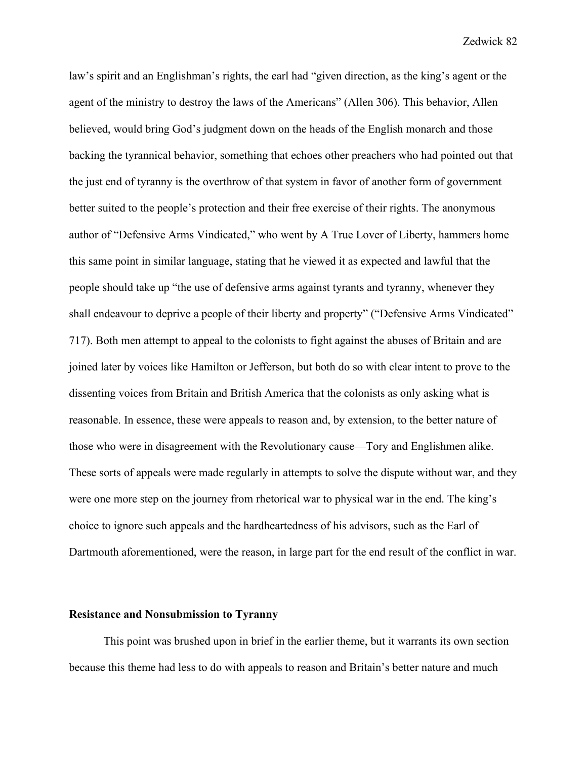law's spirit and an Englishman's rights, the earl had "given direction, as the king's agent or the agent of the ministry to destroy the laws of the Americans" (Allen 306). This behavior, Allen believed, would bring God's judgment down on the heads of the English monarch and those backing the tyrannical behavior, something that echoes other preachers who had pointed out that the just end of tyranny is the overthrow of that system in favor of another form of government better suited to the people's protection and their free exercise of their rights. The anonymous author of "Defensive Arms Vindicated," who went by A True Lover of Liberty, hammers home this same point in similar language, stating that he viewed it as expected and lawful that the people should take up "the use of defensive arms against tyrants and tyranny, whenever they shall endeavour to deprive a people of their liberty and property" ("Defensive Arms Vindicated" 717). Both men attempt to appeal to the colonists to fight against the abuses of Britain and are joined later by voices like Hamilton or Jefferson, but both do so with clear intent to prove to the dissenting voices from Britain and British America that the colonists as only asking what is reasonable. In essence, these were appeals to reason and, by extension, to the better nature of those who were in disagreement with the Revolutionary cause—Tory and Englishmen alike. These sorts of appeals were made regularly in attempts to solve the dispute without war, and they were one more step on the journey from rhetorical war to physical war in the end. The king's choice to ignore such appeals and the hardheartedness of his advisors, such as the Earl of Dartmouth aforementioned, were the reason, in large part for the end result of the conflict in war.

#### **Resistance and Nonsubmission to Tyranny**

This point was brushed upon in brief in the earlier theme, but it warrants its own section because this theme had less to do with appeals to reason and Britain's better nature and much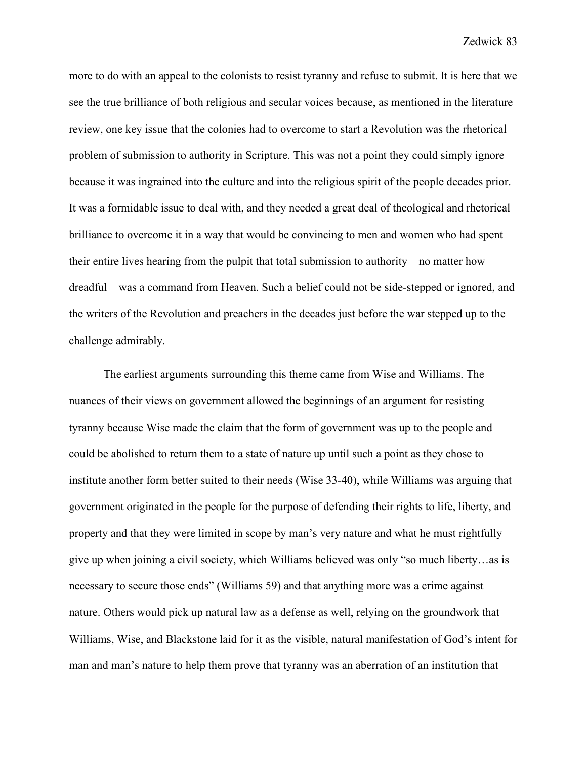more to do with an appeal to the colonists to resist tyranny and refuse to submit. It is here that we see the true brilliance of both religious and secular voices because, as mentioned in the literature review, one key issue that the colonies had to overcome to start a Revolution was the rhetorical problem of submission to authority in Scripture. This was not a point they could simply ignore because it was ingrained into the culture and into the religious spirit of the people decades prior. It was a formidable issue to deal with, and they needed a great deal of theological and rhetorical brilliance to overcome it in a way that would be convincing to men and women who had spent their entire lives hearing from the pulpit that total submission to authority—no matter how dreadful—was a command from Heaven. Such a belief could not be side-stepped or ignored, and the writers of the Revolution and preachers in the decades just before the war stepped up to the challenge admirably.

The earliest arguments surrounding this theme came from Wise and Williams. The nuances of their views on government allowed the beginnings of an argument for resisting tyranny because Wise made the claim that the form of government was up to the people and could be abolished to return them to a state of nature up until such a point as they chose to institute another form better suited to their needs (Wise 33-40), while Williams was arguing that government originated in the people for the purpose of defending their rights to life, liberty, and property and that they were limited in scope by man's very nature and what he must rightfully give up when joining a civil society, which Williams believed was only "so much liberty…as is necessary to secure those ends" (Williams 59) and that anything more was a crime against nature. Others would pick up natural law as a defense as well, relying on the groundwork that Williams, Wise, and Blackstone laid for it as the visible, natural manifestation of God's intent for man and man's nature to help them prove that tyranny was an aberration of an institution that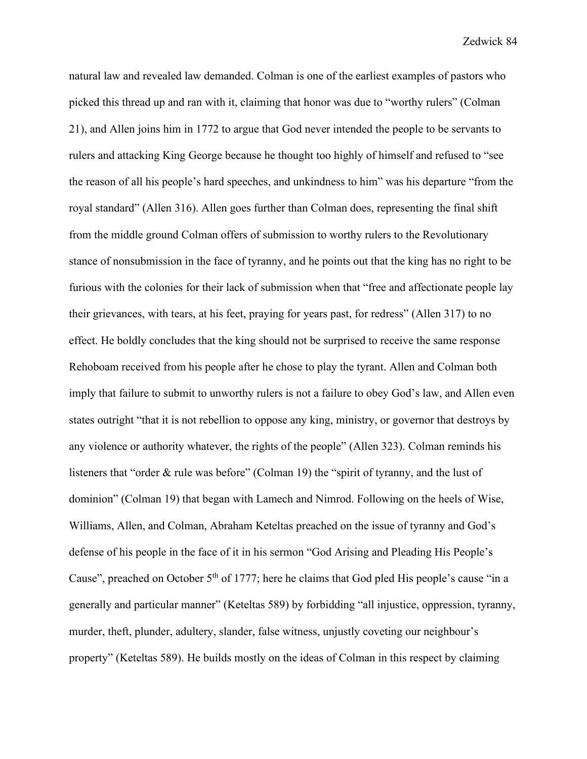natural law and revealed law demanded. Colman is one of the earliest examples of pastors who picked this thread up and ran with it, claiming that honor was due to "worthy rulers" (Colman 21), and Allen joins him in 1772 to argue that God never intended the people to be servants to rulers and attacking King George because he thought too highly of himself and refused to "see the reason of all his people's hard speeches, and unkindness to him" was his departure "from the royal standard" (Allen 316). Allen goes further than Colman does, representing the final shift from the middle ground Colman offers of submission to worthy rulers to the Revolutionary stance of nonsubmission in the face of tyranny, and he points out that the king has no right to be furious with the colonies for their lack of submission when that "free and affectionate people lay their grievances, with tears, at his feet, praying for years past, for redress" (Allen 317) to no effect. He boldly concludes that the king should not be surprised to receive the same response Rehoboam received from his people after he chose to play the tyrant. Allen and Colman both imply that failure to submit to unworthy rulers is not a failure to obey God's law, and Allen even states outright "that it is not rebellion to oppose any king, ministry, or governor that destroys by any violence or authority whatever, the rights of the people" (Allen 323). Colman reminds his listeners that "order & rule was before" (Colman 19) the "spirit of tyranny, and the lust of dominion" (Colman 19) that began with Lamech and Nimrod. Following on the heels of Wise, Williams, Allen, and Colman, Abraham Keteltas preached on the issue of tyranny and God's defense of his people in the face of it in his sermon "God Arising and Pleading His People's Cause", preached on October  $5<sup>th</sup>$  of 1777; here he claims that God pled His people's cause "in a generally and particular manner" (Keteltas 589) by forbidding "all injustice, oppression, tyranny, murder, theft, plunder, adultery, slander, false witness, unjustly coveting our neighbour's property" (Keteltas 589). He builds mostly on the ideas of Colman in this respect by claiming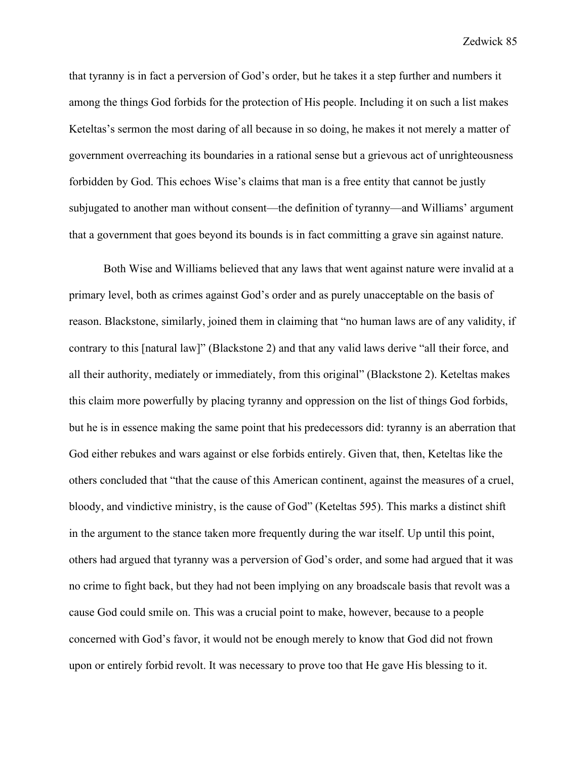that tyranny is in fact a perversion of God's order, but he takes it a step further and numbers it among the things God forbids for the protection of His people. Including it on such a list makes Keteltas's sermon the most daring of all because in so doing, he makes it not merely a matter of government overreaching its boundaries in a rational sense but a grievous act of unrighteousness forbidden by God. This echoes Wise's claims that man is a free entity that cannot be justly subjugated to another man without consent—the definition of tyranny—and Williams' argument that a government that goes beyond its bounds is in fact committing a grave sin against nature.

Both Wise and Williams believed that any laws that went against nature were invalid at a primary level, both as crimes against God's order and as purely unacceptable on the basis of reason. Blackstone, similarly, joined them in claiming that "no human laws are of any validity, if contrary to this [natural law]" (Blackstone 2) and that any valid laws derive "all their force, and all their authority, mediately or immediately, from this original" (Blackstone 2). Keteltas makes this claim more powerfully by placing tyranny and oppression on the list of things God forbids, but he is in essence making the same point that his predecessors did: tyranny is an aberration that God either rebukes and wars against or else forbids entirely. Given that, then, Keteltas like the others concluded that "that the cause of this American continent, against the measures of a cruel, bloody, and vindictive ministry, is the cause of God" (Keteltas 595). This marks a distinct shift in the argument to the stance taken more frequently during the war itself. Up until this point, others had argued that tyranny was a perversion of God's order, and some had argued that it was no crime to fight back, but they had not been implying on any broadscale basis that revolt was a cause God could smile on. This was a crucial point to make, however, because to a people concerned with God's favor, it would not be enough merely to know that God did not frown upon or entirely forbid revolt. It was necessary to prove too that He gave His blessing to it.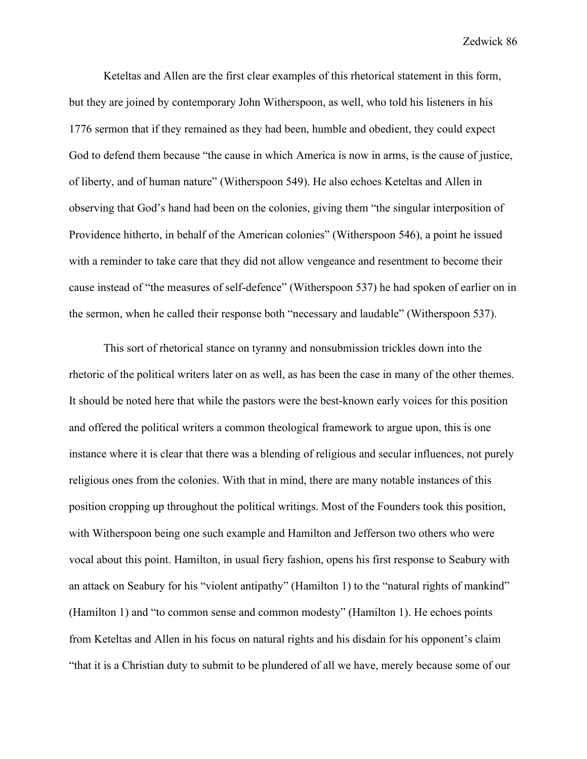Keteltas and Allen are the first clear examples of this rhetorical statement in this form, but they are joined by contemporary John Witherspoon, as well, who told his listeners in his 1776 sermon that if they remained as they had been, humble and obedient, they could expect God to defend them because "the cause in which America is now in arms, is the cause of justice, of liberty, and of human nature" (Witherspoon 549). He also echoes Keteltas and Allen in observing that God's hand had been on the colonies, giving them "the singular interposition of Providence hitherto, in behalf of the American colonies" (Witherspoon 546), a point he issued with a reminder to take care that they did not allow vengeance and resentment to become their cause instead of "the measures of self-defence" (Witherspoon 537) he had spoken of earlier on in the sermon, when he called their response both "necessary and laudable" (Witherspoon 537).

This sort of rhetorical stance on tyranny and nonsubmission trickles down into the rhetoric of the political writers later on as well, as has been the case in many of the other themes. It should be noted here that while the pastors were the best-known early voices for this position and offered the political writers a common theological framework to argue upon, this is one instance where it is clear that there was a blending of religious and secular influences, not purely religious ones from the colonies. With that in mind, there are many notable instances of this position cropping up throughout the political writings. Most of the Founders took this position, with Witherspoon being one such example and Hamilton and Jefferson two others who were vocal about this point. Hamilton, in usual fiery fashion, opens his first response to Seabury with an attack on Seabury for his "violent antipathy" (Hamilton 1) to the "natural rights of mankind" (Hamilton 1) and "to common sense and common modesty" (Hamilton 1). He echoes points from Keteltas and Allen in his focus on natural rights and his disdain for his opponent's claim "that it is a Christian duty to submit to be plundered of all we have, merely because some of our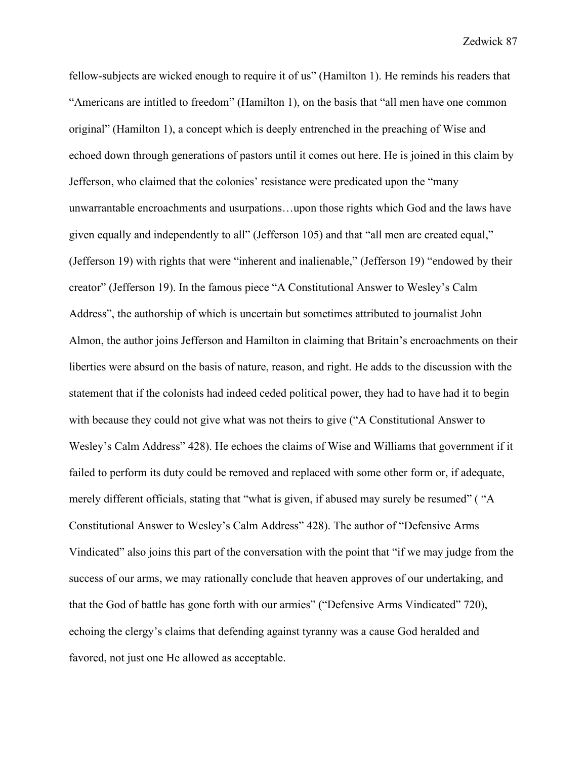fellow-subjects are wicked enough to require it of us" (Hamilton 1). He reminds his readers that "Americans are intitled to freedom" (Hamilton 1), on the basis that "all men have one common original" (Hamilton 1), a concept which is deeply entrenched in the preaching of Wise and echoed down through generations of pastors until it comes out here. He is joined in this claim by Jefferson, who claimed that the colonies' resistance were predicated upon the "many unwarrantable encroachments and usurpations…upon those rights which God and the laws have given equally and independently to all" (Jefferson 105) and that "all men are created equal," (Jefferson 19) with rights that were "inherent and inalienable," (Jefferson 19) "endowed by their creator" (Jefferson 19). In the famous piece "A Constitutional Answer to Wesley's Calm Address", the authorship of which is uncertain but sometimes attributed to journalist John Almon, the author joins Jefferson and Hamilton in claiming that Britain's encroachments on their liberties were absurd on the basis of nature, reason, and right. He adds to the discussion with the statement that if the colonists had indeed ceded political power, they had to have had it to begin with because they could not give what was not theirs to give ("A Constitutional Answer to Wesley's Calm Address" 428). He echoes the claims of Wise and Williams that government if it failed to perform its duty could be removed and replaced with some other form or, if adequate, merely different officials, stating that "what is given, if abused may surely be resumed" ( "A Constitutional Answer to Wesley's Calm Address" 428). The author of "Defensive Arms Vindicated" also joins this part of the conversation with the point that "if we may judge from the success of our arms, we may rationally conclude that heaven approves of our undertaking, and that the God of battle has gone forth with our armies" ("Defensive Arms Vindicated" 720), echoing the clergy's claims that defending against tyranny was a cause God heralded and favored, not just one He allowed as acceptable.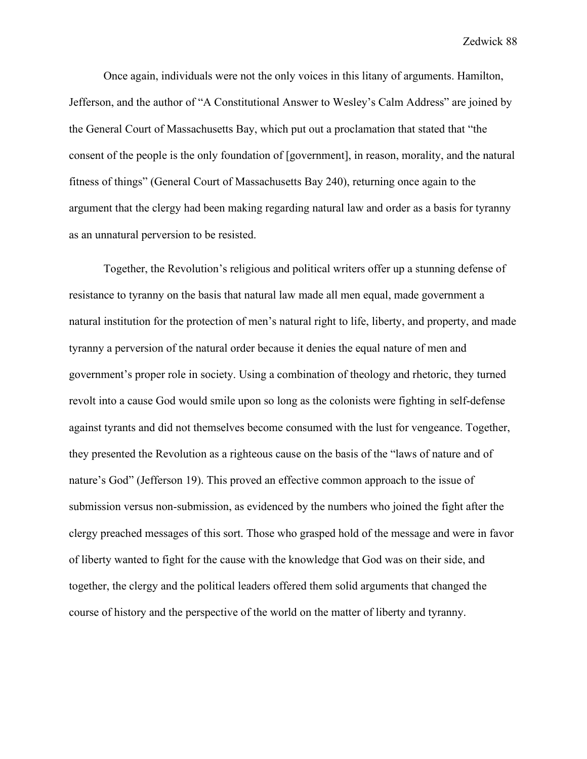Once again, individuals were not the only voices in this litany of arguments. Hamilton, Jefferson, and the author of "A Constitutional Answer to Wesley's Calm Address" are joined by the General Court of Massachusetts Bay, which put out a proclamation that stated that "the consent of the people is the only foundation of [government], in reason, morality, and the natural fitness of things" (General Court of Massachusetts Bay 240), returning once again to the argument that the clergy had been making regarding natural law and order as a basis for tyranny as an unnatural perversion to be resisted.

Together, the Revolution's religious and political writers offer up a stunning defense of resistance to tyranny on the basis that natural law made all men equal, made government a natural institution for the protection of men's natural right to life, liberty, and property, and made tyranny a perversion of the natural order because it denies the equal nature of men and government's proper role in society. Using a combination of theology and rhetoric, they turned revolt into a cause God would smile upon so long as the colonists were fighting in self-defense against tyrants and did not themselves become consumed with the lust for vengeance. Together, they presented the Revolution as a righteous cause on the basis of the "laws of nature and of nature's God" (Jefferson 19). This proved an effective common approach to the issue of submission versus non-submission, as evidenced by the numbers who joined the fight after the clergy preached messages of this sort. Those who grasped hold of the message and were in favor of liberty wanted to fight for the cause with the knowledge that God was on their side, and together, the clergy and the political leaders offered them solid arguments that changed the course of history and the perspective of the world on the matter of liberty and tyranny.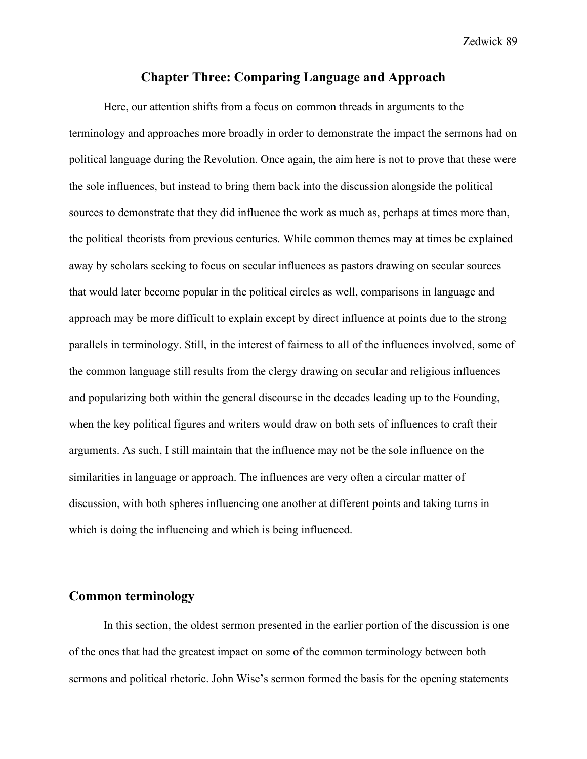# **Chapter Three: Comparing Language and Approach**

Here, our attention shifts from a focus on common threads in arguments to the terminology and approaches more broadly in order to demonstrate the impact the sermons had on political language during the Revolution. Once again, the aim here is not to prove that these were the sole influences, but instead to bring them back into the discussion alongside the political sources to demonstrate that they did influence the work as much as, perhaps at times more than, the political theorists from previous centuries. While common themes may at times be explained away by scholars seeking to focus on secular influences as pastors drawing on secular sources that would later become popular in the political circles as well, comparisons in language and approach may be more difficult to explain except by direct influence at points due to the strong parallels in terminology. Still, in the interest of fairness to all of the influences involved, some of the common language still results from the clergy drawing on secular and religious influences and popularizing both within the general discourse in the decades leading up to the Founding, when the key political figures and writers would draw on both sets of influences to craft their arguments. As such, I still maintain that the influence may not be the sole influence on the similarities in language or approach. The influences are very often a circular matter of discussion, with both spheres influencing one another at different points and taking turns in which is doing the influencing and which is being influenced.

# **Common terminology**

In this section, the oldest sermon presented in the earlier portion of the discussion is one of the ones that had the greatest impact on some of the common terminology between both sermons and political rhetoric. John Wise's sermon formed the basis for the opening statements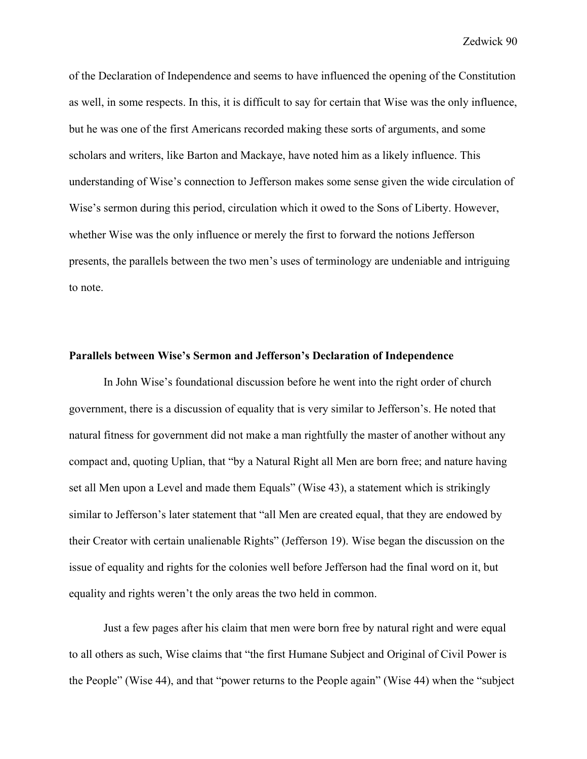of the Declaration of Independence and seems to have influenced the opening of the Constitution as well, in some respects. In this, it is difficult to say for certain that Wise was the only influence, but he was one of the first Americans recorded making these sorts of arguments, and some scholars and writers, like Barton and Mackaye, have noted him as a likely influence. This understanding of Wise's connection to Jefferson makes some sense given the wide circulation of Wise's sermon during this period, circulation which it owed to the Sons of Liberty. However, whether Wise was the only influence or merely the first to forward the notions Jefferson presents, the parallels between the two men's uses of terminology are undeniable and intriguing to note.

## **Parallels between Wise's Sermon and Jefferson's Declaration of Independence**

In John Wise's foundational discussion before he went into the right order of church government, there is a discussion of equality that is very similar to Jefferson's. He noted that natural fitness for government did not make a man rightfully the master of another without any compact and, quoting Uplian, that "by a Natural Right all Men are born free; and nature having set all Men upon a Level and made them Equals" (Wise 43), a statement which is strikingly similar to Jefferson's later statement that "all Men are created equal, that they are endowed by their Creator with certain unalienable Rights" (Jefferson 19). Wise began the discussion on the issue of equality and rights for the colonies well before Jefferson had the final word on it, but equality and rights weren't the only areas the two held in common.

Just a few pages after his claim that men were born free by natural right and were equal to all others as such, Wise claims that "the first Humane Subject and Original of Civil Power is the People" (Wise 44), and that "power returns to the People again" (Wise 44) when the "subject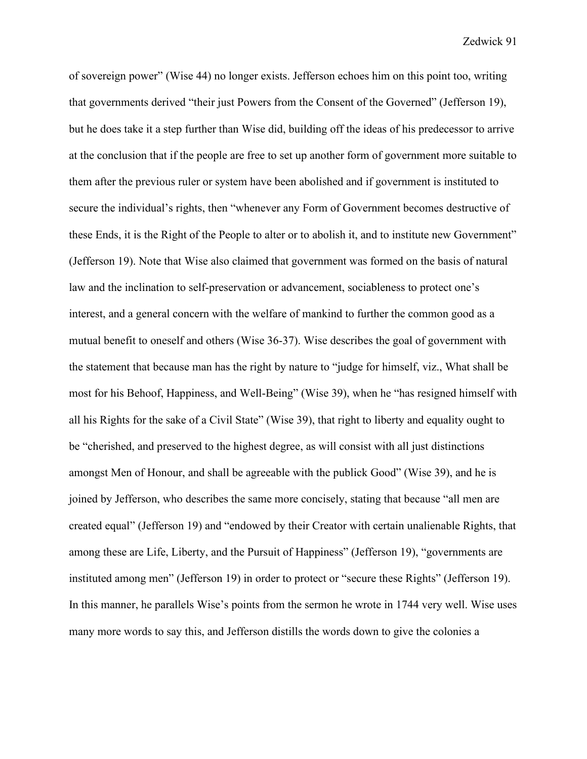of sovereign power" (Wise 44) no longer exists. Jefferson echoes him on this point too, writing that governments derived "their just Powers from the Consent of the Governed" (Jefferson 19), but he does take it a step further than Wise did, building off the ideas of his predecessor to arrive at the conclusion that if the people are free to set up another form of government more suitable to them after the previous ruler or system have been abolished and if government is instituted to secure the individual's rights, then "whenever any Form of Government becomes destructive of these Ends, it is the Right of the People to alter or to abolish it, and to institute new Government" (Jefferson 19). Note that Wise also claimed that government was formed on the basis of natural law and the inclination to self-preservation or advancement, sociableness to protect one's interest, and a general concern with the welfare of mankind to further the common good as a mutual benefit to oneself and others (Wise 36-37). Wise describes the goal of government with the statement that because man has the right by nature to "judge for himself, viz., What shall be most for his Behoof, Happiness, and Well-Being" (Wise 39), when he "has resigned himself with all his Rights for the sake of a Civil State" (Wise 39), that right to liberty and equality ought to be "cherished, and preserved to the highest degree, as will consist with all just distinctions amongst Men of Honour, and shall be agreeable with the publick Good" (Wise 39), and he is joined by Jefferson, who describes the same more concisely, stating that because "all men are created equal" (Jefferson 19) and "endowed by their Creator with certain unalienable Rights, that among these are Life, Liberty, and the Pursuit of Happiness" (Jefferson 19), "governments are instituted among men" (Jefferson 19) in order to protect or "secure these Rights" (Jefferson 19). In this manner, he parallels Wise's points from the sermon he wrote in 1744 very well. Wise uses many more words to say this, and Jefferson distills the words down to give the colonies a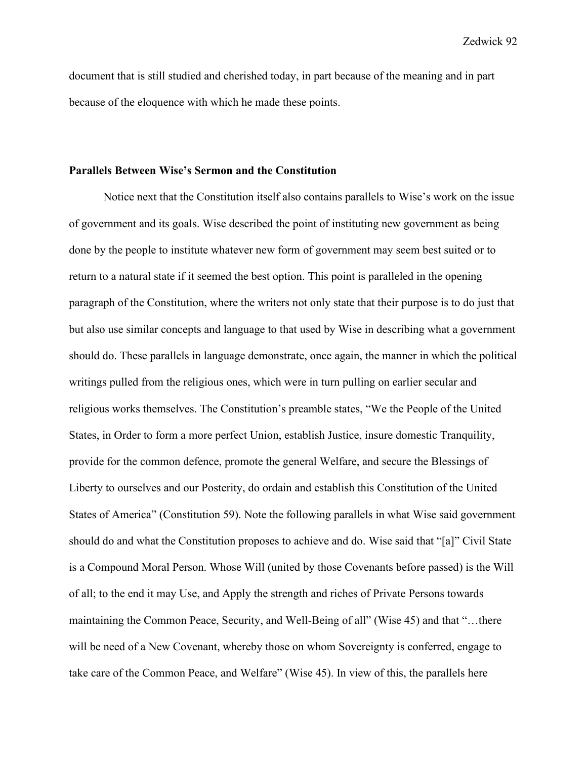document that is still studied and cherished today, in part because of the meaning and in part because of the eloquence with which he made these points.

## **Parallels Between Wise's Sermon and the Constitution**

Notice next that the Constitution itself also contains parallels to Wise's work on the issue of government and its goals. Wise described the point of instituting new government as being done by the people to institute whatever new form of government may seem best suited or to return to a natural state if it seemed the best option. This point is paralleled in the opening paragraph of the Constitution, where the writers not only state that their purpose is to do just that but also use similar concepts and language to that used by Wise in describing what a government should do. These parallels in language demonstrate, once again, the manner in which the political writings pulled from the religious ones, which were in turn pulling on earlier secular and religious works themselves. The Constitution's preamble states, "We the People of the United States, in Order to form a more perfect Union, establish Justice, insure domestic Tranquility, provide for the common defence, promote the general Welfare, and secure the Blessings of Liberty to ourselves and our Posterity, do ordain and establish this Constitution of the United States of America" (Constitution 59). Note the following parallels in what Wise said government should do and what the Constitution proposes to achieve and do. Wise said that "[a]" Civil State is a Compound Moral Person. Whose Will (united by those Covenants before passed) is the Will of all; to the end it may Use, and Apply the strength and riches of Private Persons towards maintaining the Common Peace, Security, and Well-Being of all" (Wise 45) and that "…there will be need of a New Covenant, whereby those on whom Sovereignty is conferred, engage to take care of the Common Peace, and Welfare" (Wise 45). In view of this, the parallels here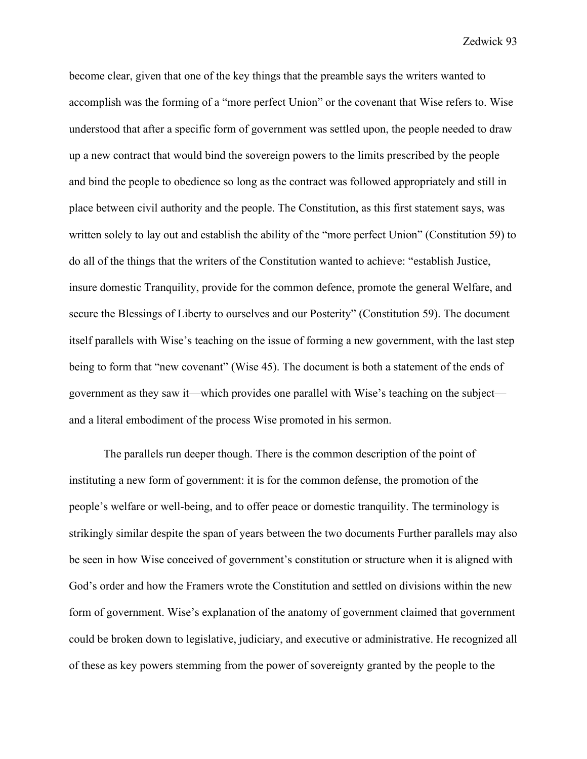become clear, given that one of the key things that the preamble says the writers wanted to accomplish was the forming of a "more perfect Union" or the covenant that Wise refers to. Wise understood that after a specific form of government was settled upon, the people needed to draw up a new contract that would bind the sovereign powers to the limits prescribed by the people and bind the people to obedience so long as the contract was followed appropriately and still in place between civil authority and the people. The Constitution, as this first statement says, was written solely to lay out and establish the ability of the "more perfect Union" (Constitution 59) to do all of the things that the writers of the Constitution wanted to achieve: "establish Justice, insure domestic Tranquility, provide for the common defence, promote the general Welfare, and secure the Blessings of Liberty to ourselves and our Posterity" (Constitution 59). The document itself parallels with Wise's teaching on the issue of forming a new government, with the last step being to form that "new covenant" (Wise 45). The document is both a statement of the ends of government as they saw it—which provides one parallel with Wise's teaching on the subject and a literal embodiment of the process Wise promoted in his sermon.

The parallels run deeper though. There is the common description of the point of instituting a new form of government: it is for the common defense, the promotion of the people's welfare or well-being, and to offer peace or domestic tranquility. The terminology is strikingly similar despite the span of years between the two documents Further parallels may also be seen in how Wise conceived of government's constitution or structure when it is aligned with God's order and how the Framers wrote the Constitution and settled on divisions within the new form of government. Wise's explanation of the anatomy of government claimed that government could be broken down to legislative, judiciary, and executive or administrative. He recognized all of these as key powers stemming from the power of sovereignty granted by the people to the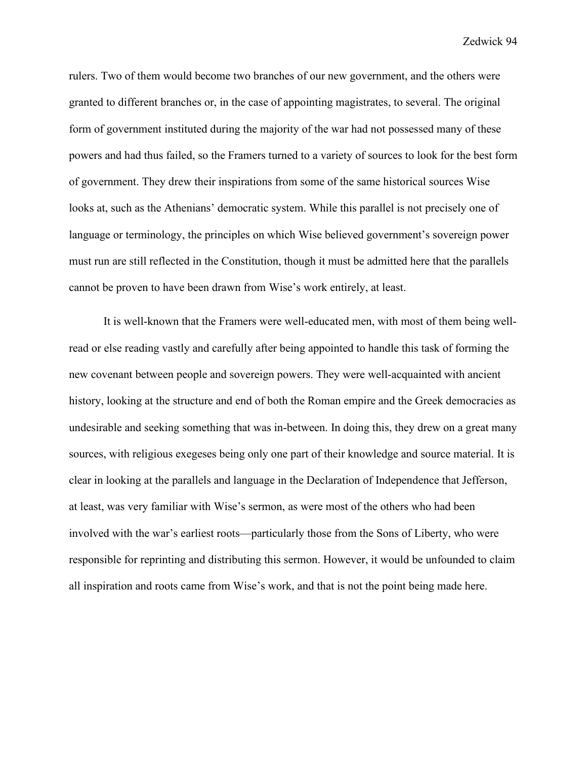rulers. Two of them would become two branches of our new government, and the others were granted to different branches or, in the case of appointing magistrates, to several. The original form of government instituted during the majority of the war had not possessed many of these powers and had thus failed, so the Framers turned to a variety of sources to look for the best form of government. They drew their inspirations from some of the same historical sources Wise looks at, such as the Athenians' democratic system. While this parallel is not precisely one of language or terminology, the principles on which Wise believed government's sovereign power must run are still reflected in the Constitution, though it must be admitted here that the parallels cannot be proven to have been drawn from Wise's work entirely, at least.

It is well-known that the Framers were well-educated men, with most of them being wellread or else reading vastly and carefully after being appointed to handle this task of forming the new covenant between people and sovereign powers. They were well-acquainted with ancient history, looking at the structure and end of both the Roman empire and the Greek democracies as undesirable and seeking something that was in-between. In doing this, they drew on a great many sources, with religious exegeses being only one part of their knowledge and source material. It is clear in looking at the parallels and language in the Declaration of Independence that Jefferson, at least, was very familiar with Wise's sermon, as were most of the others who had been involved with the war's earliest roots—particularly those from the Sons of Liberty, who were responsible for reprinting and distributing this sermon. However, it would be unfounded to claim all inspiration and roots came from Wise's work, and that is not the point being made here.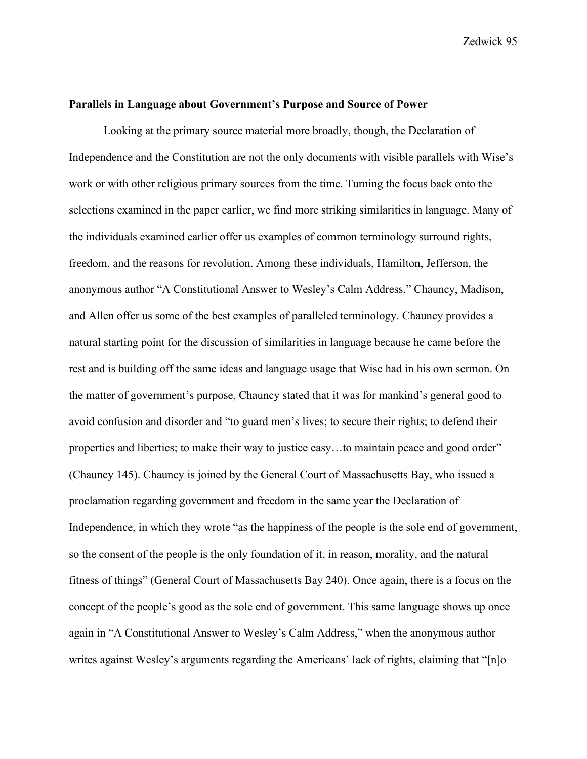### **Parallels in Language about Government's Purpose and Source of Power**

Looking at the primary source material more broadly, though, the Declaration of Independence and the Constitution are not the only documents with visible parallels with Wise's work or with other religious primary sources from the time. Turning the focus back onto the selections examined in the paper earlier, we find more striking similarities in language. Many of the individuals examined earlier offer us examples of common terminology surround rights, freedom, and the reasons for revolution. Among these individuals, Hamilton, Jefferson, the anonymous author "A Constitutional Answer to Wesley's Calm Address," Chauncy, Madison, and Allen offer us some of the best examples of paralleled terminology. Chauncy provides a natural starting point for the discussion of similarities in language because he came before the rest and is building off the same ideas and language usage that Wise had in his own sermon. On the matter of government's purpose, Chauncy stated that it was for mankind's general good to avoid confusion and disorder and "to guard men's lives; to secure their rights; to defend their properties and liberties; to make their way to justice easy...to maintain peace and good order" (Chauncy 145). Chauncy is joined by the General Court of Massachusetts Bay, who issued a proclamation regarding government and freedom in the same year the Declaration of Independence, in which they wrote "as the happiness of the people is the sole end of government, so the consent of the people is the only foundation of it, in reason, morality, and the natural fitness of things" (General Court of Massachusetts Bay 240). Once again, there is a focus on the concept of the people's good as the sole end of government. This same language shows up once again in "A Constitutional Answer to Wesley's Calm Address," when the anonymous author writes against Wesley's arguments regarding the Americans' lack of rights, claiming that "[n]o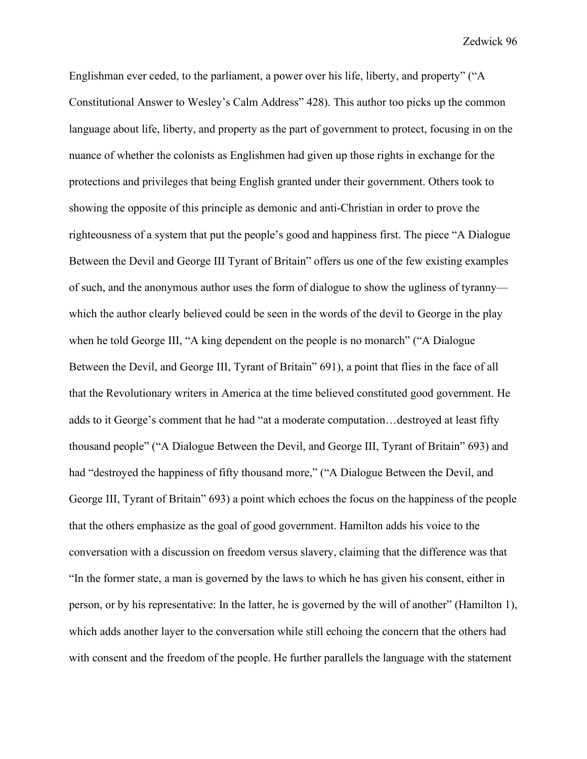Englishman ever ceded, to the parliament, a power over his life, liberty, and property" ("A Constitutional Answer to Wesley's Calm Address" 428). This author too picks up the common language about life, liberty, and property as the part of government to protect, focusing in on the nuance of whether the colonists as Englishmen had given up those rights in exchange for the protections and privileges that being English granted under their government. Others took to showing the opposite of this principle as demonic and anti-Christian in order to prove the righteousness of a system that put the people's good and happiness first. The piece "A Dialogue Between the Devil and George III Tyrant of Britain" offers us one of the few existing examples of such, and the anonymous author uses the form of dialogue to show the ugliness of tyranny which the author clearly believed could be seen in the words of the devil to George in the play when he told George III, "A king dependent on the people is no monarch" ("A Dialogue Between the Devil, and George III, Tyrant of Britain" 691), a point that flies in the face of all that the Revolutionary writers in America at the time believed constituted good government. He adds to it George's comment that he had "at a moderate computation…destroyed at least fifty thousand people" ("A Dialogue Between the Devil, and George III, Tyrant of Britain" 693) and had "destroyed the happiness of fifty thousand more," ("A Dialogue Between the Devil, and George III, Tyrant of Britain" 693) a point which echoes the focus on the happiness of the people that the others emphasize as the goal of good government. Hamilton adds his voice to the conversation with a discussion on freedom versus slavery, claiming that the difference was that "In the former state, a man is governed by the laws to which he has given his consent, either in person, or by his representative: In the latter, he is governed by the will of another" (Hamilton 1), which adds another layer to the conversation while still echoing the concern that the others had with consent and the freedom of the people. He further parallels the language with the statement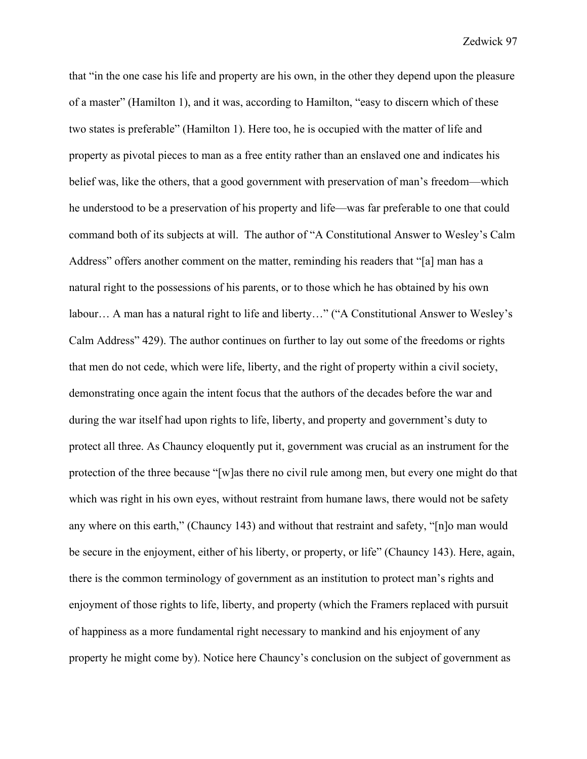that "in the one case his life and property are his own, in the other they depend upon the pleasure of a master" (Hamilton 1), and it was, according to Hamilton, "easy to discern which of these two states is preferable" (Hamilton 1). Here too, he is occupied with the matter of life and property as pivotal pieces to man as a free entity rather than an enslaved one and indicates his belief was, like the others, that a good government with preservation of man's freedom—which he understood to be a preservation of his property and life—was far preferable to one that could command both of its subjects at will. The author of "A Constitutional Answer to Wesley's Calm Address" offers another comment on the matter, reminding his readers that "[a] man has a natural right to the possessions of his parents, or to those which he has obtained by his own labour… A man has a natural right to life and liberty…" ("A Constitutional Answer to Wesley's Calm Address" 429). The author continues on further to lay out some of the freedoms or rights that men do not cede, which were life, liberty, and the right of property within a civil society, demonstrating once again the intent focus that the authors of the decades before the war and during the war itself had upon rights to life, liberty, and property and government's duty to protect all three. As Chauncy eloquently put it, government was crucial as an instrument for the protection of the three because "[w]as there no civil rule among men, but every one might do that which was right in his own eyes, without restraint from humane laws, there would not be safety any where on this earth," (Chauncy 143) and without that restraint and safety, "[n]o man would be secure in the enjoyment, either of his liberty, or property, or life" (Chauncy 143). Here, again, there is the common terminology of government as an institution to protect man's rights and enjoyment of those rights to life, liberty, and property (which the Framers replaced with pursuit of happiness as a more fundamental right necessary to mankind and his enjoyment of any property he might come by). Notice here Chauncy's conclusion on the subject of government as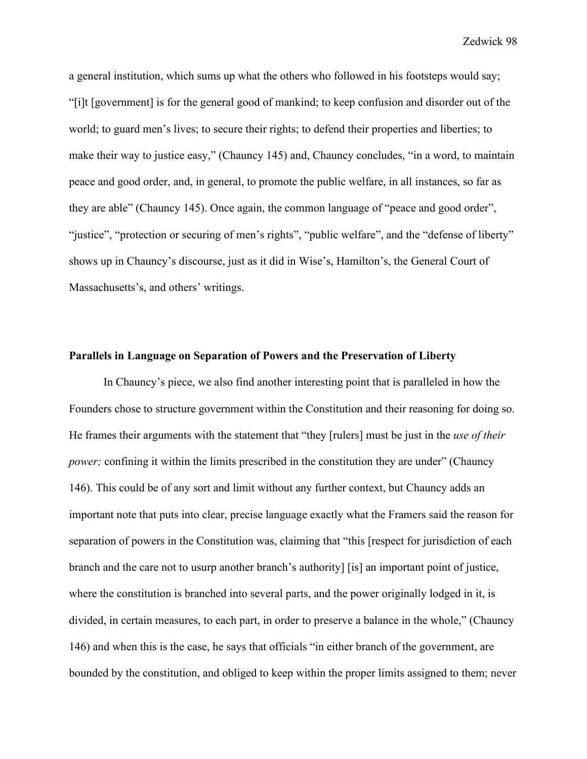a general institution, which sums up what the others who followed in his footsteps would say; "[i]t [government] is for the general good of mankind; to keep confusion and disorder out of the world; to guard men's lives; to secure their rights; to defend their properties and liberties; to make their way to justice easy," (Chauncy 145) and, Chauncy concludes, "in a word, to maintain peace and good order, and, in general, to promote the public welfare, in all instances, so far as they are able" (Chauncy 145). Once again, the common language of "peace and good order", "justice", "protection or securing of men's rights", "public welfare", and the "defense of liberty" shows up in Chauncy's discourse, just as it did in Wise's, Hamilton's, the General Court of Massachusetts's, and others' writings.

## **Parallels in Language on Separation of Powers and the Preservation of Liberty**

In Chauncy's piece, we also find another interesting point that is paralleled in how the Founders chose to structure government within the Constitution and their reasoning for doing so. He frames their arguments with the statement that "they [rulers] must be just in the *use of their power;* confining it within the limits prescribed in the constitution they are under" (Chauncy 146). This could be of any sort and limit without any further context, but Chauncy adds an important note that puts into clear, precise language exactly what the Framers said the reason for separation of powers in the Constitution was, claiming that "this [respect for jurisdiction of each branch and the care not to usurp another branch's authority] [is] an important point of justice, where the constitution is branched into several parts, and the power originally lodged in it, is divided, in certain measures, to each part, in order to preserve a balance in the whole," (Chauncy 146) and when this is the case, he says that officials "in either branch of the government, are bounded by the constitution, and obliged to keep within the proper limits assigned to them; never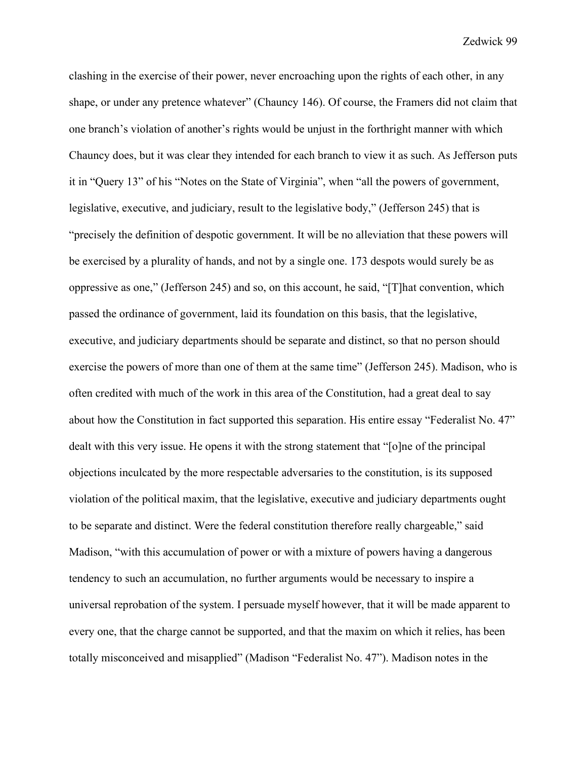clashing in the exercise of their power, never encroaching upon the rights of each other, in any shape, or under any pretence whatever" (Chauncy 146). Of course, the Framers did not claim that one branch's violation of another's rights would be unjust in the forthright manner with which Chauncy does, but it was clear they intended for each branch to view it as such. As Jefferson puts it in "Query 13" of his "Notes on the State of Virginia", when "all the powers of government, legislative, executive, and judiciary, result to the legislative body," (Jefferson 245) that is "precisely the definition of despotic government. It will be no alleviation that these powers will be exercised by a plurality of hands, and not by a single one. 173 despots would surely be as oppressive as one," (Jefferson 245) and so, on this account, he said, "[T]hat convention, which passed the ordinance of government, laid its foundation on this basis, that the legislative, executive, and judiciary departments should be separate and distinct, so that no person should exercise the powers of more than one of them at the same time" (Jefferson 245). Madison, who is often credited with much of the work in this area of the Constitution, had a great deal to say about how the Constitution in fact supported this separation. His entire essay "Federalist No. 47" dealt with this very issue. He opens it with the strong statement that "[o]ne of the principal objections inculcated by the more respectable adversaries to the constitution, is its supposed violation of the political maxim, that the legislative, executive and judiciary departments ought to be separate and distinct. Were the federal constitution therefore really chargeable," said Madison, "with this accumulation of power or with a mixture of powers having a dangerous tendency to such an accumulation, no further arguments would be necessary to inspire a universal reprobation of the system. I persuade myself however, that it will be made apparent to every one, that the charge cannot be supported, and that the maxim on which it relies, has been totally misconceived and misapplied" (Madison "Federalist No. 47"). Madison notes in the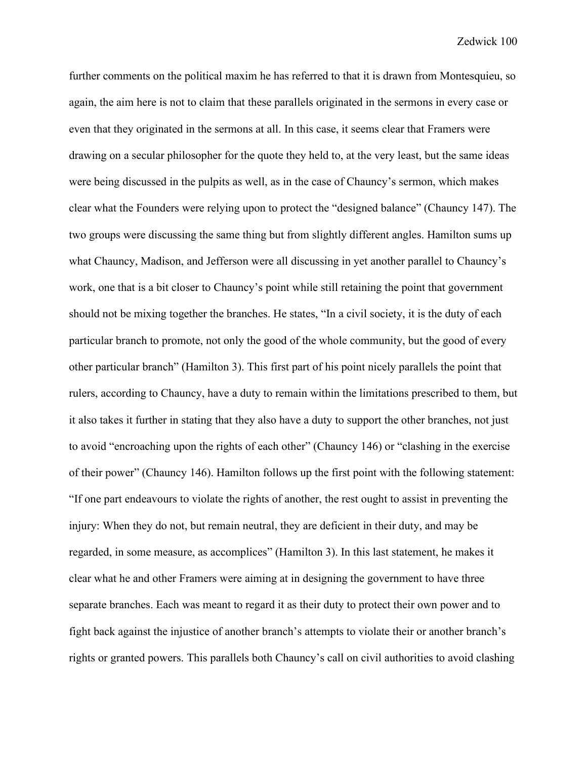further comments on the political maxim he has referred to that it is drawn from Montesquieu, so again, the aim here is not to claim that these parallels originated in the sermons in every case or even that they originated in the sermons at all. In this case, it seems clear that Framers were drawing on a secular philosopher for the quote they held to, at the very least, but the same ideas were being discussed in the pulpits as well, as in the case of Chauncy's sermon, which makes clear what the Founders were relying upon to protect the "designed balance" (Chauncy 147). The two groups were discussing the same thing but from slightly different angles. Hamilton sums up what Chauncy, Madison, and Jefferson were all discussing in yet another parallel to Chauncy's work, one that is a bit closer to Chauncy's point while still retaining the point that government should not be mixing together the branches. He states, "In a civil society, it is the duty of each particular branch to promote, not only the good of the whole community, but the good of every other particular branch" (Hamilton 3). This first part of his point nicely parallels the point that rulers, according to Chauncy, have a duty to remain within the limitations prescribed to them, but it also takes it further in stating that they also have a duty to support the other branches, not just to avoid "encroaching upon the rights of each other" (Chauncy 146) or "clashing in the exercise of their power" (Chauncy 146). Hamilton follows up the first point with the following statement: "If one part endeavours to violate the rights of another, the rest ought to assist in preventing the injury: When they do not, but remain neutral, they are deficient in their duty, and may be regarded, in some measure, as accomplices" (Hamilton 3). In this last statement, he makes it clear what he and other Framers were aiming at in designing the government to have three separate branches. Each was meant to regard it as their duty to protect their own power and to fight back against the injustice of another branch's attempts to violate their or another branch's rights or granted powers. This parallels both Chauncy's call on civil authorities to avoid clashing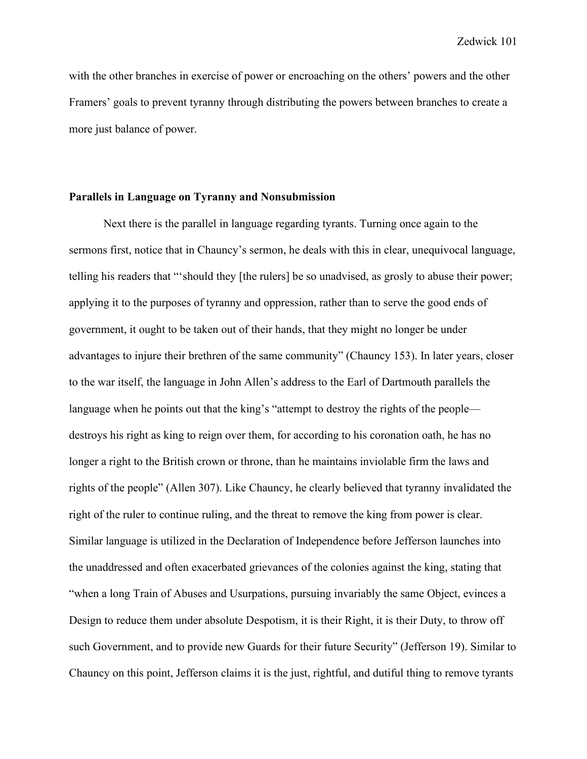with the other branches in exercise of power or encroaching on the others' powers and the other Framers' goals to prevent tyranny through distributing the powers between branches to create a more just balance of power.

## **Parallels in Language on Tyranny and Nonsubmission**

Next there is the parallel in language regarding tyrants. Turning once again to the sermons first, notice that in Chauncy's sermon, he deals with this in clear, unequivocal language, telling his readers that "'should they [the rulers] be so unadvised, as grosly to abuse their power; applying it to the purposes of tyranny and oppression, rather than to serve the good ends of government, it ought to be taken out of their hands, that they might no longer be under advantages to injure their brethren of the same community" (Chauncy 153). In later years, closer to the war itself, the language in John Allen's address to the Earl of Dartmouth parallels the language when he points out that the king's "attempt to destroy the rights of the people destroys his right as king to reign over them, for according to his coronation oath, he has no longer a right to the British crown or throne, than he maintains inviolable firm the laws and rights of the people" (Allen 307). Like Chauncy, he clearly believed that tyranny invalidated the right of the ruler to continue ruling, and the threat to remove the king from power is clear. Similar language is utilized in the Declaration of Independence before Jefferson launches into the unaddressed and often exacerbated grievances of the colonies against the king, stating that "when a long Train of Abuses and Usurpations, pursuing invariably the same Object, evinces a Design to reduce them under absolute Despotism, it is their Right, it is their Duty, to throw off such Government, and to provide new Guards for their future Security" (Jefferson 19). Similar to Chauncy on this point, Jefferson claims it is the just, rightful, and dutiful thing to remove tyrants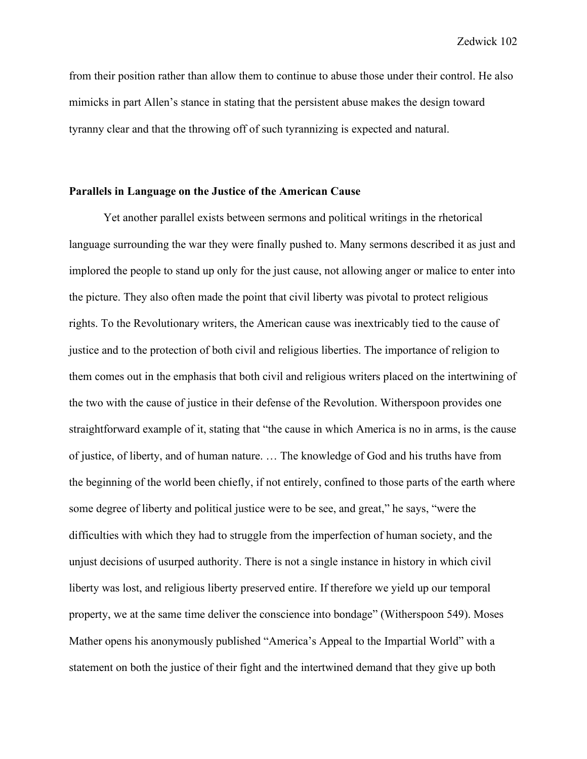from their position rather than allow them to continue to abuse those under their control. He also mimicks in part Allen's stance in stating that the persistent abuse makes the design toward tyranny clear and that the throwing off of such tyrannizing is expected and natural.

### **Parallels in Language on the Justice of the American Cause**

Yet another parallel exists between sermons and political writings in the rhetorical language surrounding the war they were finally pushed to. Many sermons described it as just and implored the people to stand up only for the just cause, not allowing anger or malice to enter into the picture. They also often made the point that civil liberty was pivotal to protect religious rights. To the Revolutionary writers, the American cause was inextricably tied to the cause of justice and to the protection of both civil and religious liberties. The importance of religion to them comes out in the emphasis that both civil and religious writers placed on the intertwining of the two with the cause of justice in their defense of the Revolution. Witherspoon provides one straightforward example of it, stating that "the cause in which America is no in arms, is the cause of justice, of liberty, and of human nature. … The knowledge of God and his truths have from the beginning of the world been chiefly, if not entirely, confined to those parts of the earth where some degree of liberty and political justice were to be see, and great," he says, "were the difficulties with which they had to struggle from the imperfection of human society, and the unjust decisions of usurped authority. There is not a single instance in history in which civil liberty was lost, and religious liberty preserved entire. If therefore we yield up our temporal property, we at the same time deliver the conscience into bondage" (Witherspoon 549). Moses Mather opens his anonymously published "America's Appeal to the Impartial World" with a statement on both the justice of their fight and the intertwined demand that they give up both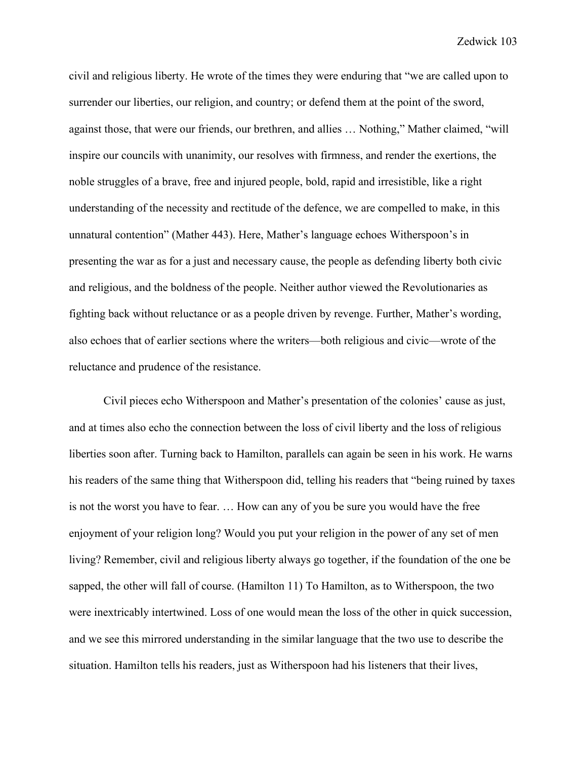civil and religious liberty. He wrote of the times they were enduring that "we are called upon to surrender our liberties, our religion, and country; or defend them at the point of the sword, against those, that were our friends, our brethren, and allies … Nothing," Mather claimed, "will inspire our councils with unanimity, our resolves with firmness, and render the exertions, the noble struggles of a brave, free and injured people, bold, rapid and irresistible, like a right understanding of the necessity and rectitude of the defence, we are compelled to make, in this unnatural contention" (Mather 443). Here, Mather's language echoes Witherspoon's in presenting the war as for a just and necessary cause, the people as defending liberty both civic and religious, and the boldness of the people. Neither author viewed the Revolutionaries as fighting back without reluctance or as a people driven by revenge. Further, Mather's wording, also echoes that of earlier sections where the writers—both religious and civic—wrote of the reluctance and prudence of the resistance.

Civil pieces echo Witherspoon and Mather's presentation of the colonies' cause as just, and at times also echo the connection between the loss of civil liberty and the loss of religious liberties soon after. Turning back to Hamilton, parallels can again be seen in his work. He warns his readers of the same thing that Witherspoon did, telling his readers that "being ruined by taxes is not the worst you have to fear. … How can any of you be sure you would have the free enjoyment of your religion long? Would you put your religion in the power of any set of men living? Remember, civil and religious liberty always go together, if the foundation of the one be sapped, the other will fall of course. (Hamilton 11) To Hamilton, as to Witherspoon, the two were inextricably intertwined. Loss of one would mean the loss of the other in quick succession, and we see this mirrored understanding in the similar language that the two use to describe the situation. Hamilton tells his readers, just as Witherspoon had his listeners that their lives,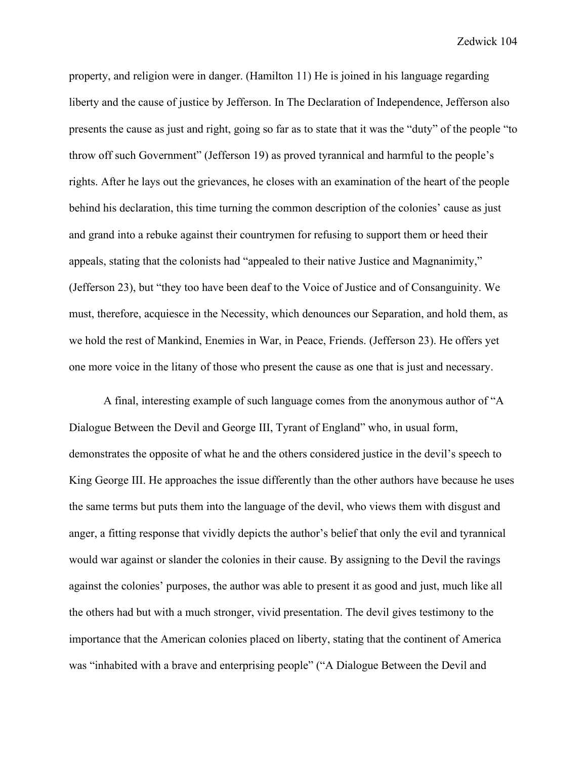property, and religion were in danger. (Hamilton 11) He is joined in his language regarding liberty and the cause of justice by Jefferson. In The Declaration of Independence, Jefferson also presents the cause as just and right, going so far as to state that it was the "duty" of the people "to throw off such Government" (Jefferson 19) as proved tyrannical and harmful to the people's rights. After he lays out the grievances, he closes with an examination of the heart of the people behind his declaration, this time turning the common description of the colonies' cause as just and grand into a rebuke against their countrymen for refusing to support them or heed their appeals, stating that the colonists had "appealed to their native Justice and Magnanimity," (Jefferson 23), but "they too have been deaf to the Voice of Justice and of Consanguinity. We must, therefore, acquiesce in the Necessity, which denounces our Separation, and hold them, as we hold the rest of Mankind, Enemies in War, in Peace, Friends. (Jefferson 23). He offers yet one more voice in the litany of those who present the cause as one that is just and necessary.

A final, interesting example of such language comes from the anonymous author of "A Dialogue Between the Devil and George III, Tyrant of England" who, in usual form, demonstrates the opposite of what he and the others considered justice in the devil's speech to King George III. He approaches the issue differently than the other authors have because he uses the same terms but puts them into the language of the devil, who views them with disgust and anger, a fitting response that vividly depicts the author's belief that only the evil and tyrannical would war against or slander the colonies in their cause. By assigning to the Devil the ravings against the colonies' purposes, the author was able to present it as good and just, much like all the others had but with a much stronger, vivid presentation. The devil gives testimony to the importance that the American colonies placed on liberty, stating that the continent of America was "inhabited with a brave and enterprising people" ("A Dialogue Between the Devil and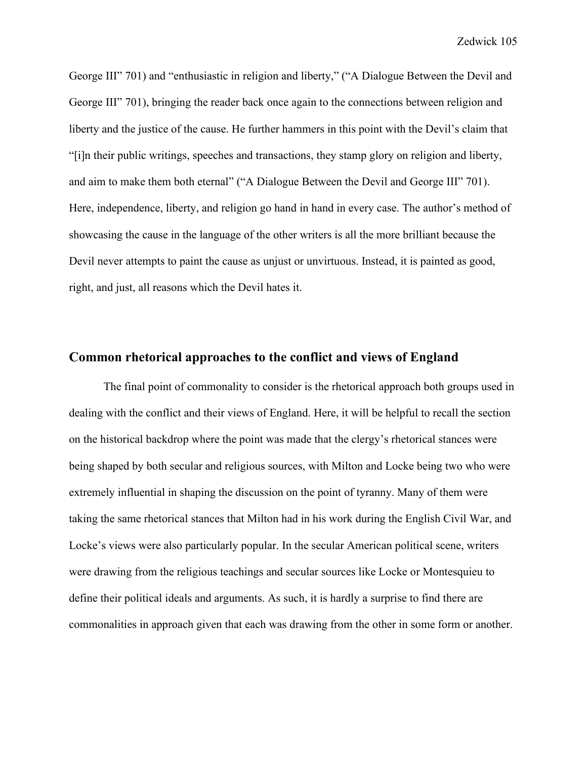George III" 701) and "enthusiastic in religion and liberty," ("A Dialogue Between the Devil and George III" 701), bringing the reader back once again to the connections between religion and liberty and the justice of the cause. He further hammers in this point with the Devil's claim that "[i]n their public writings, speeches and transactions, they stamp glory on religion and liberty, and aim to make them both eternal" ("A Dialogue Between the Devil and George III" 701). Here, independence, liberty, and religion go hand in hand in every case. The author's method of showcasing the cause in the language of the other writers is all the more brilliant because the Devil never attempts to paint the cause as unjust or unvirtuous. Instead, it is painted as good, right, and just, all reasons which the Devil hates it.

## **Common rhetorical approaches to the conflict and views of England**

The final point of commonality to consider is the rhetorical approach both groups used in dealing with the conflict and their views of England. Here, it will be helpful to recall the section on the historical backdrop where the point was made that the clergy's rhetorical stances were being shaped by both secular and religious sources, with Milton and Locke being two who were extremely influential in shaping the discussion on the point of tyranny. Many of them were taking the same rhetorical stances that Milton had in his work during the English Civil War, and Locke's views were also particularly popular. In the secular American political scene, writers were drawing from the religious teachings and secular sources like Locke or Montesquieu to define their political ideals and arguments. As such, it is hardly a surprise to find there are commonalities in approach given that each was drawing from the other in some form or another.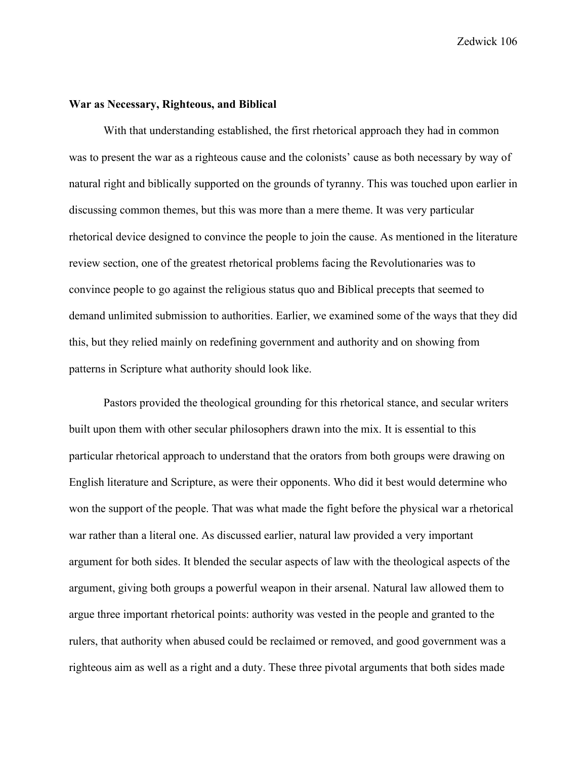#### **War as Necessary, Righteous, and Biblical**

With that understanding established, the first rhetorical approach they had in common was to present the war as a righteous cause and the colonists' cause as both necessary by way of natural right and biblically supported on the grounds of tyranny. This was touched upon earlier in discussing common themes, but this was more than a mere theme. It was very particular rhetorical device designed to convince the people to join the cause. As mentioned in the literature review section, one of the greatest rhetorical problems facing the Revolutionaries was to convince people to go against the religious status quo and Biblical precepts that seemed to demand unlimited submission to authorities. Earlier, we examined some of the ways that they did this, but they relied mainly on redefining government and authority and on showing from patterns in Scripture what authority should look like.

Pastors provided the theological grounding for this rhetorical stance, and secular writers built upon them with other secular philosophers drawn into the mix. It is essential to this particular rhetorical approach to understand that the orators from both groups were drawing on English literature and Scripture, as were their opponents. Who did it best would determine who won the support of the people. That was what made the fight before the physical war a rhetorical war rather than a literal one. As discussed earlier, natural law provided a very important argument for both sides. It blended the secular aspects of law with the theological aspects of the argument, giving both groups a powerful weapon in their arsenal. Natural law allowed them to argue three important rhetorical points: authority was vested in the people and granted to the rulers, that authority when abused could be reclaimed or removed, and good government was a righteous aim as well as a right and a duty. These three pivotal arguments that both sides made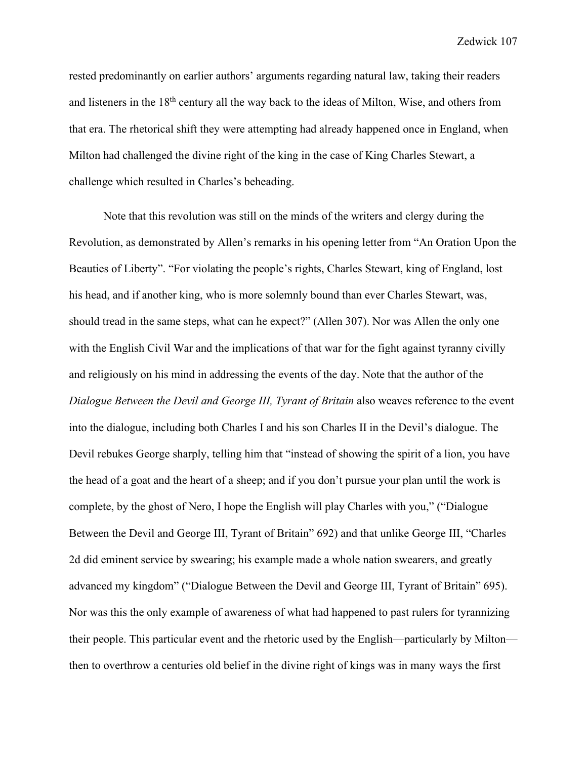rested predominantly on earlier authors' arguments regarding natural law, taking their readers and listeners in the 18<sup>th</sup> century all the way back to the ideas of Milton, Wise, and others from that era. The rhetorical shift they were attempting had already happened once in England, when Milton had challenged the divine right of the king in the case of King Charles Stewart, a challenge which resulted in Charles's beheading.

Note that this revolution was still on the minds of the writers and clergy during the Revolution, as demonstrated by Allen's remarks in his opening letter from "An Oration Upon the Beauties of Liberty". "For violating the people's rights, Charles Stewart, king of England, lost his head, and if another king, who is more solemnly bound than ever Charles Stewart, was, should tread in the same steps, what can he expect?" (Allen 307). Nor was Allen the only one with the English Civil War and the implications of that war for the fight against tyranny civilly and religiously on his mind in addressing the events of the day. Note that the author of the *Dialogue Between the Devil and George III, Tyrant of Britain* also weaves reference to the event into the dialogue, including both Charles I and his son Charles II in the Devil's dialogue. The Devil rebukes George sharply, telling him that "instead of showing the spirit of a lion, you have the head of a goat and the heart of a sheep; and if you don't pursue your plan until the work is complete, by the ghost of Nero, I hope the English will play Charles with you," ("Dialogue Between the Devil and George III, Tyrant of Britain" 692) and that unlike George III, "Charles 2d did eminent service by swearing; his example made a whole nation swearers, and greatly advanced my kingdom" ("Dialogue Between the Devil and George III, Tyrant of Britain" 695). Nor was this the only example of awareness of what had happened to past rulers for tyrannizing their people. This particular event and the rhetoric used by the English—particularly by Milton then to overthrow a centuries old belief in the divine right of kings was in many ways the first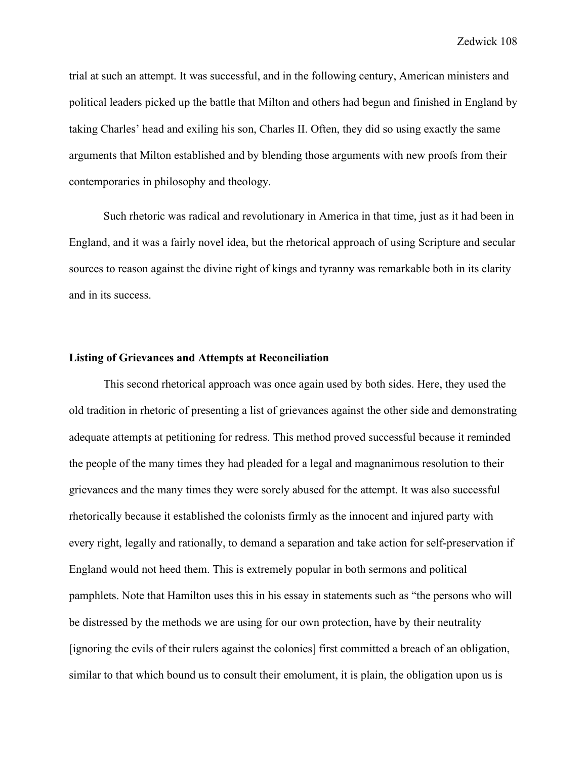trial at such an attempt. It was successful, and in the following century, American ministers and political leaders picked up the battle that Milton and others had begun and finished in England by taking Charles' head and exiling his son, Charles II. Often, they did so using exactly the same arguments that Milton established and by blending those arguments with new proofs from their contemporaries in philosophy and theology.

Such rhetoric was radical and revolutionary in America in that time, just as it had been in England, and it was a fairly novel idea, but the rhetorical approach of using Scripture and secular sources to reason against the divine right of kings and tyranny was remarkable both in its clarity and in its success.

### **Listing of Grievances and Attempts at Reconciliation**

This second rhetorical approach was once again used by both sides. Here, they used the old tradition in rhetoric of presenting a list of grievances against the other side and demonstrating adequate attempts at petitioning for redress. This method proved successful because it reminded the people of the many times they had pleaded for a legal and magnanimous resolution to their grievances and the many times they were sorely abused for the attempt. It was also successful rhetorically because it established the colonists firmly as the innocent and injured party with every right, legally and rationally, to demand a separation and take action for self-preservation if England would not heed them. This is extremely popular in both sermons and political pamphlets. Note that Hamilton uses this in his essay in statements such as "the persons who will be distressed by the methods we are using for our own protection, have by their neutrality [ignoring the evils of their rulers against the colonies] first committed a breach of an obligation, similar to that which bound us to consult their emolument, it is plain, the obligation upon us is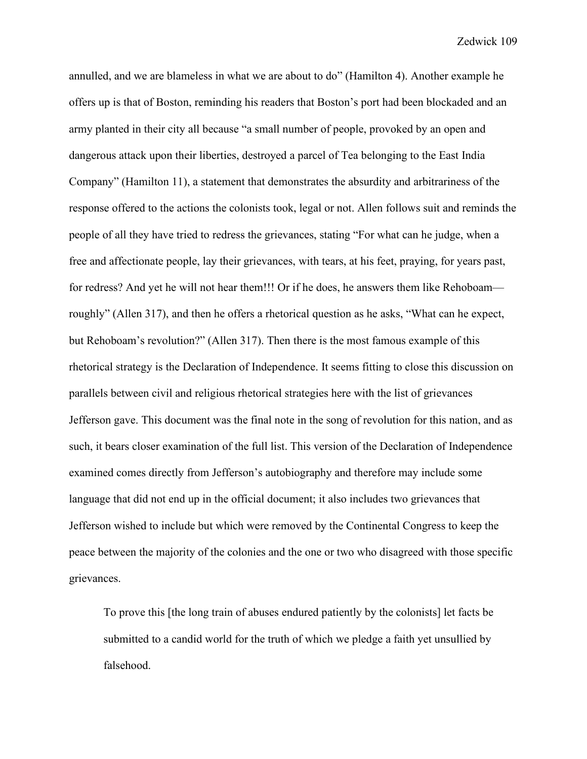annulled, and we are blameless in what we are about to do" (Hamilton 4). Another example he offers up is that of Boston, reminding his readers that Boston's port had been blockaded and an army planted in their city all because "a small number of people, provoked by an open and dangerous attack upon their liberties, destroyed a parcel of Tea belonging to the East India Company" (Hamilton 11), a statement that demonstrates the absurdity and arbitrariness of the response offered to the actions the colonists took, legal or not. Allen follows suit and reminds the people of all they have tried to redress the grievances, stating "For what can he judge, when a free and affectionate people, lay their grievances, with tears, at his feet, praying, for years past, for redress? And yet he will not hear them!!! Or if he does, he answers them like Rehoboam roughly" (Allen 317), and then he offers a rhetorical question as he asks, "What can he expect, but Rehoboam's revolution?" (Allen 317). Then there is the most famous example of this rhetorical strategy is the Declaration of Independence. It seems fitting to close this discussion on parallels between civil and religious rhetorical strategies here with the list of grievances Jefferson gave. This document was the final note in the song of revolution for this nation, and as such, it bears closer examination of the full list. This version of the Declaration of Independence examined comes directly from Jefferson's autobiography and therefore may include some language that did not end up in the official document; it also includes two grievances that Jefferson wished to include but which were removed by the Continental Congress to keep the peace between the majority of the colonies and the one or two who disagreed with those specific grievances.

To prove this [the long train of abuses endured patiently by the colonists] let facts be submitted to a candid world for the truth of which we pledge a faith yet unsullied by falsehood.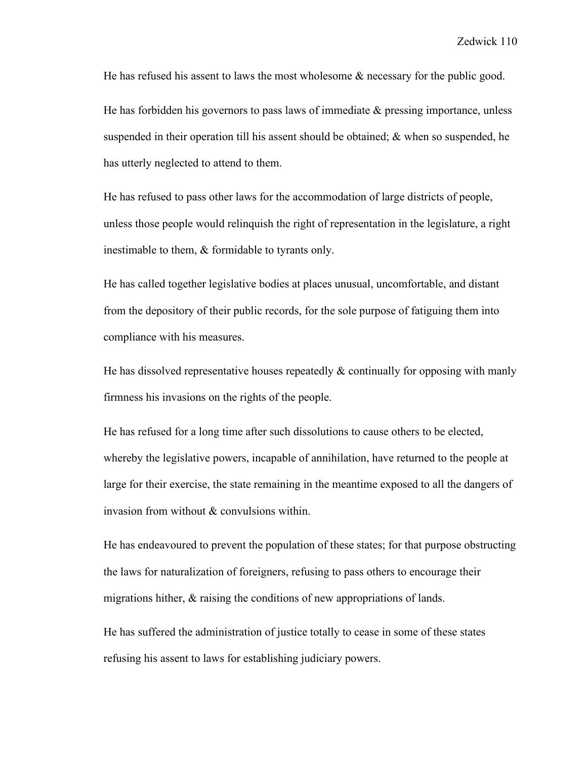He has refused his assent to laws the most wholesome & necessary for the public good.

He has forbidden his governors to pass laws of immediate  $\&$  pressing importance, unless suspended in their operation till his assent should be obtained; & when so suspended, he has utterly neglected to attend to them.

He has refused to pass other laws for the accommodation of large districts of people, unless those people would relinquish the right of representation in the legislature, a right inestimable to them, & formidable to tyrants only.

He has called together legislative bodies at places unusual, uncomfortable, and distant from the depository of their public records, for the sole purpose of fatiguing them into compliance with his measures.

He has dissolved representative houses repeatedly  $\&$  continually for opposing with manly firmness his invasions on the rights of the people.

He has refused for a long time after such dissolutions to cause others to be elected, whereby the legislative powers, incapable of annihilation, have returned to the people at large for their exercise, the state remaining in the meantime exposed to all the dangers of invasion from without & convulsions within.

He has endeavoured to prevent the population of these states; for that purpose obstructing the laws for naturalization of foreigners, refusing to pass others to encourage their migrations hither, & raising the conditions of new appropriations of lands.

He has suffered the administration of justice totally to cease in some of these states refusing his assent to laws for establishing judiciary powers.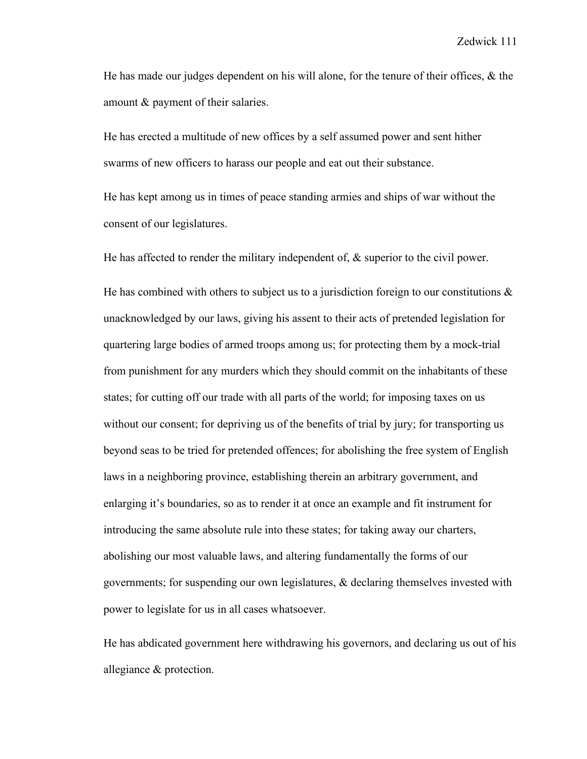He has made our judges dependent on his will alone, for the tenure of their offices, & the amount & payment of their salaries.

He has erected a multitude of new offices by a self assumed power and sent hither swarms of new officers to harass our people and eat out their substance.

He has kept among us in times of peace standing armies and ships of war without the consent of our legislatures.

He has affected to render the military independent of, & superior to the civil power.

He has combined with others to subject us to a jurisdiction foreign to our constitutions  $\&$ unacknowledged by our laws, giving his assent to their acts of pretended legislation for quartering large bodies of armed troops among us; for protecting them by a mock-trial from punishment for any murders which they should commit on the inhabitants of these states; for cutting off our trade with all parts of the world; for imposing taxes on us without our consent; for depriving us of the benefits of trial by jury; for transporting us beyond seas to be tried for pretended offences; for abolishing the free system of English laws in a neighboring province, establishing therein an arbitrary government, and enlarging it's boundaries, so as to render it at once an example and fit instrument for introducing the same absolute rule into these states; for taking away our charters, abolishing our most valuable laws, and altering fundamentally the forms of our governments; for suspending our own legislatures, & declaring themselves invested with power to legislate for us in all cases whatsoever.

He has abdicated government here withdrawing his governors, and declaring us out of his allegiance & protection.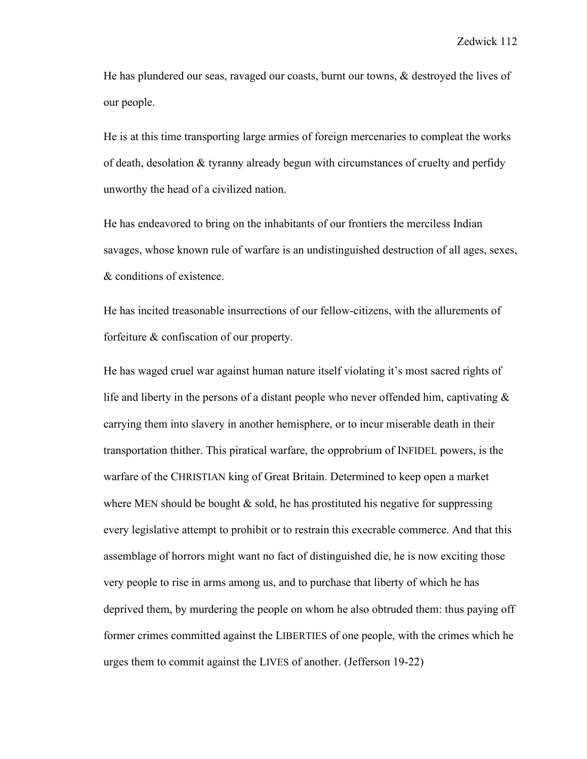He has plundered our seas, ravaged our coasts, burnt our towns, & destroyed the lives of our people.

He is at this time transporting large armies of foreign mercenaries to compleat the works of death, desolation & tyranny already begun with circumstances of cruelty and perfidy unworthy the head of a civilized nation.

He has endeavored to bring on the inhabitants of our frontiers the merciless Indian savages, whose known rule of warfare is an undistinguished destruction of all ages, sexes, & conditions of existence.

He has incited treasonable insurrections of our fellow-citizens, with the allurements of forfeiture & confiscation of our property.

He has waged cruel war against human nature itself violating it's most sacred rights of life and liberty in the persons of a distant people who never offended him, captivating  $\&$ carrying them into slavery in another hemisphere, or to incur miserable death in their transportation thither. This piratical warfare, the opprobrium of INFIDEL powers, is the warfare of the CHRISTIAN king of Great Britain. Determined to keep open a market where MEN should be bought  $\&$  sold, he has prostituted his negative for suppressing every legislative attempt to prohibit or to restrain this execrable commerce. And that this assemblage of horrors might want no fact of distinguished die, he is now exciting those very people to rise in arms among us, and to purchase that liberty of which he has deprived them, by murdering the people on whom he also obtruded them: thus paying off former crimes committed against the LIBERTIES of one people, with the crimes which he urges them to commit against the LIVES of another. (Jefferson 19-22)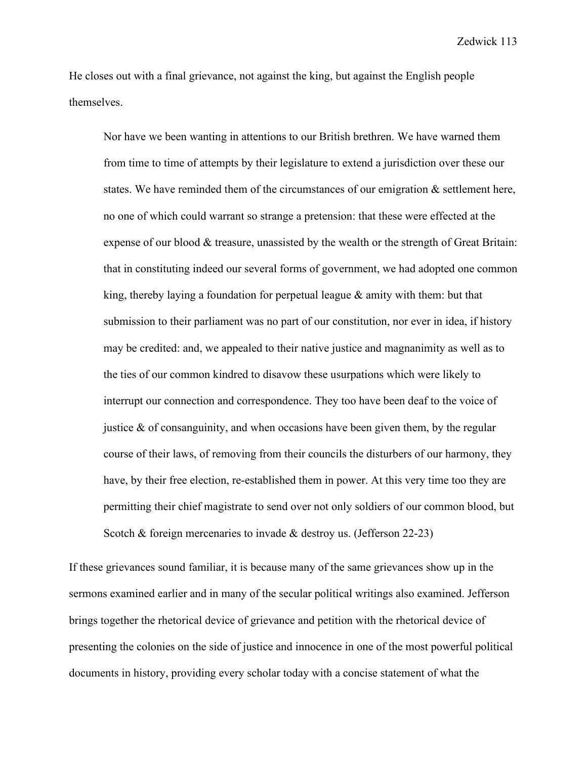He closes out with a final grievance, not against the king, but against the English people themselves.

Nor have we been wanting in attentions to our British brethren. We have warned them from time to time of attempts by their legislature to extend a jurisdiction over these our states. We have reminded them of the circumstances of our emigration & settlement here, no one of which could warrant so strange a pretension: that these were effected at the expense of our blood & treasure, unassisted by the wealth or the strength of Great Britain: that in constituting indeed our several forms of government, we had adopted one common king, thereby laying a foundation for perpetual league & amity with them: but that submission to their parliament was no part of our constitution, nor ever in idea, if history may be credited: and, we appealed to their native justice and magnanimity as well as to the ties of our common kindred to disavow these usurpations which were likely to interrupt our connection and correspondence. They too have been deaf to the voice of justice  $\&$  of consanguinity, and when occasions have been given them, by the regular course of their laws, of removing from their councils the disturbers of our harmony, they have, by their free election, re-established them in power. At this very time too they are permitting their chief magistrate to send over not only soldiers of our common blood, but Scotch & foreign mercenaries to invade & destroy us. (Jefferson 22-23)

If these grievances sound familiar, it is because many of the same grievances show up in the sermons examined earlier and in many of the secular political writings also examined. Jefferson brings together the rhetorical device of grievance and petition with the rhetorical device of presenting the colonies on the side of justice and innocence in one of the most powerful political documents in history, providing every scholar today with a concise statement of what the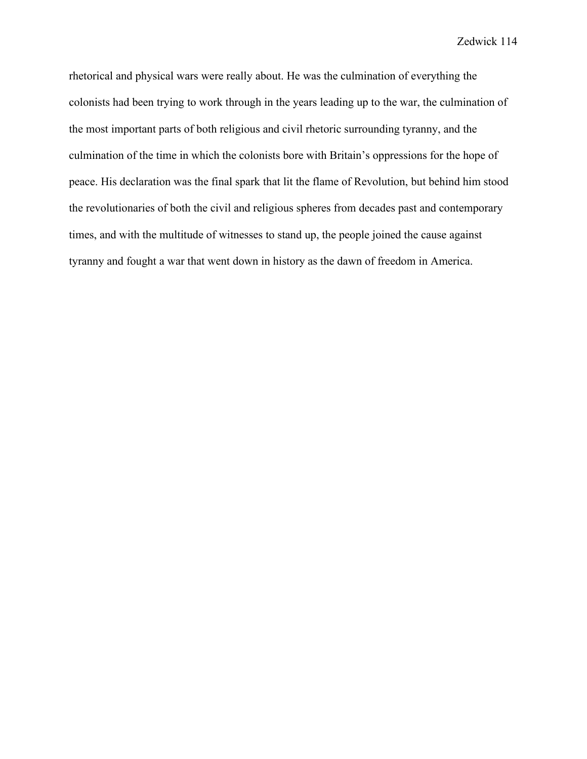rhetorical and physical wars were really about. He was the culmination of everything the colonists had been trying to work through in the years leading up to the war, the culmination of the most important parts of both religious and civil rhetoric surrounding tyranny, and the culmination of the time in which the colonists bore with Britain's oppressions for the hope of peace. His declaration was the final spark that lit the flame of Revolution, but behind him stood the revolutionaries of both the civil and religious spheres from decades past and contemporary times, and with the multitude of witnesses to stand up, the people joined the cause against tyranny and fought a war that went down in history as the dawn of freedom in America.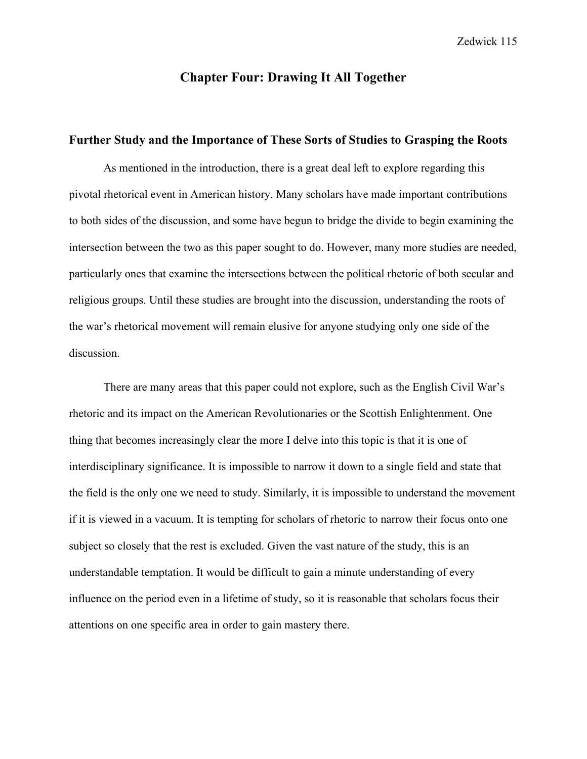# **Chapter Four: Drawing It All Together**

## **Further Study and the Importance of These Sorts of Studies to Grasping the Roots**

As mentioned in the introduction, there is a great deal left to explore regarding this pivotal rhetorical event in American history. Many scholars have made important contributions to both sides of the discussion, and some have begun to bridge the divide to begin examining the intersection between the two as this paper sought to do. However, many more studies are needed, particularly ones that examine the intersections between the political rhetoric of both secular and religious groups. Until these studies are brought into the discussion, understanding the roots of the war's rhetorical movement will remain elusive for anyone studying only one side of the discussion.

There are many areas that this paper could not explore, such as the English Civil War's rhetoric and its impact on the American Revolutionaries or the Scottish Enlightenment. One thing that becomes increasingly clear the more I delve into this topic is that it is one of interdisciplinary significance. It is impossible to narrow it down to a single field and state that the field is the only one we need to study. Similarly, it is impossible to understand the movement if it is viewed in a vacuum. It is tempting for scholars of rhetoric to narrow their focus onto one subject so closely that the rest is excluded. Given the vast nature of the study, this is an understandable temptation. It would be difficult to gain a minute understanding of every influence on the period even in a lifetime of study, so it is reasonable that scholars focus their attentions on one specific area in order to gain mastery there.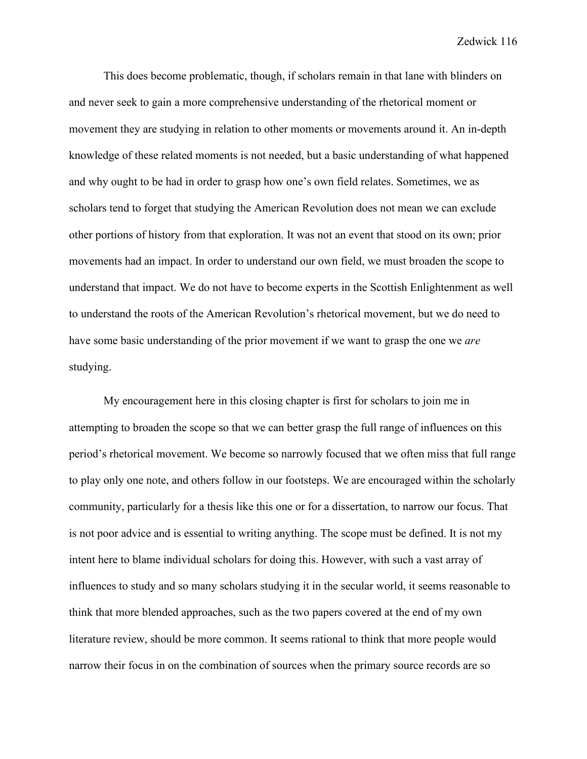This does become problematic, though, if scholars remain in that lane with blinders on and never seek to gain a more comprehensive understanding of the rhetorical moment or movement they are studying in relation to other moments or movements around it. An in-depth knowledge of these related moments is not needed, but a basic understanding of what happened and why ought to be had in order to grasp how one's own field relates. Sometimes, we as scholars tend to forget that studying the American Revolution does not mean we can exclude other portions of history from that exploration. It was not an event that stood on its own; prior movements had an impact. In order to understand our own field, we must broaden the scope to understand that impact. We do not have to become experts in the Scottish Enlightenment as well to understand the roots of the American Revolution's rhetorical movement, but we do need to have some basic understanding of the prior movement if we want to grasp the one we *are* studying.

My encouragement here in this closing chapter is first for scholars to join me in attempting to broaden the scope so that we can better grasp the full range of influences on this period's rhetorical movement. We become so narrowly focused that we often miss that full range to play only one note, and others follow in our footsteps. We are encouraged within the scholarly community, particularly for a thesis like this one or for a dissertation, to narrow our focus. That is not poor advice and is essential to writing anything. The scope must be defined. It is not my intent here to blame individual scholars for doing this. However, with such a vast array of influences to study and so many scholars studying it in the secular world, it seems reasonable to think that more blended approaches, such as the two papers covered at the end of my own literature review, should be more common. It seems rational to think that more people would narrow their focus in on the combination of sources when the primary source records are so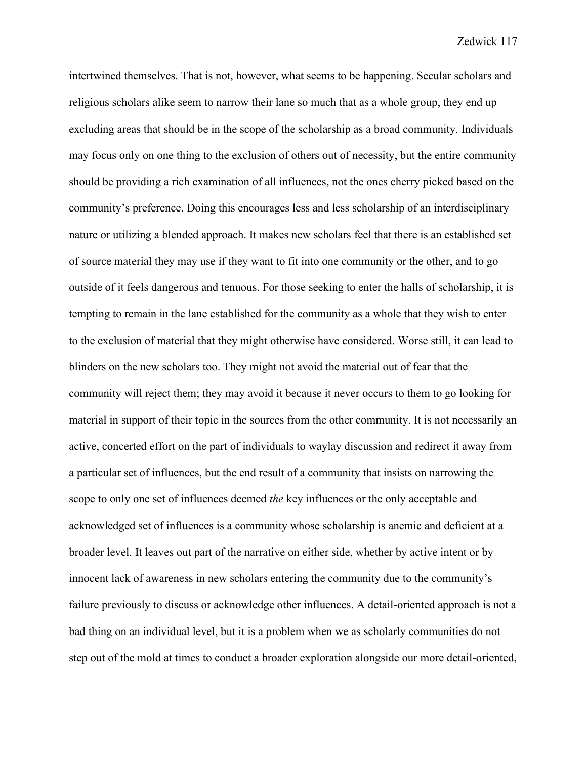intertwined themselves. That is not, however, what seems to be happening. Secular scholars and religious scholars alike seem to narrow their lane so much that as a whole group, they end up excluding areas that should be in the scope of the scholarship as a broad community. Individuals may focus only on one thing to the exclusion of others out of necessity, but the entire community should be providing a rich examination of all influences, not the ones cherry picked based on the community's preference. Doing this encourages less and less scholarship of an interdisciplinary nature or utilizing a blended approach. It makes new scholars feel that there is an established set of source material they may use if they want to fit into one community or the other, and to go outside of it feels dangerous and tenuous. For those seeking to enter the halls of scholarship, it is tempting to remain in the lane established for the community as a whole that they wish to enter to the exclusion of material that they might otherwise have considered. Worse still, it can lead to blinders on the new scholars too. They might not avoid the material out of fear that the community will reject them; they may avoid it because it never occurs to them to go looking for material in support of their topic in the sources from the other community. It is not necessarily an active, concerted effort on the part of individuals to waylay discussion and redirect it away from a particular set of influences, but the end result of a community that insists on narrowing the scope to only one set of influences deemed *the* key influences or the only acceptable and acknowledged set of influences is a community whose scholarship is anemic and deficient at a broader level. It leaves out part of the narrative on either side, whether by active intent or by innocent lack of awareness in new scholars entering the community due to the community's failure previously to discuss or acknowledge other influences. A detail-oriented approach is not a bad thing on an individual level, but it is a problem when we as scholarly communities do not step out of the mold at times to conduct a broader exploration alongside our more detail-oriented,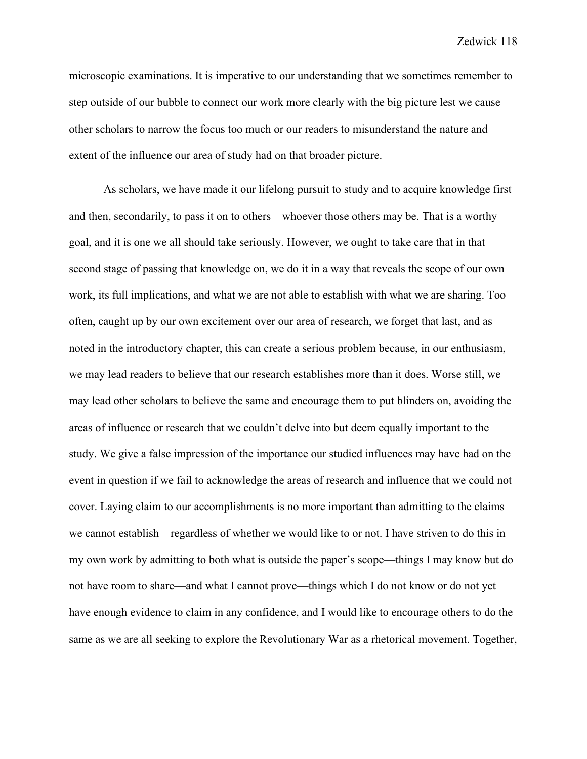microscopic examinations. It is imperative to our understanding that we sometimes remember to step outside of our bubble to connect our work more clearly with the big picture lest we cause other scholars to narrow the focus too much or our readers to misunderstand the nature and extent of the influence our area of study had on that broader picture.

As scholars, we have made it our lifelong pursuit to study and to acquire knowledge first and then, secondarily, to pass it on to others—whoever those others may be. That is a worthy goal, and it is one we all should take seriously. However, we ought to take care that in that second stage of passing that knowledge on, we do it in a way that reveals the scope of our own work, its full implications, and what we are not able to establish with what we are sharing. Too often, caught up by our own excitement over our area of research, we forget that last, and as noted in the introductory chapter, this can create a serious problem because, in our enthusiasm, we may lead readers to believe that our research establishes more than it does. Worse still, we may lead other scholars to believe the same and encourage them to put blinders on, avoiding the areas of influence or research that we couldn't delve into but deem equally important to the study. We give a false impression of the importance our studied influences may have had on the event in question if we fail to acknowledge the areas of research and influence that we could not cover. Laying claim to our accomplishments is no more important than admitting to the claims we cannot establish—regardless of whether we would like to or not. I have striven to do this in my own work by admitting to both what is outside the paper's scope—things I may know but do not have room to share—and what I cannot prove—things which I do not know or do not yet have enough evidence to claim in any confidence, and I would like to encourage others to do the same as we are all seeking to explore the Revolutionary War as a rhetorical movement. Together,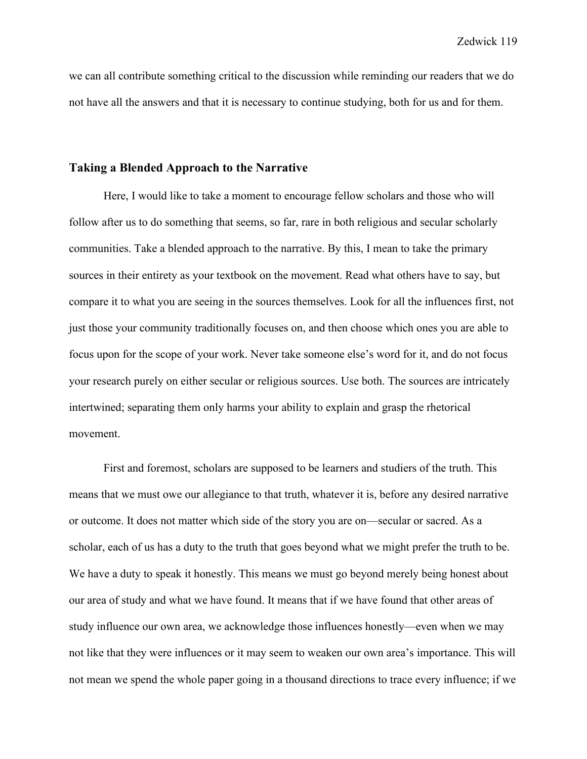we can all contribute something critical to the discussion while reminding our readers that we do not have all the answers and that it is necessary to continue studying, both for us and for them.

### **Taking a Blended Approach to the Narrative**

Here, I would like to take a moment to encourage fellow scholars and those who will follow after us to do something that seems, so far, rare in both religious and secular scholarly communities. Take a blended approach to the narrative. By this, I mean to take the primary sources in their entirety as your textbook on the movement. Read what others have to say, but compare it to what you are seeing in the sources themselves. Look for all the influences first, not just those your community traditionally focuses on, and then choose which ones you are able to focus upon for the scope of your work. Never take someone else's word for it, and do not focus your research purely on either secular or religious sources. Use both. The sources are intricately intertwined; separating them only harms your ability to explain and grasp the rhetorical movement.

First and foremost, scholars are supposed to be learners and studiers of the truth. This means that we must owe our allegiance to that truth, whatever it is, before any desired narrative or outcome. It does not matter which side of the story you are on—secular or sacred. As a scholar, each of us has a duty to the truth that goes beyond what we might prefer the truth to be. We have a duty to speak it honestly. This means we must go beyond merely being honest about our area of study and what we have found. It means that if we have found that other areas of study influence our own area, we acknowledge those influences honestly—even when we may not like that they were influences or it may seem to weaken our own area's importance. This will not mean we spend the whole paper going in a thousand directions to trace every influence; if we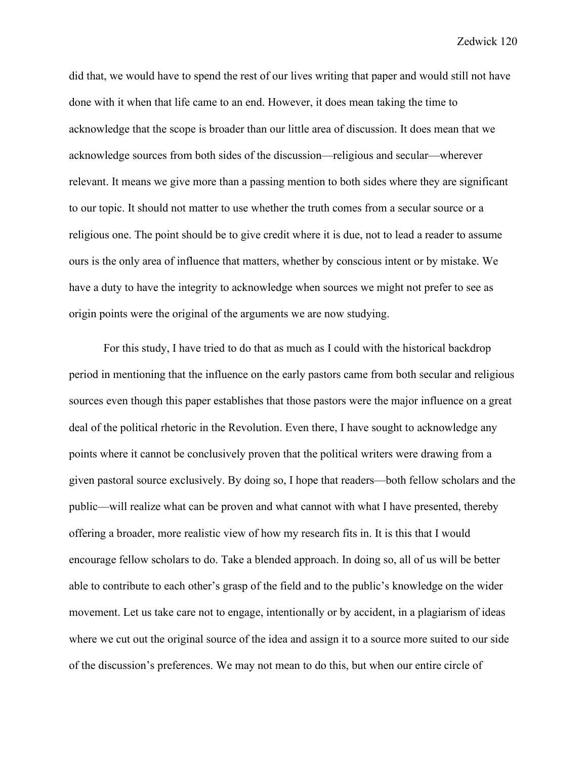did that, we would have to spend the rest of our lives writing that paper and would still not have done with it when that life came to an end. However, it does mean taking the time to acknowledge that the scope is broader than our little area of discussion. It does mean that we acknowledge sources from both sides of the discussion—religious and secular—wherever relevant. It means we give more than a passing mention to both sides where they are significant to our topic. It should not matter to use whether the truth comes from a secular source or a religious one. The point should be to give credit where it is due, not to lead a reader to assume ours is the only area of influence that matters, whether by conscious intent or by mistake. We have a duty to have the integrity to acknowledge when sources we might not prefer to see as origin points were the original of the arguments we are now studying.

For this study, I have tried to do that as much as I could with the historical backdrop period in mentioning that the influence on the early pastors came from both secular and religious sources even though this paper establishes that those pastors were the major influence on a great deal of the political rhetoric in the Revolution. Even there, I have sought to acknowledge any points where it cannot be conclusively proven that the political writers were drawing from a given pastoral source exclusively. By doing so, I hope that readers—both fellow scholars and the public—will realize what can be proven and what cannot with what I have presented, thereby offering a broader, more realistic view of how my research fits in. It is this that I would encourage fellow scholars to do. Take a blended approach. In doing so, all of us will be better able to contribute to each other's grasp of the field and to the public's knowledge on the wider movement. Let us take care not to engage, intentionally or by accident, in a plagiarism of ideas where we cut out the original source of the idea and assign it to a source more suited to our side of the discussion's preferences. We may not mean to do this, but when our entire circle of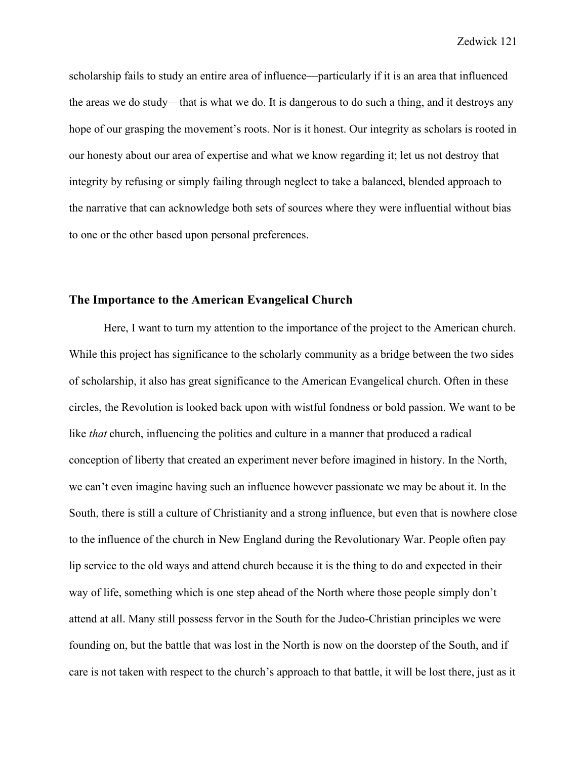scholarship fails to study an entire area of influence—particularly if it is an area that influenced the areas we do study—that is what we do. It is dangerous to do such a thing, and it destroys any hope of our grasping the movement's roots. Nor is it honest. Our integrity as scholars is rooted in our honesty about our area of expertise and what we know regarding it; let us not destroy that integrity by refusing or simply failing through neglect to take a balanced, blended approach to the narrative that can acknowledge both sets of sources where they were influential without bias to one or the other based upon personal preferences.

## **The Importance to the American Evangelical Church**

Here, I want to turn my attention to the importance of the project to the American church. While this project has significance to the scholarly community as a bridge between the two sides of scholarship, it also has great significance to the American Evangelical church. Often in these circles, the Revolution is looked back upon with wistful fondness or bold passion. We want to be like *that* church, influencing the politics and culture in a manner that produced a radical conception of liberty that created an experiment never before imagined in history. In the North, we can't even imagine having such an influence however passionate we may be about it. In the South, there is still a culture of Christianity and a strong influence, but even that is nowhere close to the influence of the church in New England during the Revolutionary War. People often pay lip service to the old ways and attend church because it is the thing to do and expected in their way of life, something which is one step ahead of the North where those people simply don't attend at all. Many still possess fervor in the South for the Judeo-Christian principles we were founding on, but the battle that was lost in the North is now on the doorstep of the South, and if care is not taken with respect to the church's approach to that battle, it will be lost there, just as it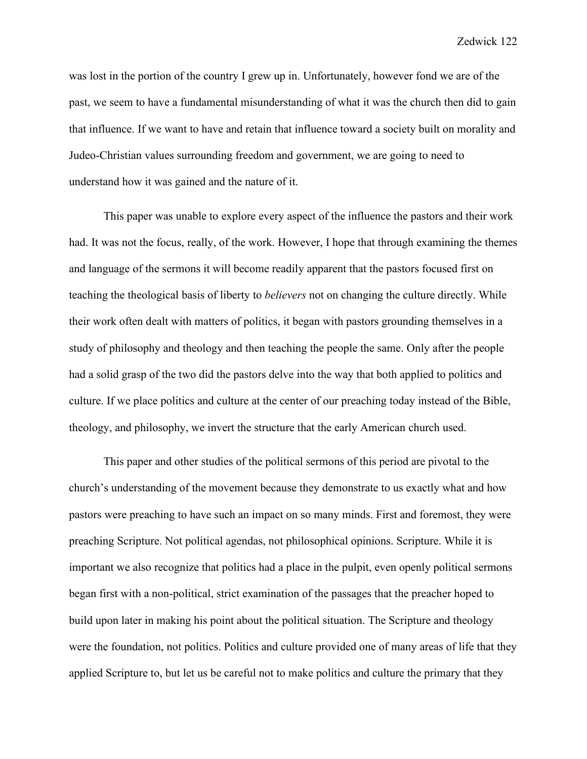was lost in the portion of the country I grew up in. Unfortunately, however fond we are of the past, we seem to have a fundamental misunderstanding of what it was the church then did to gain that influence. If we want to have and retain that influence toward a society built on morality and Judeo-Christian values surrounding freedom and government, we are going to need to understand how it was gained and the nature of it.

This paper was unable to explore every aspect of the influence the pastors and their work had. It was not the focus, really, of the work. However, I hope that through examining the themes and language of the sermons it will become readily apparent that the pastors focused first on teaching the theological basis of liberty to *believers* not on changing the culture directly. While their work often dealt with matters of politics, it began with pastors grounding themselves in a study of philosophy and theology and then teaching the people the same. Only after the people had a solid grasp of the two did the pastors delve into the way that both applied to politics and culture. If we place politics and culture at the center of our preaching today instead of the Bible, theology, and philosophy, we invert the structure that the early American church used.

This paper and other studies of the political sermons of this period are pivotal to the church's understanding of the movement because they demonstrate to us exactly what and how pastors were preaching to have such an impact on so many minds. First and foremost, they were preaching Scripture. Not political agendas, not philosophical opinions. Scripture. While it is important we also recognize that politics had a place in the pulpit, even openly political sermons began first with a non-political, strict examination of the passages that the preacher hoped to build upon later in making his point about the political situation. The Scripture and theology were the foundation, not politics. Politics and culture provided one of many areas of life that they applied Scripture to, but let us be careful not to make politics and culture the primary that they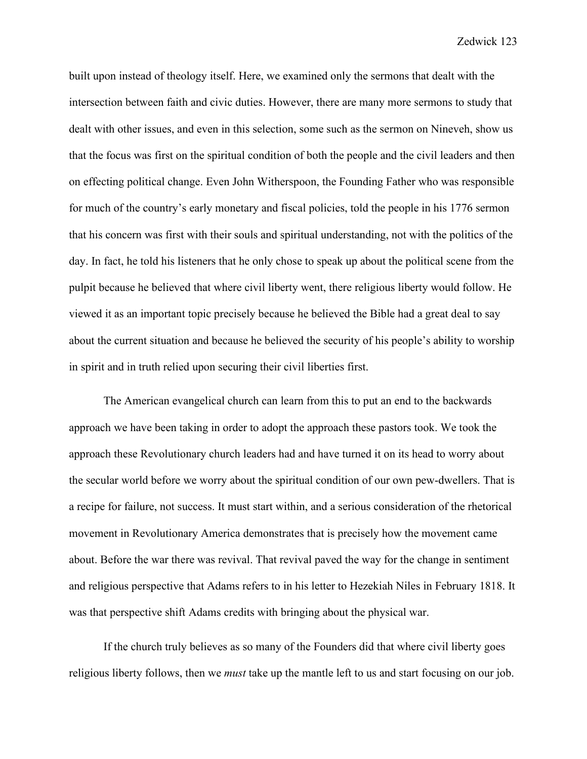built upon instead of theology itself. Here, we examined only the sermons that dealt with the intersection between faith and civic duties. However, there are many more sermons to study that dealt with other issues, and even in this selection, some such as the sermon on Nineveh, show us that the focus was first on the spiritual condition of both the people and the civil leaders and then on effecting political change. Even John Witherspoon, the Founding Father who was responsible for much of the country's early monetary and fiscal policies, told the people in his 1776 sermon that his concern was first with their souls and spiritual understanding, not with the politics of the day. In fact, he told his listeners that he only chose to speak up about the political scene from the pulpit because he believed that where civil liberty went, there religious liberty would follow. He viewed it as an important topic precisely because he believed the Bible had a great deal to say about the current situation and because he believed the security of his people's ability to worship in spirit and in truth relied upon securing their civil liberties first.

The American evangelical church can learn from this to put an end to the backwards approach we have been taking in order to adopt the approach these pastors took. We took the approach these Revolutionary church leaders had and have turned it on its head to worry about the secular world before we worry about the spiritual condition of our own pew-dwellers. That is a recipe for failure, not success. It must start within, and a serious consideration of the rhetorical movement in Revolutionary America demonstrates that is precisely how the movement came about. Before the war there was revival. That revival paved the way for the change in sentiment and religious perspective that Adams refers to in his letter to Hezekiah Niles in February 1818. It was that perspective shift Adams credits with bringing about the physical war.

If the church truly believes as so many of the Founders did that where civil liberty goes religious liberty follows, then we *must* take up the mantle left to us and start focusing on our job.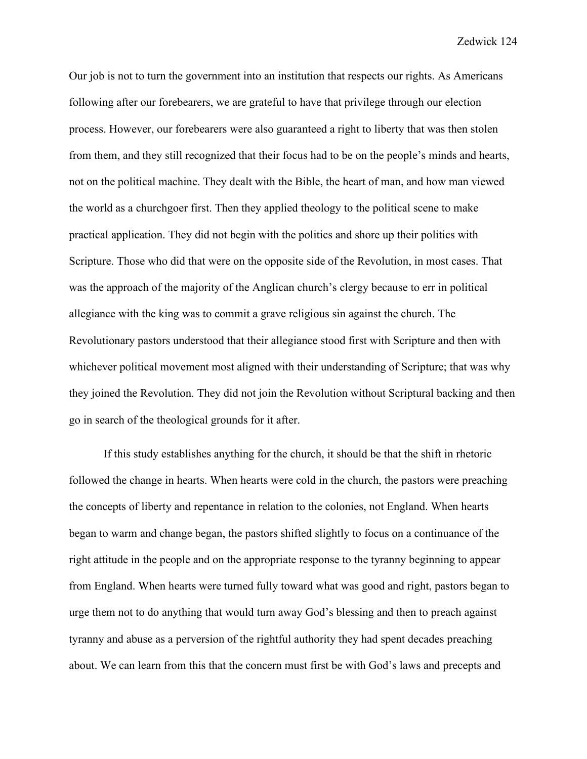Our job is not to turn the government into an institution that respects our rights. As Americans following after our forebearers, we are grateful to have that privilege through our election process. However, our forebearers were also guaranteed a right to liberty that was then stolen from them, and they still recognized that their focus had to be on the people's minds and hearts, not on the political machine. They dealt with the Bible, the heart of man, and how man viewed the world as a churchgoer first. Then they applied theology to the political scene to make practical application. They did not begin with the politics and shore up their politics with Scripture. Those who did that were on the opposite side of the Revolution, in most cases. That was the approach of the majority of the Anglican church's clergy because to err in political allegiance with the king was to commit a grave religious sin against the church. The Revolutionary pastors understood that their allegiance stood first with Scripture and then with whichever political movement most aligned with their understanding of Scripture; that was why they joined the Revolution. They did not join the Revolution without Scriptural backing and then go in search of the theological grounds for it after.

If this study establishes anything for the church, it should be that the shift in rhetoric followed the change in hearts. When hearts were cold in the church, the pastors were preaching the concepts of liberty and repentance in relation to the colonies, not England. When hearts began to warm and change began, the pastors shifted slightly to focus on a continuance of the right attitude in the people and on the appropriate response to the tyranny beginning to appear from England. When hearts were turned fully toward what was good and right, pastors began to urge them not to do anything that would turn away God's blessing and then to preach against tyranny and abuse as a perversion of the rightful authority they had spent decades preaching about. We can learn from this that the concern must first be with God's laws and precepts and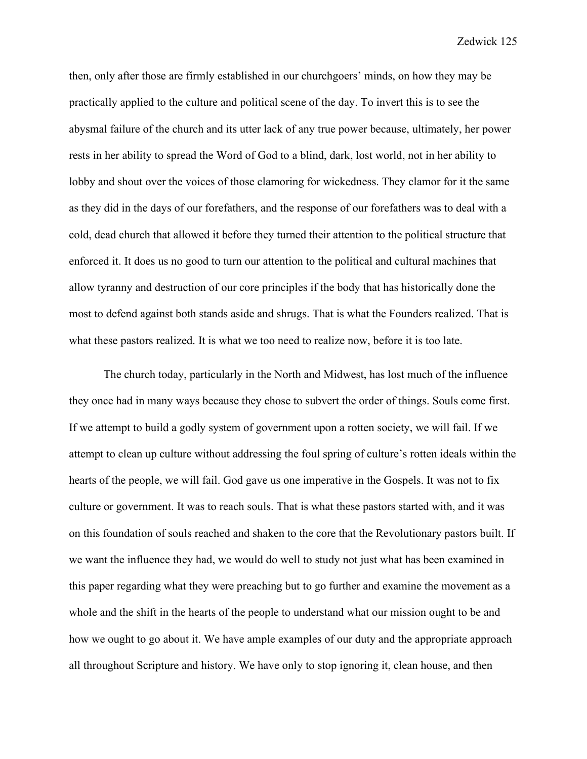then, only after those are firmly established in our churchgoers' minds, on how they may be practically applied to the culture and political scene of the day. To invert this is to see the abysmal failure of the church and its utter lack of any true power because, ultimately, her power rests in her ability to spread the Word of God to a blind, dark, lost world, not in her ability to lobby and shout over the voices of those clamoring for wickedness. They clamor for it the same as they did in the days of our forefathers, and the response of our forefathers was to deal with a cold, dead church that allowed it before they turned their attention to the political structure that enforced it. It does us no good to turn our attention to the political and cultural machines that allow tyranny and destruction of our core principles if the body that has historically done the most to defend against both stands aside and shrugs. That is what the Founders realized. That is what these pastors realized. It is what we too need to realize now, before it is too late.

The church today, particularly in the North and Midwest, has lost much of the influence they once had in many ways because they chose to subvert the order of things. Souls come first. If we attempt to build a godly system of government upon a rotten society, we will fail. If we attempt to clean up culture without addressing the foul spring of culture's rotten ideals within the hearts of the people, we will fail. God gave us one imperative in the Gospels. It was not to fix culture or government. It was to reach souls. That is what these pastors started with, and it was on this foundation of souls reached and shaken to the core that the Revolutionary pastors built. If we want the influence they had, we would do well to study not just what has been examined in this paper regarding what they were preaching but to go further and examine the movement as a whole and the shift in the hearts of the people to understand what our mission ought to be and how we ought to go about it. We have ample examples of our duty and the appropriate approach all throughout Scripture and history. We have only to stop ignoring it, clean house, and then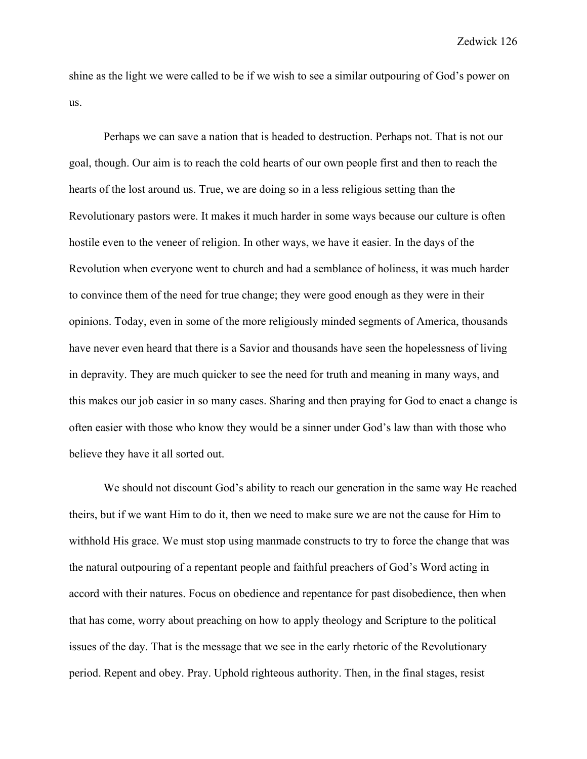shine as the light we were called to be if we wish to see a similar outpouring of God's power on us.

Perhaps we can save a nation that is headed to destruction. Perhaps not. That is not our goal, though. Our aim is to reach the cold hearts of our own people first and then to reach the hearts of the lost around us. True, we are doing so in a less religious setting than the Revolutionary pastors were. It makes it much harder in some ways because our culture is often hostile even to the veneer of religion. In other ways, we have it easier. In the days of the Revolution when everyone went to church and had a semblance of holiness, it was much harder to convince them of the need for true change; they were good enough as they were in their opinions. Today, even in some of the more religiously minded segments of America, thousands have never even heard that there is a Savior and thousands have seen the hopelessness of living in depravity. They are much quicker to see the need for truth and meaning in many ways, and this makes our job easier in so many cases. Sharing and then praying for God to enact a change is often easier with those who know they would be a sinner under God's law than with those who believe they have it all sorted out.

We should not discount God's ability to reach our generation in the same way He reached theirs, but if we want Him to do it, then we need to make sure we are not the cause for Him to withhold His grace. We must stop using manmade constructs to try to force the change that was the natural outpouring of a repentant people and faithful preachers of God's Word acting in accord with their natures. Focus on obedience and repentance for past disobedience, then when that has come, worry about preaching on how to apply theology and Scripture to the political issues of the day. That is the message that we see in the early rhetoric of the Revolutionary period. Repent and obey. Pray. Uphold righteous authority. Then, in the final stages, resist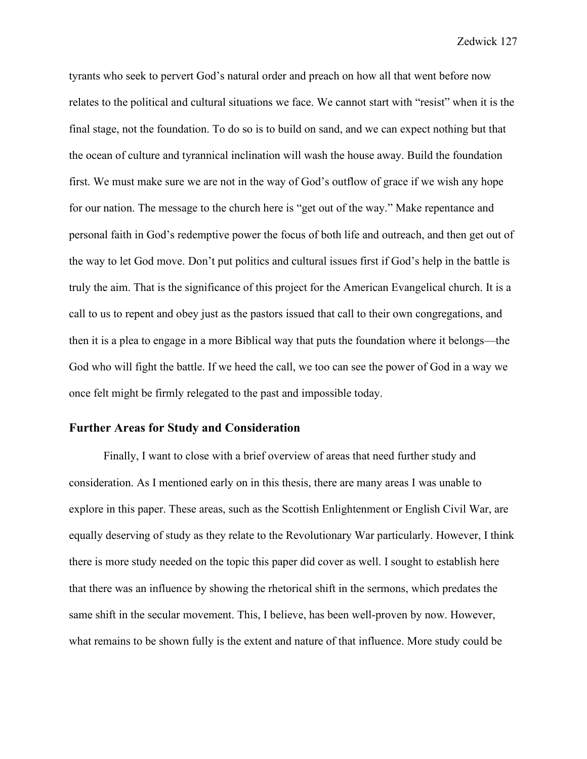tyrants who seek to pervert God's natural order and preach on how all that went before now relates to the political and cultural situations we face. We cannot start with "resist" when it is the final stage, not the foundation. To do so is to build on sand, and we can expect nothing but that the ocean of culture and tyrannical inclination will wash the house away. Build the foundation first. We must make sure we are not in the way of God's outflow of grace if we wish any hope for our nation. The message to the church here is "get out of the way." Make repentance and personal faith in God's redemptive power the focus of both life and outreach, and then get out of the way to let God move. Don't put politics and cultural issues first if God's help in the battle is truly the aim. That is the significance of this project for the American Evangelical church. It is a call to us to repent and obey just as the pastors issued that call to their own congregations, and then it is a plea to engage in a more Biblical way that puts the foundation where it belongs—the God who will fight the battle. If we heed the call, we too can see the power of God in a way we once felt might be firmly relegated to the past and impossible today.

## **Further Areas for Study and Consideration**

Finally, I want to close with a brief overview of areas that need further study and consideration. As I mentioned early on in this thesis, there are many areas I was unable to explore in this paper. These areas, such as the Scottish Enlightenment or English Civil War, are equally deserving of study as they relate to the Revolutionary War particularly. However, I think there is more study needed on the topic this paper did cover as well. I sought to establish here that there was an influence by showing the rhetorical shift in the sermons, which predates the same shift in the secular movement. This, I believe, has been well-proven by now. However, what remains to be shown fully is the extent and nature of that influence. More study could be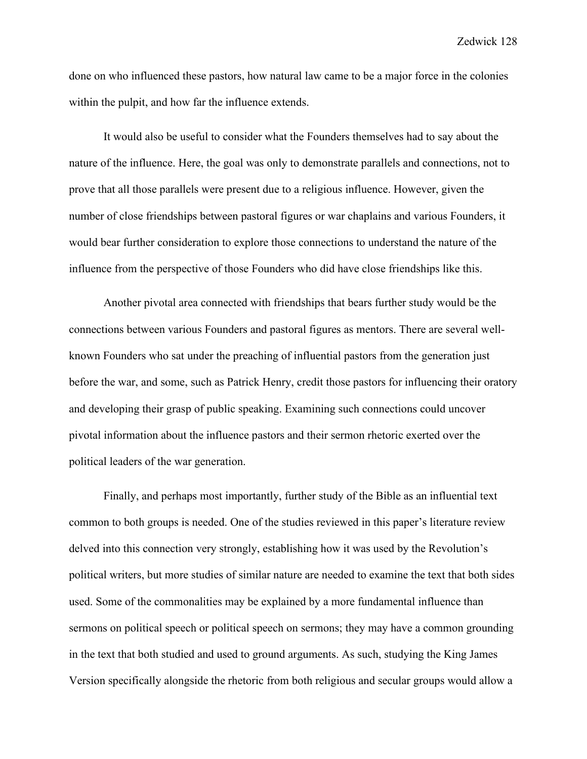done on who influenced these pastors, how natural law came to be a major force in the colonies within the pulpit, and how far the influence extends.

It would also be useful to consider what the Founders themselves had to say about the nature of the influence. Here, the goal was only to demonstrate parallels and connections, not to prove that all those parallels were present due to a religious influence. However, given the number of close friendships between pastoral figures or war chaplains and various Founders, it would bear further consideration to explore those connections to understand the nature of the influence from the perspective of those Founders who did have close friendships like this.

Another pivotal area connected with friendships that bears further study would be the connections between various Founders and pastoral figures as mentors. There are several wellknown Founders who sat under the preaching of influential pastors from the generation just before the war, and some, such as Patrick Henry, credit those pastors for influencing their oratory and developing their grasp of public speaking. Examining such connections could uncover pivotal information about the influence pastors and their sermon rhetoric exerted over the political leaders of the war generation.

Finally, and perhaps most importantly, further study of the Bible as an influential text common to both groups is needed. One of the studies reviewed in this paper's literature review delved into this connection very strongly, establishing how it was used by the Revolution's political writers, but more studies of similar nature are needed to examine the text that both sides used. Some of the commonalities may be explained by a more fundamental influence than sermons on political speech or political speech on sermons; they may have a common grounding in the text that both studied and used to ground arguments. As such, studying the King James Version specifically alongside the rhetoric from both religious and secular groups would allow a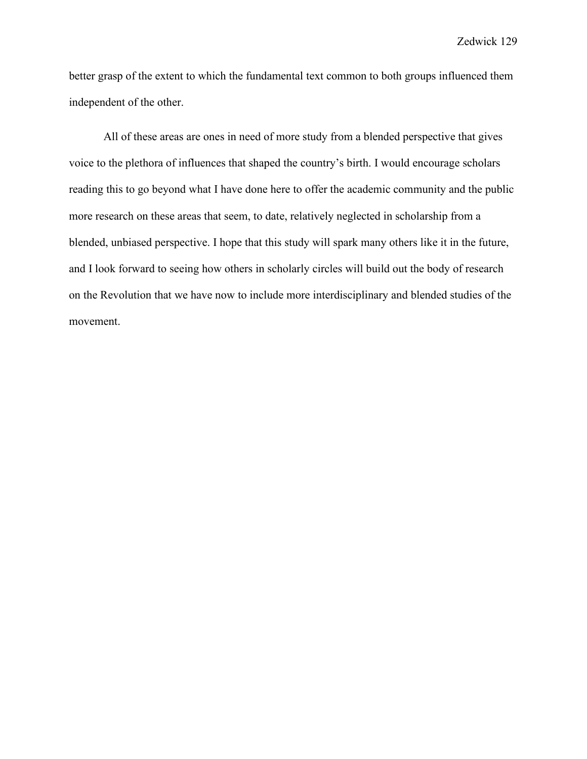better grasp of the extent to which the fundamental text common to both groups influenced them independent of the other.

All of these areas are ones in need of more study from a blended perspective that gives voice to the plethora of influences that shaped the country's birth. I would encourage scholars reading this to go beyond what I have done here to offer the academic community and the public more research on these areas that seem, to date, relatively neglected in scholarship from a blended, unbiased perspective. I hope that this study will spark many others like it in the future, and I look forward to seeing how others in scholarly circles will build out the body of research on the Revolution that we have now to include more interdisciplinary and blended studies of the movement.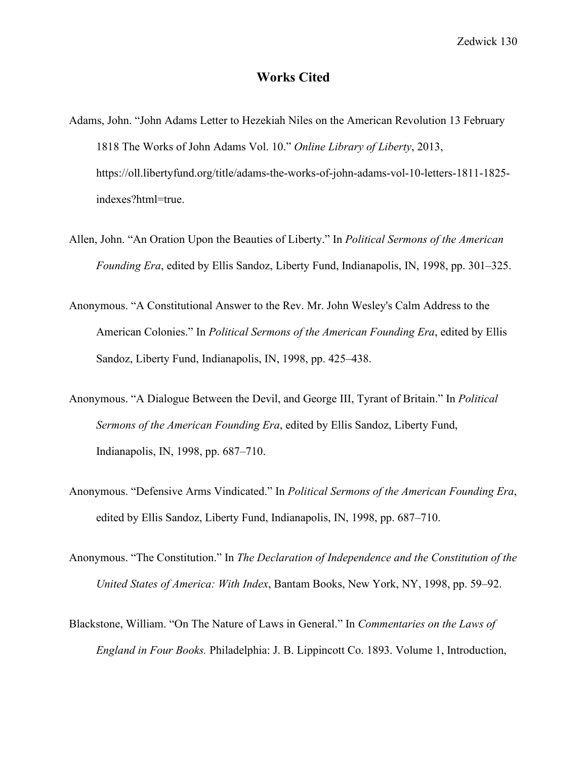# **Works Cited**

- Adams, John. "John Adams Letter to Hezekiah Niles on the American Revolution 13 February 1818 The Works of John Adams Vol. 10." *Online Library of Liberty*, 2013, https://oll.libertyfund.org/title/adams-the-works-of-john-adams-vol-10-letters-1811-1825 indexes?html=true.
- Allen, John. "An Oration Upon the Beauties of Liberty." In *Political Sermons of the American Founding Era*, edited by Ellis Sandoz, Liberty Fund, Indianapolis, IN, 1998, pp. 301–325.
- Anonymous. "A Constitutional Answer to the Rev. Mr. John Wesley's Calm Address to the American Colonies." In *Political Sermons of the American Founding Era*, edited by Ellis Sandoz, Liberty Fund, Indianapolis, IN, 1998, pp. 425–438.
- Anonymous. "A Dialogue Between the Devil, and George III, Tyrant of Britain." In *Political Sermons of the American Founding Era*, edited by Ellis Sandoz, Liberty Fund, Indianapolis, IN, 1998, pp. 687–710.
- Anonymous. "Defensive Arms Vindicated." In *Political Sermons of the American Founding Era*, edited by Ellis Sandoz, Liberty Fund, Indianapolis, IN, 1998, pp. 687–710.
- Anonymous. "The Constitution." In *The Declaration of Independence and the Constitution of the United States of America: With Index*, Bantam Books, New York, NY, 1998, pp. 59–92.
- Blackstone, William. "On The Nature of Laws in General." In *Commentaries on the Laws of England in Four Books.* Philadelphia: J. B. Lippincott Co. 1893. Volume 1, Introduction,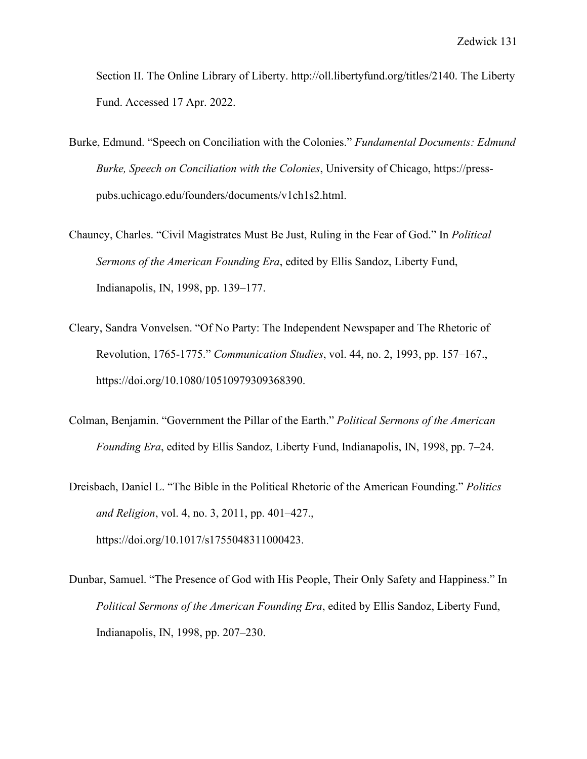Section II. The Online Library of Liberty. http://oll.libertyfund.org/titles/2140. The Liberty Fund. Accessed 17 Apr. 2022.

- Burke, Edmund. "Speech on Conciliation with the Colonies." *Fundamental Documents: Edmund Burke, Speech on Conciliation with the Colonies*, University of Chicago, https://presspubs.uchicago.edu/founders/documents/v1ch1s2.html.
- Chauncy, Charles. "Civil Magistrates Must Be Just, Ruling in the Fear of God." In *Political Sermons of the American Founding Era*, edited by Ellis Sandoz, Liberty Fund, Indianapolis, IN, 1998, pp. 139–177.
- Cleary, Sandra Vonvelsen. "Of No Party: The Independent Newspaper and The Rhetoric of Revolution, 1765‐1775." *Communication Studies*, vol. 44, no. 2, 1993, pp. 157–167., https://doi.org/10.1080/10510979309368390.
- Colman, Benjamin. "Government the Pillar of the Earth." *Political Sermons of the American Founding Era*, edited by Ellis Sandoz, Liberty Fund, Indianapolis, IN, 1998, pp. 7–24.
- Dreisbach, Daniel L. "The Bible in the Political Rhetoric of the American Founding." *Politics and Religion*, vol. 4, no. 3, 2011, pp. 401–427., https://doi.org/10.1017/s1755048311000423.
- Dunbar, Samuel. "The Presence of God with His People, Their Only Safety and Happiness." In *Political Sermons of the American Founding Era*, edited by Ellis Sandoz, Liberty Fund, Indianapolis, IN, 1998, pp. 207–230.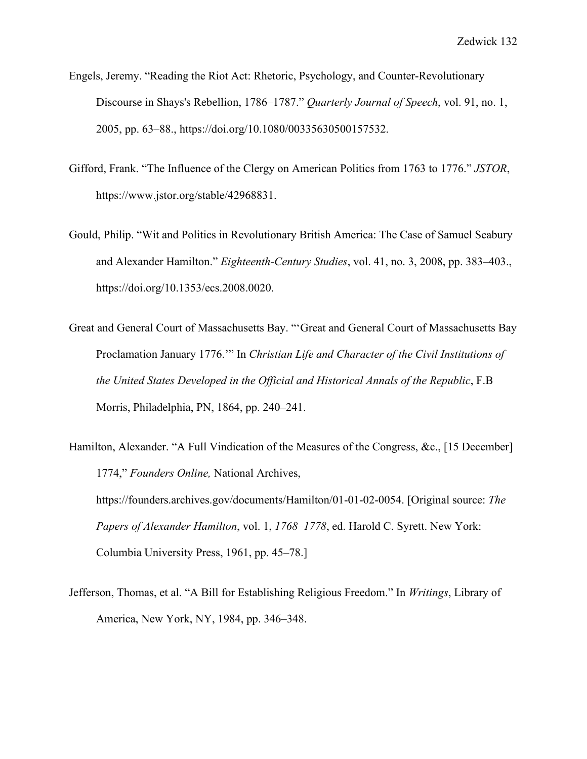- Engels, Jeremy. "Reading the Riot Act: Rhetoric, Psychology, and Counter-Revolutionary Discourse in Shays's Rebellion, 1786–1787." *Quarterly Journal of Speech*, vol. 91, no. 1, 2005, pp. 63–88., https://doi.org/10.1080/00335630500157532.
- Gifford, Frank. "The Influence of the Clergy on American Politics from 1763 to 1776." *JSTOR*, https://www.jstor.org/stable/42968831.
- Gould, Philip. "Wit and Politics in Revolutionary British America: The Case of Samuel Seabury and Alexander Hamilton." *Eighteenth-Century Studies*, vol. 41, no. 3, 2008, pp. 383–403., https://doi.org/10.1353/ecs.2008.0020.
- Great and General Court of Massachusetts Bay. "'Great and General Court of Massachusetts Bay Proclamation January 1776.'" In *Christian Life and Character of the Civil Institutions of the United States Developed in the Official and Historical Annals of the Republic*, F.B Morris, Philadelphia, PN, 1864, pp. 240–241.
- Hamilton, Alexander. "A Full Vindication of the Measures of the Congress, &c., [15 December] 1774," *Founders Online,* National Archives, https://founders.archives.gov/documents/Hamilton/01-01-02-0054. [Original source: *The Papers of Alexander Hamilton*, vol. 1, *1768–1778*, ed. Harold C. Syrett. New York: Columbia University Press, 1961, pp. 45–78.]
- Jefferson, Thomas, et al. "A Bill for Establishing Religious Freedom." In *Writings*, Library of America, New York, NY, 1984, pp. 346–348.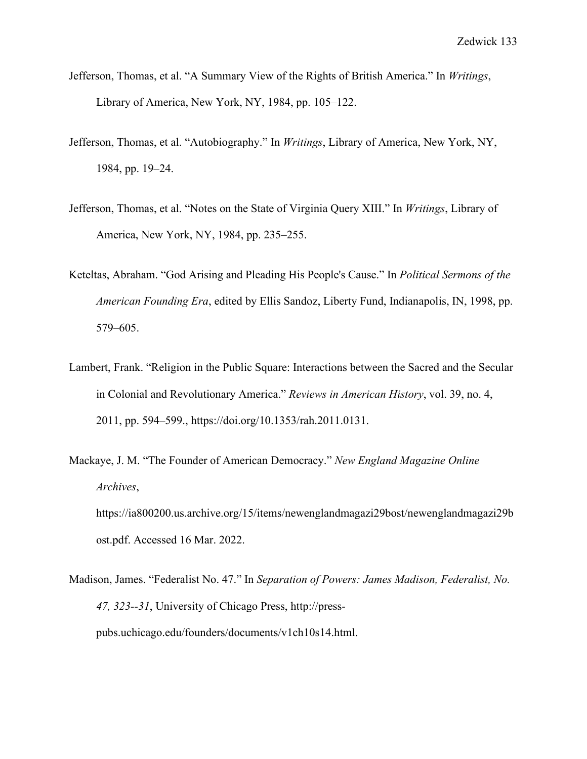- Jefferson, Thomas, et al. "A Summary View of the Rights of British America." In *Writings*, Library of America, New York, NY, 1984, pp. 105–122.
- Jefferson, Thomas, et al. "Autobiography." In *Writings*, Library of America, New York, NY, 1984, pp. 19–24.
- Jefferson, Thomas, et al. "Notes on the State of Virginia Query XIII." In *Writings*, Library of America, New York, NY, 1984, pp. 235–255.
- Keteltas, Abraham. "God Arising and Pleading His People's Cause." In *Political Sermons of the American Founding Era*, edited by Ellis Sandoz, Liberty Fund, Indianapolis, IN, 1998, pp. 579–605.
- Lambert, Frank. "Religion in the Public Square: Interactions between the Sacred and the Secular in Colonial and Revolutionary America." *Reviews in American History*, vol. 39, no. 4, 2011, pp. 594–599., https://doi.org/10.1353/rah.2011.0131.
- Mackaye, J. M. "The Founder of American Democracy." *New England Magazine Online Archives*, https://ia800200.us.archive.org/15/items/newenglandmagazi29bost/newenglandmagazi29b ost.pdf. Accessed 16 Mar. 2022.
- Madison, James. "Federalist No. 47." In *Separation of Powers: James Madison, Federalist, No. 47, 323--31*, University of Chicago Press, http://presspubs.uchicago.edu/founders/documents/v1ch10s14.html.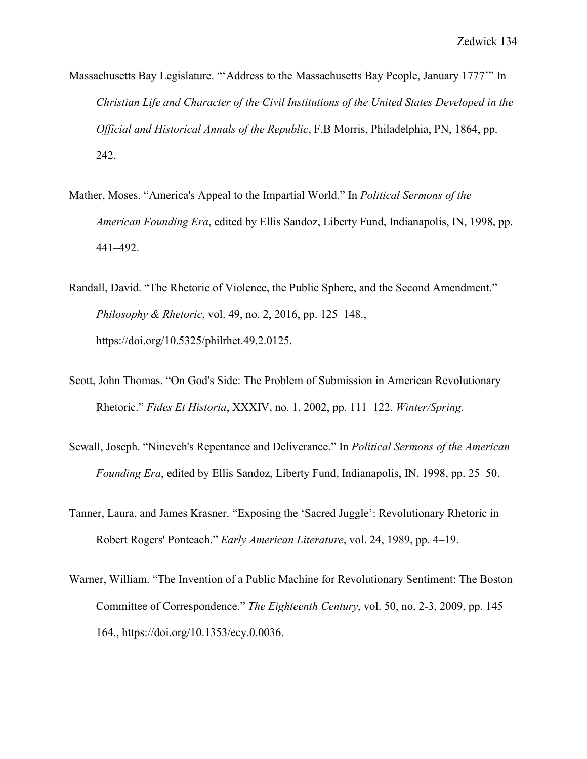- Massachusetts Bay Legislature. "'Address to the Massachusetts Bay People, January 1777'" In *Christian Life and Character of the Civil Institutions of the United States Developed in the Official and Historical Annals of the Republic*, F.B Morris, Philadelphia, PN, 1864, pp. 242.
- Mather, Moses. "America's Appeal to the Impartial World." In *Political Sermons of the American Founding Era*, edited by Ellis Sandoz, Liberty Fund, Indianapolis, IN, 1998, pp. 441–492.
- Randall, David. "The Rhetoric of Violence, the Public Sphere, and the Second Amendment." *Philosophy & Rhetoric*, vol. 49, no. 2, 2016, pp. 125–148., https://doi.org/10.5325/philrhet.49.2.0125.
- Scott, John Thomas. "On God's Side: The Problem of Submission in American Revolutionary Rhetoric." *Fides Et Historia*, XXXIV, no. 1, 2002, pp. 111–122. *Winter/Spring*.
- Sewall, Joseph. "Nineveh's Repentance and Deliverance." In *Political Sermons of the American Founding Era*, edited by Ellis Sandoz, Liberty Fund, Indianapolis, IN, 1998, pp. 25–50.
- Tanner, Laura, and James Krasner. "Exposing the 'Sacred Juggle': Revolutionary Rhetoric in Robert Rogers' Ponteach." *Early American Literature*, vol. 24, 1989, pp. 4–19.
- Warner, William. "The Invention of a Public Machine for Revolutionary Sentiment: The Boston Committee of Correspondence." *The Eighteenth Century*, vol. 50, no. 2-3, 2009, pp. 145– 164., https://doi.org/10.1353/ecy.0.0036.